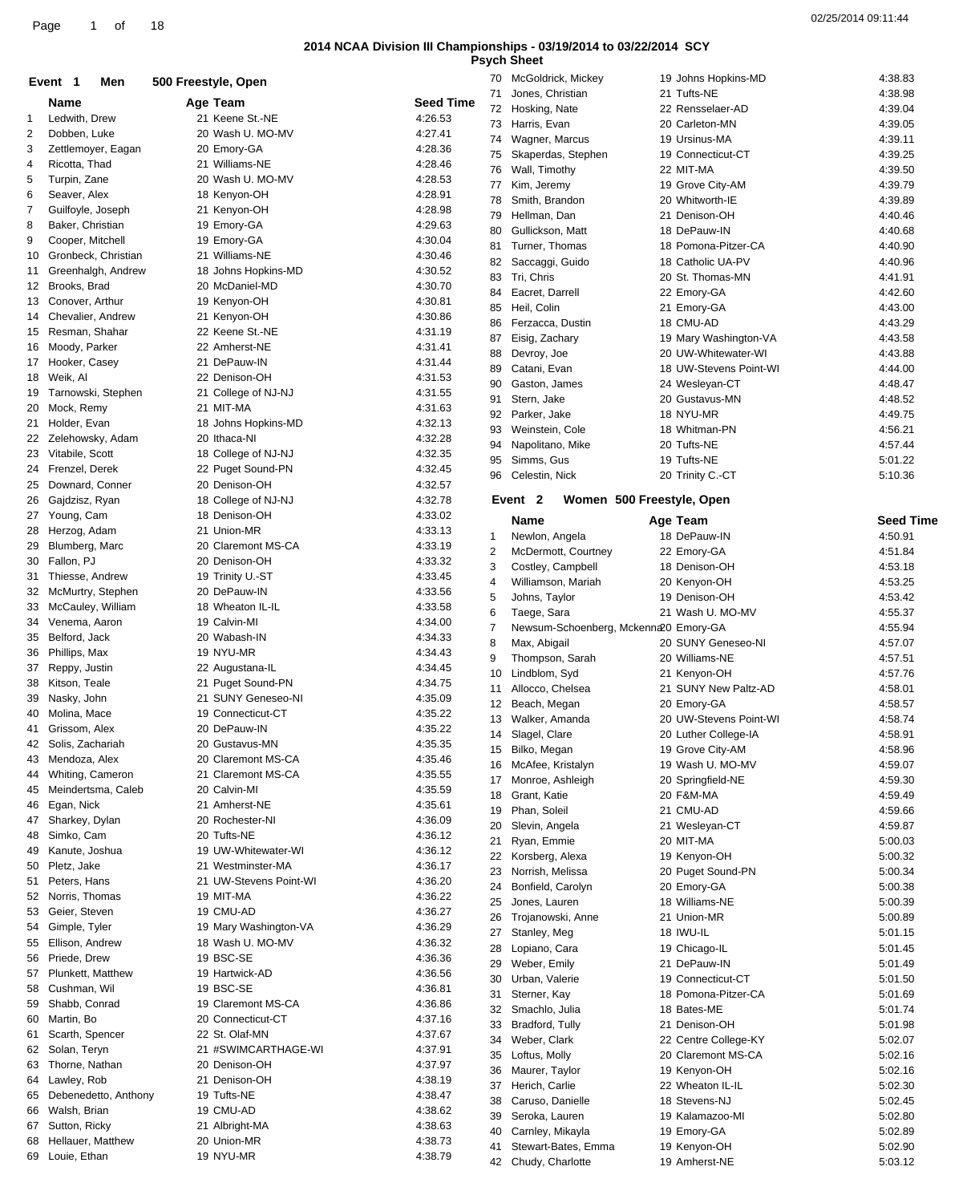|              |                         |                     |                        |                  |    | unuu                                   |                           |                        |                  |
|--------------|-------------------------|---------------------|------------------------|------------------|----|----------------------------------------|---------------------------|------------------------|------------------|
|              | Event 1<br>Men          | 500 Freestyle, Open |                        |                  |    | 70 McGoldrick, Mickey                  |                           | 19 Johns Hopkins-MD    | 4:38.83          |
|              |                         |                     |                        |                  |    | 71 Jones, Christian                    |                           | 21 Tufts-NE            | 4:38.98          |
|              | <b>Name</b>             |                     | Age Team               | <b>Seed Time</b> |    | 72 Hosking, Nate                       |                           | 22 Rensselaer-AD       | 4:39.04          |
| $\mathbf{1}$ | Ledwith, Drew           |                     | 21 Keene St.-NE        | 4:26.53          |    | 73 Harris, Evan                        |                           | 20 Carleton-MN         | 4:39.05          |
| 2            | Dobben, Luke            |                     | 20 Wash U. MO-MV       | 4:27.41          | 74 | Wagner, Marcus                         |                           | 19 Ursinus-MA          | 4:39.11          |
| 3            | Zettlemoyer, Eagan      |                     | 20 Emory-GA            | 4:28.36          |    |                                        |                           | 19 Connecticut-CT      | 4:39.25          |
| 4            | Ricotta, Thad           |                     | 21 Williams-NE         | 4:28.46          | 75 | Skaperdas, Stephen                     |                           |                        |                  |
| 5            | Turpin, Zane            |                     | 20 Wash U. MO-MV       | 4:28.53          | 76 | Wall, Timothy                          |                           | 22 MIT-MA              | 4:39.50          |
|              |                         |                     |                        |                  | 77 | Kim, Jeremy                            |                           | 19 Grove City-AM       | 4:39.79          |
| 6            | Seaver, Alex            |                     | 18 Kenyon-OH           | 4:28.91          | 78 | Smith, Brandon                         |                           | 20 Whitworth-IE        | 4:39.89          |
| 7            | Guilfoyle, Joseph       |                     | 21 Kenyon-OH           | 4:28.98          | 79 | Hellman, Dan                           |                           | 21 Denison-OH          | 4:40.46          |
| 8            | Baker, Christian        |                     | 19 Emory-GA            | 4:29.63          | 80 | Gullickson, Matt                       |                           | 18 DePauw-IN           | 4:40.68          |
| 9            | Cooper, Mitchell        |                     | 19 Emory-GA            | 4:30.04          |    |                                        |                           |                        |                  |
| 10           | Gronbeck, Christian     |                     | 21 Williams-NE         | 4:30.46          | 81 | Turner, Thomas                         |                           | 18 Pomona-Pitzer-CA    | 4:40.90          |
|              |                         |                     |                        | 4:30.52          | 82 | Saccaggi, Guido                        |                           | 18 Catholic UA-PV      | 4:40.96          |
| 11           | Greenhalgh, Andrew      |                     | 18 Johns Hopkins-MD    |                  | 83 | Tri, Chris                             |                           | 20 St. Thomas-MN       | 4:41.91          |
|              | 12 Brooks, Brad         |                     | 20 McDaniel-MD         | 4:30.70          | 84 | Eacret, Darrell                        |                           | 22 Emory-GA            | 4:42.60          |
|              | 13 Conover, Arthur      |                     | 19 Kenyon-OH           | 4:30.81          | 85 | Heil, Colin                            |                           | 21 Emory-GA            | 4:43.00          |
| 14           | Chevalier, Andrew       |                     | 21 Kenyon-OH           | 4:30.86          | 86 | Ferzacca, Dustin                       |                           | 18 CMU-AD              | 4:43.29          |
| 15           | Resman, Shahar          |                     | 22 Keene St.-NE        | 4:31.19          |    |                                        |                           |                        |                  |
|              | 16 Moody, Parker        |                     | 22 Amherst-NE          | 4:31.41          | 87 | Eisig, Zachary                         |                           | 19 Mary Washington-VA  | 4:43.58          |
|              |                         |                     |                        |                  | 88 | Devroy, Joe                            |                           | 20 UW-Whitewater-WI    | 4:43.88          |
|              | 17 Hooker, Casey        |                     | 21 DePauw-IN           | 4:31.44          | 89 | Catani, Evan                           |                           | 18 UW-Stevens Point-WI | 4:44.00          |
| 18           | Weik, Al                |                     | 22 Denison-OH          | 4:31.53          | 90 | Gaston, James                          |                           | 24 Wesleyan-CT         | 4:48.47          |
| 19           | Tarnowski, Stephen      |                     | 21 College of NJ-NJ    | 4:31.55          | 91 | Stern, Jake                            |                           | 20 Gustavus-MN         | 4:48.52          |
| 20           | Mock, Remy              |                     | 21 MIT-MA              | 4:31.63          |    |                                        |                           | 18 NYU-MR              |                  |
| 21           | Holder, Evan            |                     | 18 Johns Hopkins-MD    | 4:32.13          | 92 | Parker, Jake                           |                           |                        | 4:49.75          |
|              | 22 Zelehowsky, Adam     |                     | 20 Ithaca-NI           | 4:32.28          | 93 | Weinstein, Cole                        |                           | 18 Whitman-PN          | 4:56.21          |
|              |                         |                     |                        |                  | 94 | Napolitano, Mike                       |                           | 20 Tufts-NE            | 4:57.44          |
| 23           | Vitabile, Scott         |                     | 18 College of NJ-NJ    | 4:32.35          | 95 | Simms, Gus                             |                           | 19 Tufts-NE            | 5:01.22          |
|              | 24 Frenzel, Derek       |                     | 22 Puget Sound-PN      | 4:32.45          | 96 | Celestin, Nick                         |                           | 20 Trinity C.-CT       | 5:10.36          |
| 25           | Downard, Conner         |                     | 20 Denison-OH          | 4:32.57          |    |                                        |                           |                        |                  |
| 26           | Gajdzisz, Ryan          |                     | 18 College of NJ-NJ    | 4:32.78          |    | Event <sub>2</sub>                     | Women 500 Freestyle, Open |                        |                  |
|              | 27 Young, Cam           |                     | 18 Denison-OH          | 4:33.02          |    |                                        |                           |                        |                  |
|              |                         |                     |                        |                  |    | Name                                   |                           | Age Team               | <b>Seed Time</b> |
|              | 28 Herzog, Adam         |                     | 21 Union-MR            | 4:33.13          | 1  | Newlon, Angela                         |                           | 18 DePauw-IN           | 4:50.91          |
| 29           | Blumberg, Marc          |                     | 20 Claremont MS-CA     | 4:33.19          | 2  | McDermott, Courtney                    |                           | 22 Emory-GA            | 4:51.84          |
| 30           | Fallon, PJ              |                     | 20 Denison-OH          | 4:33.32          | 3  | Costley, Campbell                      |                           | 18 Denison-OH          | 4:53.18          |
| 31           | Thiesse, Andrew         |                     | 19 Trinity U.-ST       | 4:33.45          |    |                                        |                           |                        |                  |
| 32           | McMurtry, Stephen       |                     | 20 DePauw-IN           | 4:33.56          | 4  | Williamson, Mariah                     |                           | 20 Kenyon-OH           | 4:53.25          |
|              |                         |                     | 18 Wheaton IL-IL       | 4:33.58          | 5  | Johns, Taylor                          |                           | 19 Denison-OH          | 4:53.42          |
| 33           | McCauley, William       |                     |                        |                  | 6  | Taege, Sara                            |                           | 21 Wash U. MO-MV       | 4:55.37          |
| 34           | Venema, Aaron           |                     | 19 Calvin-MI           | 4:34.00          | 7  | Newsum-Schoenberg, Mckenna 20 Emory-GA |                           |                        | 4:55.94          |
| 35           | Belford, Jack           |                     | 20 Wabash-IN           | 4:34.33          | 8  | Max, Abigail                           |                           | 20 SUNY Geneseo-NI     | 4:57.07          |
| 36           | Phillips, Max           |                     | 19 NYU-MR              | 4:34.43          | 9  | Thompson, Sarah                        |                           | 20 Williams-NE         | 4:57.51          |
|              | 37 Reppy, Justin        |                     | 22 Augustana-IL        | 4:34.45          |    |                                        |                           |                        |                  |
| 38           | Kitson, Teale           |                     | 21 Puget Sound-PN      | 4:34.75          | 10 | Lindblom, Syd                          |                           | 21 Kenyon-OH           | 4:57.76          |
|              |                         |                     |                        |                  | 11 | Allocco, Chelsea                       |                           | 21 SUNY New Paltz-AD   | 4:58.01          |
| 39           | Nasky, John             |                     | 21 SUNY Geneseo-NI     | 4:35.09          | 12 | Beach, Megan                           |                           | 20 Emory-GA            | 4:58.57          |
| 40           | Molina, Mace            |                     | 19 Connecticut-CT      | 4:35.22          | 13 | Walker, Amanda                         |                           | 20 UW-Stevens Point-WI | 4:58.74          |
|              | 41 Grissom, Alex        |                     | 20 DePauw-IN           | 4:35.22          |    | 14 Slagel, Clare                       |                           | 20 Luther College-IA   | 4:58.91          |
|              | 42 Solis, Zachariah     |                     | 20 Gustavus-MN         | 4:35.35          |    |                                        |                           | 19 Grove City-AM       |                  |
| 43           | Mendoza, Alex           |                     | 20 Claremont MS-CA     | 4:35.46          | 15 | Bilko, Megan                           |                           |                        | 4:58.96          |
| 44           | Whiting, Cameron        |                     | 21 Claremont MS-CA     | 4:35.55          | 16 | McAfee, Kristalyn                      |                           | 19 Wash U. MO-MV       | 4:59.07          |
|              |                         |                     |                        |                  | 17 | Monroe, Ashleigh                       |                           | 20 Springfield-NE      | 4:59.30          |
| 45           | Meindertsma, Caleb      |                     | 20 Calvin-MI           | 4:35.59          | 18 | Grant, Katie                           |                           | 20 F&M-MA              | 4:59.49          |
| 46           | Egan, Nick              |                     | 21 Amherst-NE          | 4:35.61          | 19 | Phan, Soleil                           |                           | 21 CMU-AD              | 4:59.66          |
| 47           | Sharkey, Dylan          |                     | 20 Rochester-NI        | 4:36.09          | 20 | Slevin, Angela                         |                           | 21 Wesleyan-CT         | 4:59.87          |
| 48           | Simko, Cam              |                     | 20 Tufts-NE            | 4:36.12          |    |                                        |                           |                        |                  |
| 49           | Kanute, Joshua          |                     | 19 UW-Whitewater-WI    | 4:36.12          | 21 | Ryan, Emmie                            |                           | 20 MIT-MA              | 5:00.03          |
|              |                         |                     | 21 Westminster-MA      | 4:36.17          | 22 | Korsberg, Alexa                        |                           | 19 Kenyon-OH           | 5:00.32          |
| 50           | Pletz, Jake             |                     |                        |                  | 23 | Norrish, Melissa                       |                           | 20 Puget Sound-PN      | 5:00.34          |
| 51           | Peters, Hans            |                     | 21 UW-Stevens Point-WI | 4:36.20          | 24 | Bonfield, Carolyn                      |                           | 20 Emory-GA            | 5:00.38          |
|              | 52 Norris, Thomas       |                     | 19 MIT-MA              | 4:36.22          | 25 | Jones, Lauren                          |                           | 18 Williams-NE         | 5:00.39          |
| 53           | Geier, Steven           |                     | 19 CMU-AD              | 4:36.27          | 26 | Trojanowski, Anne                      |                           | 21 Union-MR            | 5:00.89          |
| 54           | Gimple, Tyler           |                     | 19 Mary Washington-VA  | 4:36.29          |    |                                        |                           |                        |                  |
| 55           | Ellison, Andrew         |                     | 18 Wash U. MO-MV       | 4:36.32          | 27 | Stanley, Meg                           |                           | 18 IWU-IL              | 5:01.15          |
|              |                         |                     |                        |                  | 28 | Lopiano, Cara                          |                           | 19 Chicago-IL          | 5:01.45          |
| 56           | Priede, Drew            |                     | 19 BSC-SE              | 4:36.36          | 29 | Weber, Emily                           |                           | 21 DePauw-IN           | 5:01.49          |
| 57           | Plunkett, Matthew       |                     | 19 Hartwick-AD         | 4:36.56          | 30 | Urban, Valerie                         |                           | 19 Connecticut-CT      | 5:01.50          |
| 58           | Cushman, Wil            |                     | 19 BSC-SE              | 4:36.81          | 31 | Sterner, Kay                           |                           | 18 Pomona-Pitzer-CA    | 5:01.69          |
| 59           | Shabb, Conrad           |                     | 19 Claremont MS-CA     | 4:36.86          |    |                                        |                           |                        |                  |
| 60           | Martin, Bo              |                     | 20 Connecticut-CT      | 4:37.16          | 32 | Smachlo, Julia                         |                           | 18 Bates-ME            | 5:01.74          |
|              | Scarth, Spencer         |                     | 22 St. Olaf-MN         | 4:37.67          | 33 | Bradford, Tully                        |                           | 21 Denison-OH          | 5:01.98          |
| 61           |                         |                     |                        |                  | 34 | Weber, Clark                           |                           | 22 Centre College-KY   | 5:02.07          |
|              | 62 Solan, Teryn         |                     | 21 #SWIMCARTHAGE-WI    | 4:37.91          | 35 | Loftus, Molly                          |                           | 20 Claremont MS-CA     | 5:02.16          |
|              | 63 Thorne, Nathan       |                     | 20 Denison-OH          | 4:37.97          | 36 | Maurer, Taylor                         |                           | 19 Kenyon-OH           | 5:02.16          |
|              | 64 Lawley, Rob          |                     | 21 Denison-OH          | 4:38.19          |    |                                        |                           |                        |                  |
|              | 65 Debenedetto, Anthony |                     | 19 Tufts-NE            | 4:38.47          | 37 | Herich, Carlie                         |                           | 22 Wheaton IL-IL       | 5:02.30          |
| 66           | Walsh, Brian            |                     | 19 CMU-AD              | 4:38.62          | 38 | Caruso, Danielle                       |                           | 18 Stevens-NJ          | 5:02.45          |
|              |                         |                     |                        |                  | 39 | Seroka, Lauren                         |                           | 19 Kalamazoo-MI        | 5:02.80          |
| 67           | Sutton, Ricky           |                     | 21 Albright-MA         | 4:38.63          | 40 | Carnley, Mikayla                       |                           | 19 Emory-GA            | 5:02.89          |
| 68           | Hellauer, Matthew       |                     | 20 Union-MR            | 4:38.73          | 41 | Stewart-Bates, Emma                    |                           | 19 Kenyon-OH           | 5:02.90          |
|              | 69 Louie, Ethan         |                     | 19 NYU-MR              | 4:38.79          |    | 42 Chudy, Charlotte                    |                           | 19 Amherst-NE          | 5:03.12          |
|              |                         |                     |                        |                  |    |                                        |                           |                        |                  |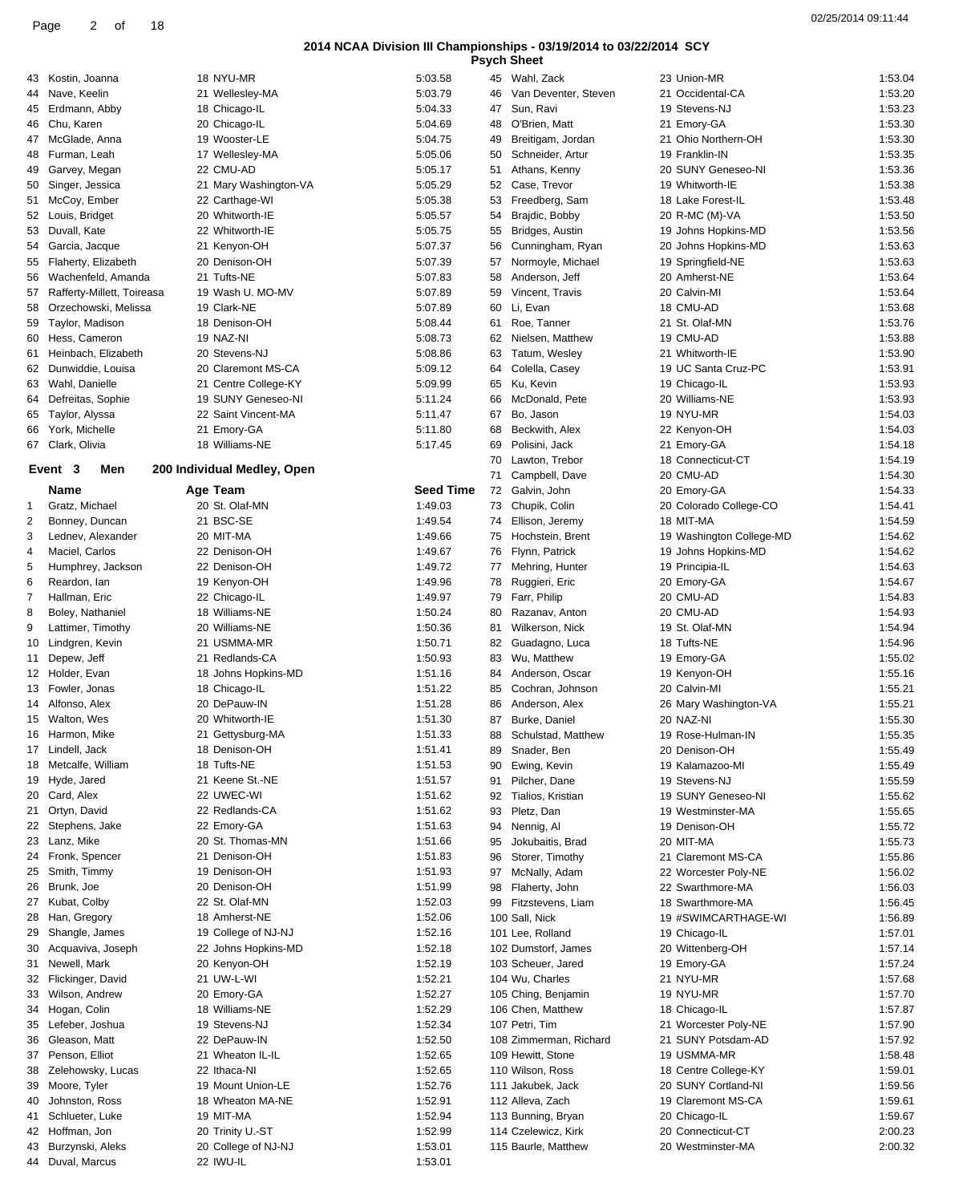|                |                                                  |                                      | טעוווטווטווטווער ווו ווטוטווער רורע |          | <b>Psych Sheet</b>                       |                                         |                    |
|----------------|--------------------------------------------------|--------------------------------------|-------------------------------------|----------|------------------------------------------|-----------------------------------------|--------------------|
|                | 43 Kostin, Joanna                                | 18 NYU-MR                            | 5:03.58                             |          | 45 Wahl, Zack                            | 23 Union-MR                             | 1:53.04            |
| 44             | Nave, Keelin                                     | 21 Wellesley-MA                      | 5:03.79                             | 46       | Van Deventer, Steven                     | 21 Occidental-CA                        | 1:53.20            |
| 45             | Erdmann, Abby                                    | 18 Chicago-IL                        | 5:04.33                             | 47       | Sun, Ravi                                | 19 Stevens-NJ                           | 1:53.23            |
| 46             | Chu, Karen                                       | 20 Chicago-IL                        | 5:04.69                             | 48       | O'Brien, Matt                            | 21 Emory-GA                             | 1:53.30            |
| 47<br>48       | McGlade, Anna<br>Furman, Leah                    | 19 Wooster-LE<br>17 Wellesley-MA     | 5:04.75<br>5:05.06                  | 49       | Breitigam, Jordan<br>50 Schneider, Artur | 21 Ohio Northern-OH<br>19 Franklin-IN   | 1:53.30<br>1:53.35 |
| 49             | Garvey, Megan                                    | 22 CMU-AD                            | 5:05.17                             | 51       | Athans, Kenny                            | 20 SUNY Geneseo-NI                      | 1:53.36            |
| 50             | Singer, Jessica                                  | 21 Mary Washington-VA                | 5:05.29                             | 52       | Case, Trevor                             | 19 Whitworth-IE                         | 1:53.38            |
| 51             | McCoy, Ember                                     | 22 Carthage-WI                       | 5:05.38                             | 53       | Freedberg, Sam                           | 18 Lake Forest-IL                       | 1:53.48            |
| 52             | Louis, Bridget                                   | 20 Whitworth-IE                      | 5:05.57                             | 54       | Brajdic, Bobby                           | 20 R-MC (M)-VA                          | 1:53.50            |
| 53             | Duvall, Kate                                     | 22 Whitworth-IE                      | 5:05.75                             | 55       | Bridges, Austin                          | 19 Johns Hopkins-MD                     | 1:53.56            |
| 54             | Garcia, Jacque                                   | 21 Kenyon-OH                         | 5:07.37                             | 56       | Cunningham, Ryan                         | 20 Johns Hopkins-MD                     | 1:53.63            |
|                | 55 Flaherty, Elizabeth                           | 20 Denison-OH                        | 5:07.39                             | 57       | Normoyle, Michael                        | 19 Springfield-NE                       | 1:53.63            |
| 56<br>57       | Wachenfeld, Amanda<br>Rafferty-Millett, Toireasa | 21 Tufts-NE<br>19 Wash U. MO-MV      | 5:07.83<br>5:07.89                  | 58<br>59 | Anderson, Jeff<br>Vincent, Travis        | 20 Amherst-NE<br>20 Calvin-MI           | 1:53.64<br>1:53.64 |
| 58             | Orzechowski, Melissa                             | 19 Clark-NE                          | 5:07.89                             | 60       | Li, Evan                                 | 18 CMU-AD                               | 1:53.68            |
| 59             | Taylor, Madison                                  | 18 Denison-OH                        | 5:08.44                             | 61       | Roe, Tanner                              | 21 St. Olaf-MN                          | 1:53.76            |
| 60             | Hess, Cameron                                    | 19 NAZ-NI                            | 5:08.73                             | 62       | Nielsen, Matthew                         | 19 CMU-AD                               | 1:53.88            |
| 61             | Heinbach, Elizabeth                              | 20 Stevens-NJ                        | 5:08.86                             | 63       | Tatum, Wesley                            | 21 Whitworth-IE                         | 1:53.90            |
|                | 62 Dunwiddie, Louisa                             | 20 Claremont MS-CA                   | 5:09.12                             | 64       | Colella, Casey                           | 19 UC Santa Cruz-PC                     | 1:53.91            |
|                | 63 Wahl, Danielle                                | 21 Centre College-KY                 | 5:09.99                             | 65       | Ku, Kevin                                | 19 Chicago-IL                           | 1:53.93            |
| 64             | Defreitas, Sophie                                | 19 SUNY Geneseo-NI                   | 5:11.24                             | 66       | McDonald, Pete                           | 20 Williams-NE                          | 1:53.93            |
| 65<br>66       | Taylor, Alyssa<br>York, Michelle                 | 22 Saint Vincent-MA<br>21 Emory-GA   | 5:11.47<br>5:11.80                  | 67<br>68 | Bo, Jason<br>Beckwith, Alex              | 19 NYU-MR<br>22 Kenyon-OH               | 1:54.03<br>1:54.03 |
|                | 67 Clark, Olivia                                 | 18 Williams-NE                       | 5:17.45                             | 69       | Polisini, Jack                           | 21 Emory-GA                             | 1:54.18            |
|                |                                                  |                                      |                                     | 70       | Lawton, Trebor                           | 18 Connecticut-CT                       | 1:54.19            |
|                | Event 3<br>Men                                   | 200 Individual Medley, Open          |                                     | 71       | Campbell, Dave                           | 20 CMU-AD                               | 1:54.30            |
|                | Name                                             | Age Team                             | <b>Seed Time</b>                    |          | 72 Galvin, John                          | 20 Emory-GA                             | 1:54.33            |
| $\mathbf{1}$   | Gratz, Michael                                   | 20 St. Olaf-MN                       | 1:49.03                             | 73       | Chupik, Colin                            | 20 Colorado College-CO                  | 1:54.41            |
| $\overline{c}$ | Bonney, Duncan                                   | 21 BSC-SE                            | 1:49.54                             | 74       | Ellison, Jeremy                          | 18 MIT-MA                               | 1:54.59            |
| 3              | Lednev, Alexander                                | 20 MIT-MA                            | 1:49.66                             | 75       | Hochstein, Brent                         | 19 Washington College-MD                | 1:54.62            |
| 4<br>5         | Maciel, Carlos<br>Humphrey, Jackson              | 22 Denison-OH<br>22 Denison-OH       | 1:49.67<br>1:49.72                  | 76<br>77 | Flynn, Patrick<br>Mehring, Hunter        | 19 Johns Hopkins-MD<br>19 Principia-IL  | 1:54.62<br>1:54.63 |
| 6              | Reardon, Ian                                     | 19 Kenyon-OH                         | 1:49.96                             |          | 78 Ruggieri, Eric                        | 20 Emory-GA                             | 1:54.67            |
| 7              | Hallman, Eric                                    | 22 Chicago-IL                        | 1:49.97                             | 79       | Farr, Philip                             | 20 CMU-AD                               | 1:54.83            |
| 8              | Boley, Nathaniel                                 | 18 Williams-NE                       | 1:50.24                             | 80       | Razanav, Anton                           | 20 CMU-AD                               | 1:54.93            |
| 9              | Lattimer, Timothy                                | 20 Williams-NE                       | 1:50.36                             | 81       | Wilkerson, Nick                          | 19 St. Olaf-MN                          | 1:54.94            |
| 10             | Lindgren, Kevin                                  | 21 USMMA-MR                          | 1:50.71                             | 82       | Guadagno, Luca                           | 18 Tufts-NE                             | 1:54.96            |
| 11             | Depew, Jeff                                      | 21 Redlands-CA                       | 1:50.93                             | 83       | Wu, Matthew                              | 19 Emory-GA                             | 1:55.02            |
|                | 12 Holder, Evan<br>13 Fowler, Jonas              | 18 Johns Hopkins-MD<br>18 Chicago-IL | 1:51.16<br>1:51.22                  | 84<br>85 | Anderson, Oscar<br>Cochran, Johnson      | 19 Kenyon-OH<br>20 Calvin-MI            | 1:55.16<br>1:55.21 |
| 14             | Alfonso, Alex                                    | 20 DePauw-IN                         | 1:51.28                             | 86       | Anderson, Alex                           | 26 Mary Washington-VA                   | 1:55.21            |
|                | 15 Walton, Wes                                   | 20 Whitworth-IE                      | 1:51.30                             | 87       | Burke, Daniel                            | 20 NAZ-NI                               | 1:55.30            |
| 16             | Harmon, Mike                                     | 21 Gettysburg-MA                     | 1:51.33                             | 88       | Schulstad, Matthew                       | 19 Rose-Hulman-IN                       | 1:55.35            |
|                | 17 Lindell, Jack                                 | 18 Denison-OH                        | 1:51.41                             | 89       | Snader, Ben                              | 20 Denison-OH                           | 1:55.49            |
|                | 18 Metcalfe, William                             | 18 Tufts-NE                          | 1:51.53                             | 90       | Ewing, Kevin                             | 19 Kalamazoo-MI                         | 1:55.49            |
|                | 19 Hyde, Jared                                   | 21 Keene St.-NE                      | 1:51.57                             | 91       | Pilcher, Dane                            | 19 Stevens-NJ                           | 1:55.59            |
| 20<br>21       | Card, Alex<br>Ortyn, David                       | 22 UWEC-WI<br>22 Redlands-CA         | 1:51.62<br>1:51.62                  | 92<br>93 | Tialios, Kristian<br>Pletz, Dan          | 19 SUNY Geneseo-NI<br>19 Westminster-MA | 1:55.62<br>1:55.65 |
| 22             | Stephens, Jake                                   | 22 Emory-GA                          | 1:51.63                             | 94       | Nennig, Al                               | 19 Denison-OH                           | 1:55.72            |
|                | 23 Lanz, Mike                                    | 20 St. Thomas-MN                     | 1:51.66                             | 95       | Jokubaitis, Brad                         | 20 MIT-MA                               | 1:55.73            |
|                | 24 Fronk, Spencer                                | 21 Denison-OH                        | 1:51.83                             | 96       | Storer, Timothy                          | 21 Claremont MS-CA                      | 1:55.86            |
| 25             | Smith, Timmy                                     | 19 Denison-OH                        | 1:51.93                             | 97       | McNally, Adam                            | 22 Worcester Poly-NE                    | 1:56.02            |
|                | 26 Brunk, Joe                                    | 20 Denison-OH                        | 1:51.99                             | 98       | Flaherty, John                           | 22 Swarthmore-MA                        | 1:56.03            |
| 27             | Kubat, Colby                                     | 22 St. Olaf-MN                       | 1:52.03                             | 99       | Fitzstevens, Liam                        | 18 Swarthmore-MA                        | 1:56.45            |
| 28             | Han, Gregory<br>Shangle, James                   | 18 Amherst-NE<br>19 College of NJ-NJ | 1:52.06<br>1:52.16                  |          | 100 Sall, Nick<br>101 Lee, Rolland       | 19 #SWIMCARTHAGE-WI                     | 1:56.89<br>1:57.01 |
| 29<br>30       | Acquaviva, Joseph                                | 22 Johns Hopkins-MD                  | 1:52.18                             |          | 102 Dumstorf, James                      | 19 Chicago-IL<br>20 Wittenberg-OH       | 1:57.14            |
| 31             | Newell, Mark                                     | 20 Kenyon-OH                         | 1:52.19                             |          | 103 Scheuer, Jared                       | 19 Emory-GA                             | 1:57.24            |
|                | 32 Flickinger, David                             | 21 UW-L-WI                           | 1:52.21                             |          | 104 Wu, Charles                          | 21 NYU-MR                               | 1:57.68            |
| 33             | Wilson, Andrew                                   | 20 Emory-GA                          | 1:52.27                             |          | 105 Ching, Benjamin                      | 19 NYU-MR                               | 1:57.70            |
| 34             | Hogan, Colin                                     | 18 Williams-NE                       | 1:52.29                             |          | 106 Chen, Matthew                        | 18 Chicago-IL                           | 1:57.87            |
| 35             | Lefeber, Joshua                                  | 19 Stevens-NJ                        | 1:52.34                             |          | 107 Petri, Tim                           | 21 Worcester Poly-NE                    | 1:57.90            |
| 36             | Gleason, Matt                                    | 22 DePauw-IN                         | 1:52.50                             |          | 108 Zimmerman, Richard                   | 21 SUNY Potsdam-AD                      | 1:57.92            |
| 37<br>38       | Penson, Elliot<br>Zelehowsky, Lucas              | 21 Wheaton IL-IL<br>22 Ithaca-NI     | 1:52.65<br>1:52.65                  |          | 109 Hewitt, Stone<br>110 Wilson, Ross    | 19 USMMA-MR<br>18 Centre College-KY     | 1:58.48<br>1:59.01 |
| 39             | Moore, Tyler                                     | 19 Mount Union-LE                    | 1:52.76                             |          | 111 Jakubek, Jack                        | 20 SUNY Cortland-NI                     | 1:59.56            |
| 40             | Johnston, Ross                                   | 18 Wheaton MA-NE                     | 1:52.91                             |          | 112 Alleva, Zach                         | 19 Claremont MS-CA                      | 1:59.61            |
| 41             | Schlueter, Luke                                  | 19 MIT-MA                            | 1:52.94                             |          | 113 Bunning, Bryan                       | 20 Chicago-IL                           | 1:59.67            |
|                | 42 Hoffman, Jon                                  | 20 Trinity U.-ST                     | 1:52.99                             |          | 114 Czelewicz, Kirk                      | 20 Connecticut-CT                       | 2:00.23            |
| 43             | Burzynski, Aleks                                 | 20 College of NJ-NJ                  | 1:53.01                             |          | 115 Baurle, Matthew                      | 20 Westminster-MA                       | 2:00.32            |
|                | 44 Duval, Marcus                                 | 22 IWU-IL                            | 1:53.01                             |          |                                          |                                         |                    |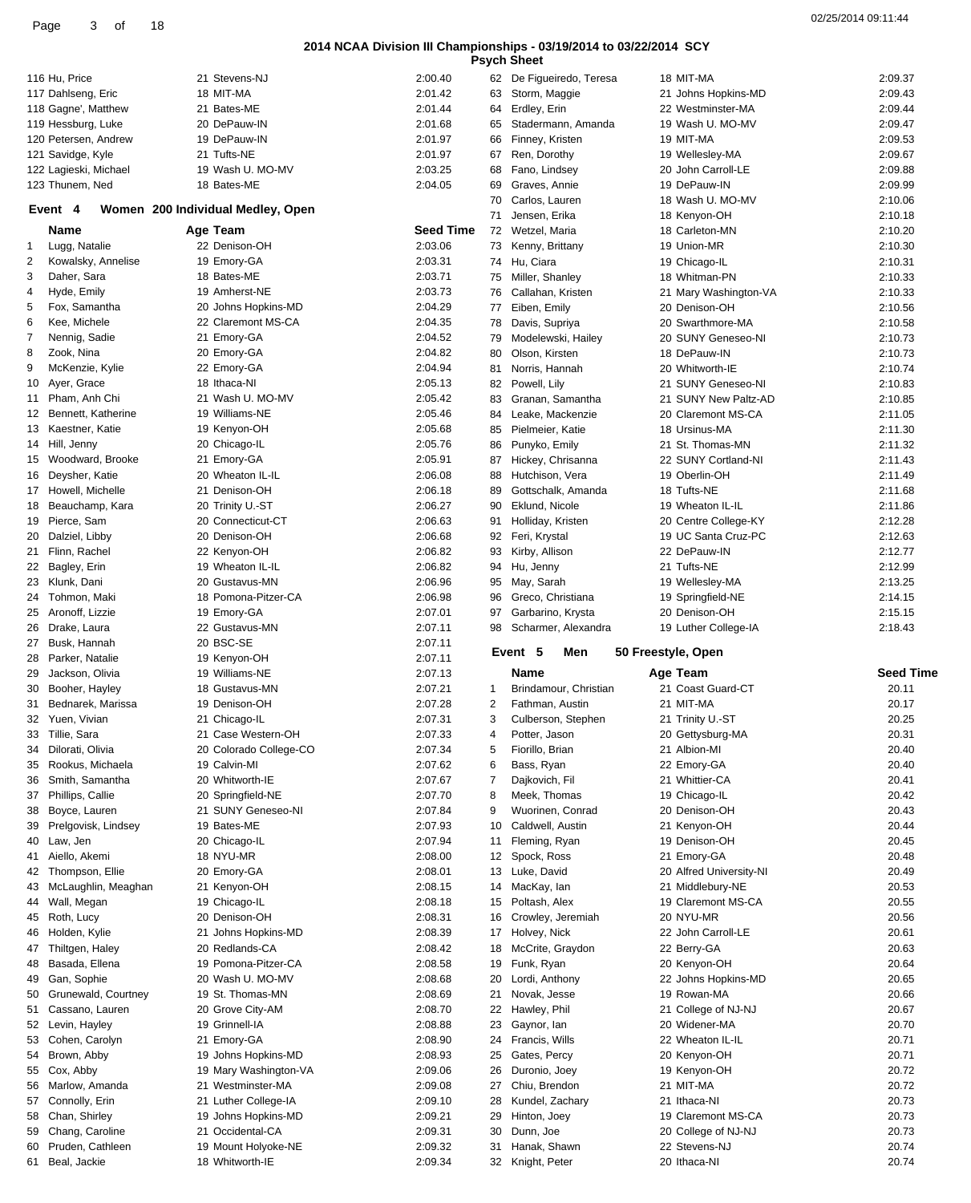| 116 Hu, Price                          | 21 Stevens-NJ                          | 2:00.40            |    | 62 De Figueiredo, Teresa            | 18 MIT-MA                     | 2:09.37          |
|----------------------------------------|----------------------------------------|--------------------|----|-------------------------------------|-------------------------------|------------------|
| 117 Dahlseng, Eric                     | 18 MIT-MA                              | 2:01.42            |    | 63 Storm, Maggie                    | 21 Johns Hopkins-MD           | 2:09.43          |
| 118 Gagne', Matthew                    | 21 Bates-ME                            | 2:01.44            |    | 64 Erdley, Erin                     | 22 Westminster-MA             | 2:09.44          |
| 119 Hessburg, Luke                     | 20 DePauw-IN                           | 2:01.68            | 65 | Stadermann, Amanda                  | 19 Wash U. MO-MV              | 2:09.47          |
| 120 Petersen, Andrew                   | 19 DePauw-IN                           | 2:01.97            | 66 | Finney, Kristen                     | 19 MIT-MA                     | 2:09.53          |
| 121 Savidge, Kyle                      | 21 Tufts-NE                            | 2:01.97            |    | 67 Ren, Dorothy                     | 19 Wellesley-MA               | 2:09.67          |
| 122 Lagieski, Michael                  | 19 Wash U. MO-MV                       | 2:03.25            |    | 68 Fano, Lindsey                    | 20 John Carroll-LE            | 2:09.88          |
| 123 Thunem, Ned                        | 18 Bates-ME                            | 2:04.05            | 69 | Graves, Annie                       | 19 DePauw-IN                  | 2:09.99          |
|                                        |                                        |                    |    |                                     |                               |                  |
| Event 4                                | Women 200 Individual Medley, Open      |                    | 70 | Carlos, Lauren                      | 18 Wash U. MO-MV              | 2:10.06          |
|                                        |                                        |                    | 71 | Jensen, Erika                       | 18 Kenyon-OH                  | 2:10.18          |
| Name                                   | Age Team                               | Seed Time          | 72 | Wetzel, Maria                       | 18 Carleton-MN                | 2:10.20          |
| Lugg, Natalie<br>1.                    | 22 Denison-OH                          | 2:03.06            |    | 73 Kenny, Brittany                  | 19 Union-MR                   | 2:10.30          |
| 2<br>Kowalsky, Annelise                | 19 Emory-GA                            | 2:03.31            |    | 74 Hu, Ciara                        | 19 Chicago-IL                 | 2:10.31          |
| 3<br>Daher, Sara                       | 18 Bates-ME                            | 2:03.71            |    | 75 Miller, Shanley                  | 18 Whitman-PN                 | 2:10.33          |
| Hyde, Emily<br>4                       | 19 Amherst-NE                          | 2:03.73            | 76 | Callahan, Kristen                   | 21 Mary Washington-VA         | 2:10.33          |
| Fox, Samantha<br>5                     | 20 Johns Hopkins-MD                    | 2:04.29            |    | 77 Eiben, Emily                     | 20 Denison-OH                 | 2:10.56          |
| 6<br>Kee, Michele                      | 22 Claremont MS-CA                     | 2:04.35            | 78 | Davis, Supriya                      | 20 Swarthmore-MA              | 2:10.58          |
|                                        |                                        |                    |    |                                     |                               |                  |
| 7<br>Nennig, Sadie                     | 21 Emory-GA                            | 2:04.52            | 79 | Modelewski, Hailey                  | 20 SUNY Geneseo-NI            | 2:10.73          |
| 8<br>Zook, Nina                        | 20 Emory-GA                            | 2:04.82            | 80 | Olson, Kirsten                      | 18 DePauw-IN                  | 2:10.73          |
| McKenzie, Kylie<br>9                   | 22 Emory-GA                            | 2:04.94            | 81 | Norris, Hannah                      | 20 Whitworth-IE               | 2:10.74          |
| 10 Ayer, Grace                         | 18 Ithaca-NI                           | 2:05.13            | 82 | Powell, Lily                        | 21 SUNY Geneseo-NI            | 2:10.83          |
| 11 Pham, Anh Chi                       | 21 Wash U. MO-MV                       | 2:05.42            | 83 | Granan, Samantha                    | 21 SUNY New Paltz-AD          | 2:10.85          |
| 12 Bennett, Katherine                  | 19 Williams-NE                         | 2:05.46            | 84 | Leake, Mackenzie                    | 20 Claremont MS-CA            | 2:11.05          |
| 13 Kaestner, Katie                     | 19 Kenyon-OH                           | 2:05.68            | 85 | Pielmeier, Katie                    | 18 Ursinus-MA                 | 2:11.30          |
| 14 Hill, Jenny                         | 20 Chicago-IL                          | 2:05.76            | 86 | Punyko, Emily                       | 21 St. Thomas-MN              | 2:11.32          |
|                                        | 21 Emory-GA                            |                    |    |                                     | 22 SUNY Cortland-NI           |                  |
| 15 Woodward, Brooke                    |                                        | 2:05.91            | 87 | Hickey, Chrisanna                   |                               | 2:11.43          |
| 16 Deysher, Katie                      | 20 Wheaton IL-IL                       | 2:06.08            | 88 | Hutchison, Vera                     | 19 Oberlin-OH                 | 2:11.49          |
| 17 Howell, Michelle                    | 21 Denison-OH                          | 2:06.18            | 89 | Gottschalk, Amanda                  | 18 Tufts-NE                   | 2:11.68          |
| 18 Beauchamp, Kara                     | 20 Trinity U.-ST                       | 2:06.27            | 90 | Eklund, Nicole                      | 19 Wheaton IL-IL              | 2:11.86          |
| 19 Pierce, Sam                         | 20 Connecticut-CT                      | 2:06.63            | 91 | Holliday, Kristen                   | 20 Centre College-KY          | 2:12.28          |
| 20 Dalziel, Libby                      | 20 Denison-OH                          | 2:06.68            | 92 | Feri, Krystal                       | 19 UC Santa Cruz-PC           | 2:12.63          |
| 21 Flinn, Rachel                       | 22 Kenyon-OH                           | 2:06.82            | 93 | Kirby, Allison                      | 22 DePauw-IN                  | 2:12.77          |
| 22 Bagley, Erin                        | 19 Wheaton IL-IL                       | 2:06.82            | 94 | Hu, Jenny                           | 21 Tufts-NE                   | 2:12.99          |
|                                        | 20 Gustavus-MN                         |                    |    |                                     |                               |                  |
| 23 Klunk, Dani                         |                                        | 2:06.96            | 95 | May, Sarah                          | 19 Wellesley-MA               | 2:13.25          |
| 24 Tohmon, Maki                        | 18 Pomona-Pitzer-CA                    | 2:06.98            | 96 | Greco, Christiana                   | 19 Springfield-NE             | 2:14.15          |
|                                        |                                        |                    |    |                                     |                               |                  |
| 25 Aronoff, Lizzie                     | 19 Emory-GA                            | 2:07.01            | 97 | Garbarino, Krysta                   | 20 Denison-OH                 | 2:15.15          |
| 26 Drake, Laura                        | 22 Gustavus-MN                         | 2:07.11            |    | 98 Scharmer, Alexandra              | 19 Luther College-IA          | 2:18.43          |
| 27 Busk, Hannah                        | 20 BSC-SE                              | 2:07.11            |    |                                     |                               |                  |
| 28 Parker, Natalie                     | 19 Kenyon-OH                           | 2:07.11            |    | Event 5<br>Men                      | 50 Freestyle, Open            |                  |
|                                        |                                        |                    |    |                                     |                               |                  |
| 29 Jackson, Olivia                     | 19 Williams-NE                         | 2:07.13            |    | Name                                | Age Team                      | <b>Seed Time</b> |
| 30 Booher, Hayley                      | 18 Gustavus-MN                         | 2:07.21            | 1  | Brindamour, Christian               | 21 Coast Guard-CT             | 20.11            |
| 31 Bednarek, Marissa                   | 19 Denison-OH                          | 2:07.28            | 2  | Fathman, Austin                     | 21 MIT-MA                     | 20.17            |
| 32 Yuen, Vivian                        | 21 Chicago-IL                          | 2:07.31            | 3  | Culberson, Stephen                  | 21 Trinity U.-ST              | 20.25            |
| 33 Tillie, Sara                        | 21 Case Western-OH                     | 2:07.33            | 4  | Potter, Jason                       | 20 Gettysburg-MA              | 20.31            |
| 34 Dilorati, Olivia                    | 20 Colorado College-CO                 | 2:07.34            | 5  | Fiorillo, Brian                     | 21 Albion-MI                  | 20.40            |
| 35 Rookus, Michaela                    | 19 Calvin-MI                           | 2:07.62            | 6  | Bass, Ryan                          | 22 Emory-GA                   | 20.40            |
| 36 Smith, Samantha                     | 20 Whitworth-IE                        | 2:07.67            | 7  | Dajkovich, Fil                      | 21 Whittier-CA                | 20.41            |
| 37 Phillips, Callie                    | 20 Springfield-NE                      | 2:07.70            | 8  | Meek, Thomas                        | 19 Chicago-IL                 | 20.42            |
|                                        |                                        |                    |    |                                     |                               |                  |
| 38 Boyce, Lauren                       | 21 SUNY Geneseo-NI                     | 2:07.84            | 9  | Wuorinen, Conrad                    | 20 Denison-OH                 | 20.43            |
| 39 Prelgovisk, Lindsey                 | 19 Bates-ME                            | 2:07.93            | 10 | Caldwell, Austin                    | 21 Kenyon-OH                  | 20.44            |
| 40 Law, Jen                            | 20 Chicago-IL                          | 2:07.94            | 11 | Fleming, Ryan                       | 19 Denison-OH                 | 20.45            |
| 41 Aiello, Akemi                       | 18 NYU-MR                              | 2:08.00            |    | 12 Spock, Ross                      | 21 Emory-GA                   | 20.48            |
| 42 Thompson, Ellie                     | 20 Emory-GA                            | 2:08.01            |    | 13 Luke, David                      | 20 Alfred University-NI       | 20.49            |
| 43 McLaughlin, Meaghan                 | 21 Kenyon-OH                           | 2:08.15            | 14 | MacKay, lan                         | 21 Middlebury-NE              | 20.53            |
| 44 Wall, Megan                         | 19 Chicago-IL                          | 2:08.18            | 15 | Poltash, Alex                       | 19 Claremont MS-CA            | 20.55            |
| 45 Roth, Lucy                          | 20 Denison-OH                          | 2:08.31            |    | 16 Crowley, Jeremiah                | 20 NYU-MR                     | 20.56            |
| 46 Holden, Kylie                       | 21 Johns Hopkins-MD                    | 2:08.39            |    | 17 Holvey, Nick                     | 22 John Carroll-LE            | 20.61            |
|                                        |                                        |                    |    |                                     |                               |                  |
| 47 Thiltgen, Haley                     | 20 Redlands-CA                         | 2:08.42            |    | 18 McCrite, Graydon                 | 22 Berry-GA                   | 20.63            |
| 48 Basada, Ellena                      | 19 Pomona-Pitzer-CA                    | 2:08.58            |    | 19 Funk, Ryan                       | 20 Kenyon-OH                  | 20.64            |
| 49 Gan, Sophie                         | 20 Wash U. MO-MV                       | 2:08.68            | 20 | Lordi, Anthony                      | 22 Johns Hopkins-MD           | 20.65            |
| 50 Grunewald, Courtney                 | 19 St. Thomas-MN                       | 2:08.69            | 21 | Novak, Jesse                        | 19 Rowan-MA                   | 20.66            |
| 51 Cassano, Lauren                     | 20 Grove City-AM                       | 2:08.70            | 22 | Hawley, Phil                        | 21 College of NJ-NJ           | 20.67            |
| 52 Levin, Hayley                       | 19 Grinnell-IA                         | 2:08.88            | 23 | Gaynor, Ian                         | 20 Widener-MA                 | 20.70            |
| 53 Cohen, Carolyn                      | 21 Emory-GA                            | 2:08.90            | 24 | Francis, Wills                      | 22 Wheaton IL-IL              | 20.71            |
| 54 Brown, Abby                         | 19 Johns Hopkins-MD                    | 2:08.93            | 25 | Gates, Percy                        | 20 Kenyon-OH                  | 20.71            |
| 55 Cox, Abby                           | 19 Mary Washington-VA                  | 2:09.06            | 26 | Duronio, Joey                       | 19 Kenyon-OH                  | 20.72            |
|                                        |                                        |                    |    |                                     |                               |                  |
| 56 Marlow, Amanda                      | 21 Westminster-MA                      | 2:09.08            | 27 | Chiu, Brendon                       | 21 MIT-MA                     | 20.72            |
| 57 Connolly, Erin                      | 21 Luther College-IA                   | 2:09.10            | 28 | Kundel, Zachary                     | 21 Ithaca-NI                  | 20.73            |
| 58 Chan, Shirley                       | 19 Johns Hopkins-MD                    | 2:09.21            | 29 | Hinton, Joey                        | 19 Claremont MS-CA            | 20.73            |
| 59 Chang, Caroline                     | 21 Occidental-CA                       | 2:09.31            | 30 | Dunn, Joe                           | 20 College of NJ-NJ           | 20.73            |
| 60 Pruden, Cathleen<br>61 Beal, Jackie | 19 Mount Holyoke-NE<br>18 Whitworth-IE | 2:09.32<br>2:09.34 |    | 31 Hanak, Shawn<br>32 Knight, Peter | 22 Stevens-NJ<br>20 Ithaca-NI | 20.74<br>20.74   |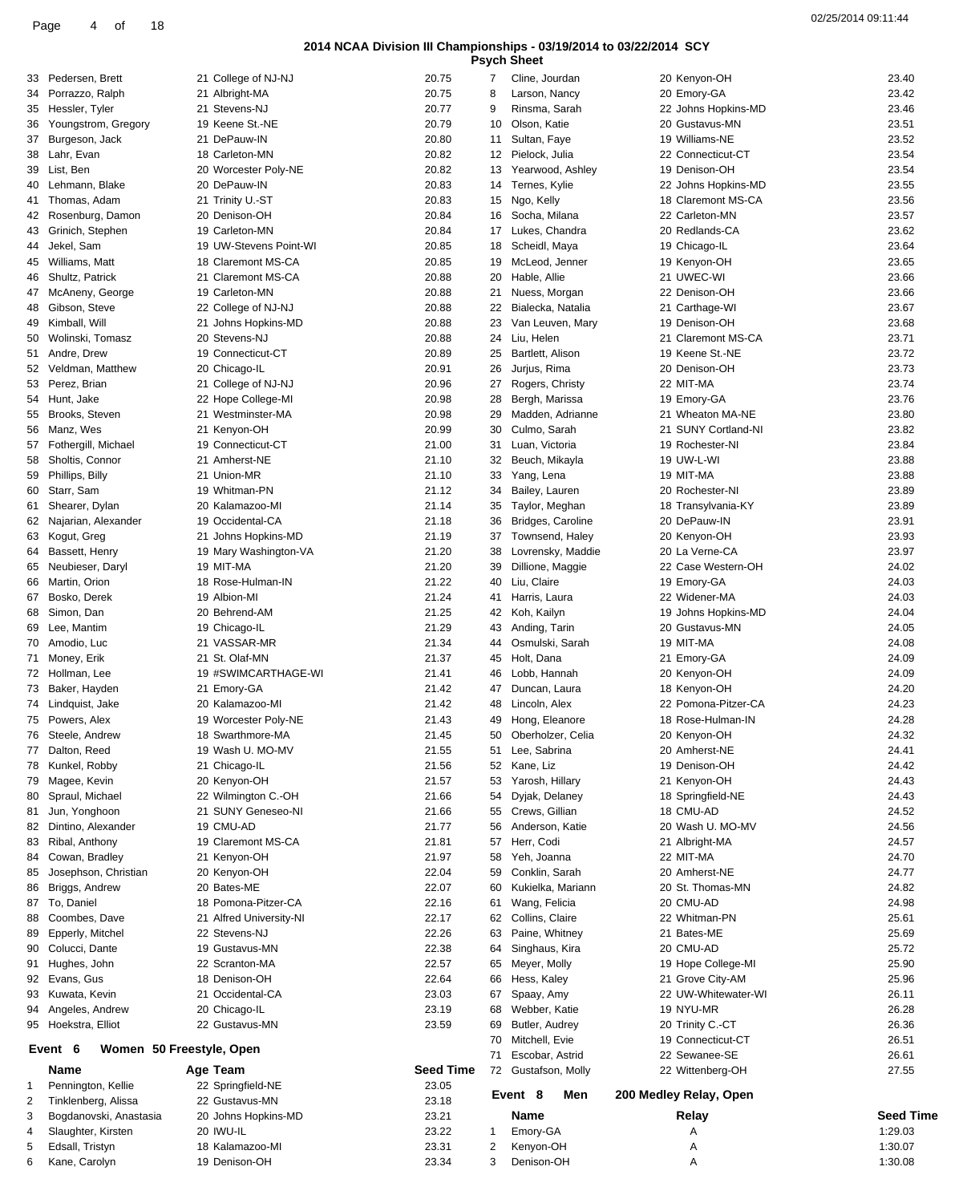| <b>Psych Sheet</b> |  |
|--------------------|--|
|--------------------|--|

| 33 | Pedersen, Brett                     | 21 College of NJ-NJ     | 20.75            | 7  | Cline, Jourdan      | 20 Kenyon-OH           | 23.40            |
|----|-------------------------------------|-------------------------|------------------|----|---------------------|------------------------|------------------|
| 34 | Porrazzo, Ralph                     | 21 Albright-MA          | 20.75            | 8  | Larson, Nancy       | 20 Emory-GA            | 23.42            |
| 35 | Hessler, Tyler                      | 21 Stevens-NJ           | 20.77            | 9  | Rinsma, Sarah       | 22 Johns Hopkins-MD    | 23.46            |
| 36 | Youngstrom, Gregory                 | 19 Keene St.-NE         | 20.79            | 10 | Olson, Katie        | 20 Gustavus-MN         | 23.51            |
| 37 | Burgeson, Jack                      | 21 DePauw-IN            | 20.80            | 11 | Sultan, Faye        | 19 Williams-NE         | 23.52            |
|    |                                     |                         |                  |    |                     |                        |                  |
| 38 | Lahr, Evan                          | 18 Carleton-MN          | 20.82            | 12 | Pielock, Julia      | 22 Connecticut-CT      | 23.54            |
| 39 | List, Ben                           | 20 Worcester Poly-NE    | 20.82            | 13 | Yearwood, Ashley    | 19 Denison-OH          | 23.54            |
| 40 | Lehmann, Blake                      | 20 DePauw-IN            | 20.83            | 14 | Ternes, Kylie       | 22 Johns Hopkins-MD    | 23.55            |
| 41 | Thomas, Adam                        | 21 Trinity U.-ST        | 20.83            | 15 | Ngo, Kelly          | 18 Claremont MS-CA     | 23.56            |
| 42 | Rosenburg, Damon                    | 20 Denison-OH           | 20.84            | 16 | Socha, Milana       | 22 Carleton-MN         | 23.57            |
| 43 | Grinich, Stephen                    | 19 Carleton-MN          | 20.84            | 17 | Lukes, Chandra      | 20 Redlands-CA         | 23.62            |
| 44 | Jekel, Sam                          | 19 UW-Stevens Point-WI  | 20.85            | 18 | Scheidl, Maya       | 19 Chicago-IL          | 23.64            |
|    |                                     |                         |                  |    |                     |                        |                  |
| 45 | Williams, Matt                      | 18 Claremont MS-CA      | 20.85            | 19 | McLeod, Jenner      | 19 Kenyon-OH           | 23.65            |
| 46 | Shultz, Patrick                     | 21 Claremont MS-CA      | 20.88            | 20 | Hable, Allie        | 21 UWEC-WI             | 23.66            |
| 47 | McAneny, George                     | 19 Carleton-MN          | 20.88            | 21 | Nuess, Morgan       | 22 Denison-OH          | 23.66            |
| 48 | Gibson, Steve                       | 22 College of NJ-NJ     | 20.88            | 22 | Bialecka, Natalia   | 21 Carthage-WI         | 23.67            |
| 49 | Kimball, Will                       | 21 Johns Hopkins-MD     | 20.88            | 23 | Van Leuven, Mary    | 19 Denison-OH          | 23.68            |
| 50 | Wolinski, Tomasz                    | 20 Stevens-NJ           | 20.88            | 24 | Liu, Helen          | 21 Claremont MS-CA     | 23.71            |
|    | 51 Andre, Drew                      | 19 Connecticut-CT       | 20.89            | 25 | Bartlett, Alison    | 19 Keene St.-NE        | 23.72            |
|    | Veldman, Matthew                    | 20 Chicago-IL           | 20.91            | 26 | Jurjus, Rima        | 20 Denison-OH          | 23.73            |
| 52 |                                     |                         |                  |    |                     |                        |                  |
| 53 | Perez, Brian                        | 21 College of NJ-NJ     | 20.96            | 27 | Rogers, Christy     | 22 MIT-MA              | 23.74            |
|    | 54 Hunt, Jake                       | 22 Hope College-MI      | 20.98            | 28 | Bergh, Marissa      | 19 Emory-GA            | 23.76            |
| 55 | Brooks, Steven                      | 21 Westminster-MA       | 20.98            | 29 | Madden, Adrianne    | 21 Wheaton MA-NE       | 23.80            |
| 56 | Manz, Wes                           | 21 Kenyon-OH            | 20.99            | 30 | Culmo, Sarah        | 21 SUNY Cortland-NI    | 23.82            |
|    | 57 Fothergill, Michael              | 19 Connecticut-CT       | 21.00            | 31 | Luan, Victoria      | 19 Rochester-NI        | 23.84            |
| 58 | Sholtis, Connor                     | 21 Amherst-NE           | 21.10            | 32 | Beuch, Mikayla      | 19 UW-L-WI             | 23.88            |
| 59 | Phillips, Billy                     | 21 Union-MR             | 21.10            | 33 | Yang, Lena          | 19 MIT-MA              | 23.88            |
|    |                                     |                         |                  |    |                     |                        |                  |
|    | 60 Starr, Sam                       | 19 Whitman-PN           | 21.12            | 34 | Bailey, Lauren      | 20 Rochester-NI        | 23.89            |
| 61 | Shearer, Dylan                      | 20 Kalamazoo-MI         | 21.14            | 35 | Taylor, Meghan      | 18 Transylvania-KY     | 23.89            |
| 62 | Najarian, Alexander                 | 19 Occidental-CA        | 21.18            | 36 | Bridges, Caroline   | 20 DePauw-IN           | 23.91            |
| 63 | Kogut, Greg                         | 21 Johns Hopkins-MD     | 21.19            | 37 | Townsend, Haley     | 20 Kenyon-OH           | 23.93            |
| 64 | Bassett, Henry                      | 19 Mary Washington-VA   | 21.20            | 38 | Lovrensky, Maddie   | 20 La Verne-CA         | 23.97            |
| 65 | Neubieser, Daryl                    | 19 MIT-MA               | 21.20            | 39 | Dillione, Maggie    | 22 Case Western-OH     | 24.02            |
| 66 | Martin, Orion                       | 18 Rose-Hulman-IN       | 21.22            | 40 | Liu, Claire         | 19 Emory-GA            | 24.03            |
|    |                                     |                         |                  |    |                     |                        |                  |
| 67 | Bosko, Derek                        | 19 Albion-MI            | 21.24            | 41 | Harris, Laura       | 22 Widener-MA          | 24.03            |
| 68 | Simon, Dan                          | 20 Behrend-AM           | 21.25            | 42 | Koh, Kailyn         | 19 Johns Hopkins-MD    | 24.04            |
| 69 | Lee, Mantim                         | 19 Chicago-IL           | 21.29            | 43 | Anding, Tarin       | 20 Gustavus-MN         | 24.05            |
|    | 70 Amodio, Luc                      | 21 VASSAR-MR            | 21.34            | 44 | Osmulski, Sarah     | 19 MIT-MA              | 24.08            |
| 71 | Money, Erik                         | 21 St. Olaf-MN          | 21.37            | 45 | Holt, Dana          | 21 Emory-GA            | 24.09            |
|    | 72 Hollman, Lee                     | 19 #SWIMCARTHAGE-WI     | 21.41            | 46 | Lobb. Hannah        | 20 Kenyon-OH           | 24.09            |
|    | 73 Baker, Hayden                    | 21 Emory-GA             | 21.42            | 47 | Duncan, Laura       | 18 Kenyon-OH           | 24.20            |
|    |                                     |                         |                  |    |                     |                        |                  |
|    | 74 Lindquist, Jake                  | 20 Kalamazoo-MI         | 21.42            | 48 | Lincoln, Alex       | 22 Pomona-Pitzer-CA    | 24.23            |
|    | 75 Powers, Alex                     | 19 Worcester Poly-NE    | 21.43            | 49 | Hong, Eleanore      | 18 Rose-Hulman-IN      | 24.28            |
|    | 76 Steele, Andrew                   | 18 Swarthmore-MA        | 21.45            | 50 | Oberholzer, Celia   | 20 Kenyon-OH           | 24.32            |
|    | Dalton, Reed                        | 19 Wash U. MO-MV        | 21.55            | 51 | Lee, Sabrina        | 20 Amherst-NE          | 24.41            |
|    | 78 Kunkel, Robby                    | 21 Chicago-IL           | 21.56            |    | 52 Kane, Liz        | 19 Denison-OH          | 24.42            |
| 79 | Magee, Kevin                        | 20 Kenyon-OH            | 21.57            | 53 | Yarosh, Hillary     | 21 Kenyon-OH           | 24.43            |
| 80 | Spraul, Michael                     | 22 Wilmington C.-OH     | 21.66            | 54 | Dyjak, Delaney      | 18 Springfield-NE      | 24.43            |
|    |                                     |                         | 21.66            |    | Crews, Gillian      | 18 CMU-AD              | 24.52            |
| 81 | Jun, Yonghoon                       | 21 SUNY Geneseo-NI      |                  | 55 |                     |                        |                  |
|    | 82 Dintino, Alexander               | 19 CMU-AD               | 21.77            | 56 | Anderson, Katie     | 20 Wash U. MO-MV       | 24.56            |
| 83 | Ribal, Anthony                      | 19 Claremont MS-CA      | 21.81            | 57 | Herr, Codi          | 21 Albright-MA         | 24.57            |
| 84 | Cowan, Bradley                      | 21 Kenyon-OH            | 21.97            | 58 | Yeh, Joanna         | 22 MIT-MA              | 24.70            |
| 85 | Josephson, Christian                | 20 Kenyon-OH            | 22.04            | 59 | Conklin, Sarah      | 20 Amherst-NE          | 24.77            |
| 86 | Briggs, Andrew                      | 20 Bates-ME             | 22.07            | 60 | Kukielka, Mariann   | 20 St. Thomas-MN       | 24.82            |
| 87 | To, Daniel                          | 18 Pomona-Pitzer-CA     | 22.16            | 61 | Wang, Felicia       | 20 CMU-AD              | 24.98            |
| 88 | Coombes, Dave                       | 21 Alfred University-NI | 22.17            |    | 62 Collins, Claire  | 22 Whitman-PN          | 25.61            |
|    |                                     |                         |                  |    |                     |                        |                  |
| 89 | Epperly, Mitchel                    | 22 Stevens-NJ           | 22.26            | 63 | Paine, Whitney      | 21 Bates-ME            | 25.69            |
| 90 | Colucci, Dante                      | 19 Gustavus-MN          | 22.38            | 64 | Singhaus, Kira      | 20 CMU-AD              | 25.72            |
| 91 | Hughes, John                        | 22 Scranton-MA          | 22.57            | 65 | Meyer, Molly        | 19 Hope College-MI     | 25.90            |
| 92 | Evans, Gus                          | 18 Denison-OH           | 22.64            | 66 | Hess, Kaley         | 21 Grove City-AM       | 25.96            |
| 93 | Kuwata, Kevin                       | 21 Occidental-CA        | 23.03            | 67 | Spaay, Amy          | 22 UW-Whitewater-WI    | 26.11            |
|    | 94 Angeles, Andrew                  | 20 Chicago-IL           | 23.19            | 68 | Webber, Katie       | 19 NYU-MR              | 26.28            |
|    | 95 Hoekstra, Elliot                 | 22 Gustavus-MN          | 23.59            | 69 | Butler, Audrey      | 20 Trinity C.-CT       | 26.36            |
|    |                                     |                         |                  |    |                     |                        |                  |
|    | Women 50 Freestyle, Open<br>Event 6 |                         |                  | 70 | Mitchell, Evie      | 19 Connecticut-CT      | 26.51            |
|    |                                     |                         |                  | 71 | Escobar, Astrid     | 22 Sewanee-SE          | 26.61            |
|    | Name                                | Age Team                | <b>Seed Time</b> |    | 72 Gustafson, Molly | 22 Wittenberg-OH       | 27.55            |
| 1  | Pennington, Kellie                  | 22 Springfield-NE       | 23.05            |    |                     |                        |                  |
| 2  | Tinklenberg, Alissa                 | 22 Gustavus-MN          | 23.18            |    | Event 8<br>Men      | 200 Medley Relay, Open |                  |
| 3  | Bogdanovski, Anastasia              | 20 Johns Hopkins-MD     | 23.21            |    | Name                | Relay                  | <b>Seed Time</b> |
| 4  | Slaughter, Kirsten                  | 20 IWU-IL               | 23.22            |    |                     | Α                      | 1:29.03          |
|    |                                     |                         |                  | 1  | Emory-GA            |                        |                  |
| 5  | Edsall, Tristyn                     | 18 Kalamazoo-MI         | 23.31            | 2  | Kenyon-OH           | Α                      | 1:30.07          |
| 6  | Kane, Carolyn                       | 19 Denison-OH           | 23.34            | 3  | Denison-OH          | Α                      | 1:30.08          |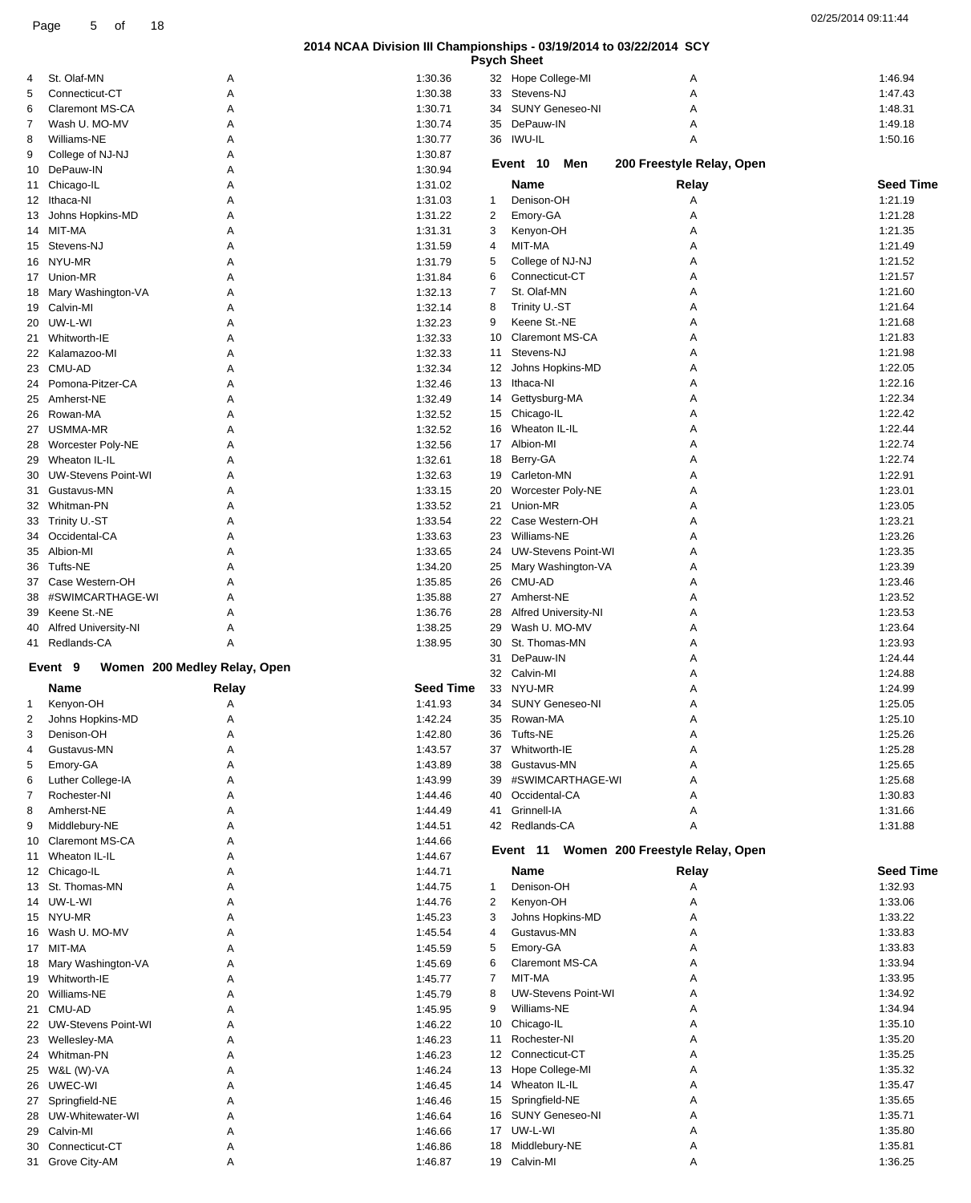|    |                                       |                              |                    |                | <b>Psych Sheet</b>            |                                          |                    |
|----|---------------------------------------|------------------------------|--------------------|----------------|-------------------------------|------------------------------------------|--------------------|
| 4  | St. Olaf-MN                           | Α                            | 1:30.36            |                | 32 Hope College-MI            | Α                                        | 1:46.94            |
| 5  | Connecticut-CT                        | Α                            | 1:30.38            | 33             | Stevens-NJ                    | Α                                        | 1:47.43            |
| 6  | <b>Claremont MS-CA</b>                | Α                            | 1:30.71            | 34             | SUNY Geneseo-NI               | Α                                        | 1:48.31            |
| 7  | Wash U. MO-MV                         | A                            | 1:30.74            | 35             | DePauw-IN                     | Α                                        | 1:49.18            |
| 8  | Williams-NE                           | Α                            | 1:30.77            |                | 36 IWU-IL                     | A                                        | 1:50.16            |
| 9  | College of NJ-NJ                      | A                            | 1:30.87            |                |                               |                                          |                    |
|    | 10 DePauw-IN                          | Α                            | 1:30.94            |                | Event 10<br>Men               | 200 Freestyle Relay, Open                |                    |
|    | 11 Chicago-IL                         | Α                            | 1:31.02            |                | Name                          | Relay                                    | <b>Seed Time</b>   |
|    | 12 Ithaca-NI                          | A                            | 1:31.03            | 1              | Denison-OH                    | Α                                        | 1:21.19            |
|    | 13 Johns Hopkins-MD                   | Α                            | 1:31.22            | 2              | Emory-GA                      | Α                                        | 1:21.28            |
|    | 14 MIT-MA                             | Α                            | 1:31.31            | 3              | Kenyon-OH                     | Α                                        | 1:21.35            |
|    | 15 Stevens-NJ                         | A                            | 1:31.59            | 4              | MIT-MA                        | Α                                        | 1:21.49            |
|    | 16 NYU-MR                             | Α                            | 1:31.79            | 5              | College of NJ-NJ              | Α                                        | 1:21.52            |
|    | 17 Union-MR                           | Α                            | 1:31.84            | 6              | Connecticut-CT                | Α                                        | 1:21.57            |
|    | 18 Mary Washington-VA                 | Α                            | 1:32.13            | $\overline{7}$ | St. Olaf-MN                   | Α                                        | 1:21.60            |
|    | 19 Calvin-MI                          | Α                            | 1:32.14            | 8              | Trinity U.-ST                 | Α                                        | 1:21.64            |
|    | 20 UW-L-WI                            | Α                            | 1:32.23            | 9              | Keene St.-NE                  | Α                                        | 1:21.68            |
| 21 | Whitworth-IE                          | А                            | 1:32.33            | 10             | <b>Claremont MS-CA</b>        | Α                                        | 1:21.83            |
|    | 22 Kalamazoo-MI                       | Α                            | 1:32.33            | 11             | Stevens-NJ                    | Α                                        | 1:21.98            |
|    | 23 CMU-AD                             | Α                            | 1:32.34            | 12             | Johns Hopkins-MD              | Α                                        | 1:22.05            |
| 24 | Pomona-Pitzer-CA                      | Α                            | 1:32.46            | 13             | Ithaca-NI                     | Α                                        | 1:22.16            |
| 25 | Amherst-NE                            | Α                            | 1:32.49            | 14             | Gettysburg-MA                 | Α                                        | 1:22.34            |
|    | 26 Rowan-MA                           | Α                            | 1:32.52            | 15             | Chicago-IL                    | Α                                        | 1:22.42            |
| 27 | USMMA-MR                              | Α                            | 1:32.52            | 16             | Wheaton IL-IL                 | Α                                        | 1:22.44            |
|    |                                       |                              | 1:32.56            | 17             | Albion-MI                     | Α                                        | 1:22.74            |
| 28 | Worcester Poly-NE<br>29 Wheaton IL-IL | Α<br>Α                       | 1:32.61            | 18             | Berry-GA                      |                                          | 1:22.74            |
|    | UW-Stevens Point-WI                   | A                            | 1:32.63            | 19             | Carleton-MN                   | Α                                        | 1:22.91            |
| 30 |                                       |                              |                    |                |                               | Α<br>Α                                   | 1:23.01            |
| 31 | Gustavus-MN                           | Α                            | 1:33.15            | 20<br>21       | Worcester Poly-NE<br>Union-MR |                                          | 1:23.05            |
|    | 32 Whitman-PN                         | Α                            | 1:33.52            |                | Case Western-OH               | А                                        |                    |
|    | 33 Trinity U.-ST                      | Α                            | 1:33.54            | 22             |                               | Α                                        | 1:23.21            |
| 34 | Occidental-CA                         | Α                            | 1:33.63            | 23             | Williams-NE                   | Α                                        | 1:23.26            |
|    | 35 Albion-MI                          | A                            | 1:33.65            | 24             | <b>UW-Stevens Point-WI</b>    | Α                                        | 1:23.35<br>1:23.39 |
| 36 | Tufts-NE                              | Α                            | 1:34.20            | 25             | Mary Washington-VA            | Α                                        |                    |
| 37 | Case Western-OH                       | Α                            | 1:35.85            | 26             | CMU-AD                        | Α                                        | 1:23.46            |
| 38 | #SWIMCARTHAGE-WI                      | A                            | 1:35.88            | 27             | Amherst-NE                    | Α                                        | 1:23.52            |
| 39 | Keene St.-NE                          | Α                            | 1:36.76            | 28             | Alfred University-NI          | Α                                        | 1:23.53            |
| 40 | Alfred University-NI                  | Α                            | 1:38.25            | 29             | Wash U. MO-MV                 | Α                                        | 1:23.64            |
| 41 | Redlands-CA                           | Α                            | 1:38.95            | 30             | St. Thomas-MN                 | Α                                        | 1:23.93            |
|    |                                       |                              |                    | 31             | DePauw-IN                     | Α                                        | 1:24.44            |
|    | Event 9                               |                              |                    |                | 32 Calvin-MI                  | А                                        |                    |
|    |                                       | Women 200 Medley Relay, Open |                    |                |                               |                                          | 1:24.88            |
|    | Name                                  | Relay                        | Seed Time          | 33             | NYU-MR                        | Α                                        | 1:24.99            |
| 1  | Kenyon-OH                             | Α                            | 1:41.93            | 34             | <b>SUNY Geneseo-NI</b>        | Α                                        | 1:25.05            |
| 2  | Johns Hopkins-MD                      | Α                            | 1:42.24            | 35             | Rowan-MA                      | Α                                        | 1:25.10            |
| 3  | Denison-OH                            | А                            | 1:42.80            |                | 36 Tufts-NE                   |                                          | 1:25.26            |
| 4  | Gustavus-MN                           | Α                            | 1:43.57            | 37             | Whitworth-IE                  | Α                                        | 1:25.28            |
| 5  | Emory-GA                              | Α                            | 1:43.89            | 38             | Gustavus-MN                   | Α                                        | 1:25.65            |
| 6  | Luther College-IA                     | Α                            | 1:43.99            | 39             | #SWIMCARTHAGE-WI              | Α                                        | 1:25.68            |
| 7  | Rochester-NI                          | Α                            | 1:44.46            | 40             | Occidental-CA                 | Α                                        | 1:30.83            |
| 8  | Amherst-NE                            | A                            | 1:44.49            | 41             | Grinnell-IA                   | Α                                        | 1:31.66            |
| 9  | Middlebury-NE                         | Α                            | 1:44.51            |                | 42 Redlands-CA                | A                                        | 1:31.88            |
| 10 | <b>Claremont MS-CA</b>                | Α                            | 1:44.66            |                |                               |                                          |                    |
| 11 | Wheaton IL-IL                         | А                            | 1:44.67            |                |                               | Event 11 Women 200 Freestyle Relay, Open |                    |
|    | 12 Chicago-IL                         | Α                            | 1:44.71            |                | Name                          | Relay                                    | <b>Seed Time</b>   |
|    | 13 St. Thomas-MN                      | Α                            | 1:44.75            | $\mathbf{1}$   | Denison-OH                    | Α                                        | 1:32.93            |
|    | 14 UW-L-WI                            | А                            | 1:44.76            | 2              | Kenyon-OH                     | Α                                        | 1:33.06            |
|    | 15 NYU-MR                             | Α                            | 1:45.23            | 3              | Johns Hopkins-MD              | Α                                        | 1:33.22            |
|    | 16 Wash U. MO-MV                      | А                            | 1:45.54            | 4              | Gustavus-MN                   | Α                                        | 1:33.83            |
|    | 17 MIT-MA                             | А                            | 1:45.59            | 5              | Emory-GA                      | Α                                        | 1:33.83            |
|    | 18 Mary Washington-VA                 | А                            | 1:45.69            | 6              | Claremont MS-CA               | Α                                        | 1:33.94            |
|    | 19 Whitworth-IE                       | А                            | 1:45.77            | $\overline{7}$ | MIT-MA                        | Α                                        | 1:33.95            |
| 20 | Williams-NE                           | Α                            | 1:45.79            | 8              | UW-Stevens Point-WI           | Α                                        | 1:34.92            |
|    | 21 CMU-AD                             | А                            | 1:45.95            | 9              | Williams-NE                   | Α                                        | 1:34.94            |
|    | 22 UW-Stevens Point-WI                | А                            | 1:46.22            | 10             | Chicago-IL                    | Α                                        | 1:35.10            |
| 23 | Wellesley-MA                          | Α                            | 1:46.23            | 11             | Rochester-NI                  | Α                                        | 1:35.20            |
|    | 24 Whitman-PN                         | Α                            | 1:46.23            |                | 12 Connecticut-CT             | Α                                        | 1:35.25            |
|    | 25 W&L (W)-VA                         | Α                            | 1:46.24            | 13             | Hope College-MI               | Α                                        | 1:35.32            |
| 26 | UWEC-WI                               | Α                            | 1:46.45            | 14             | Wheaton IL-IL                 | Α                                        | 1:35.47            |
| 27 | Springfield-NE                        | Α                            | 1:46.46            | 15             | Springfield-NE                | Α                                        | 1:35.65            |
|    | 28 UW-Whitewater-WI                   | A                            | 1:46.64            |                | 16 SUNY Geneseo-NI            | Α                                        | 1:35.71            |
| 29 | Calvin-MI                             | Α                            | 1:46.66            | 17             | UW-L-WI                       | Α                                        | 1:35.80            |
| 30 | Connecticut-CT<br>31 Grove City-AM    | Α                            | 1:46.86<br>1:46.87 | 18             | Middlebury-NE<br>19 Calvin-MI | Α                                        | 1:35.81<br>1:36.25 |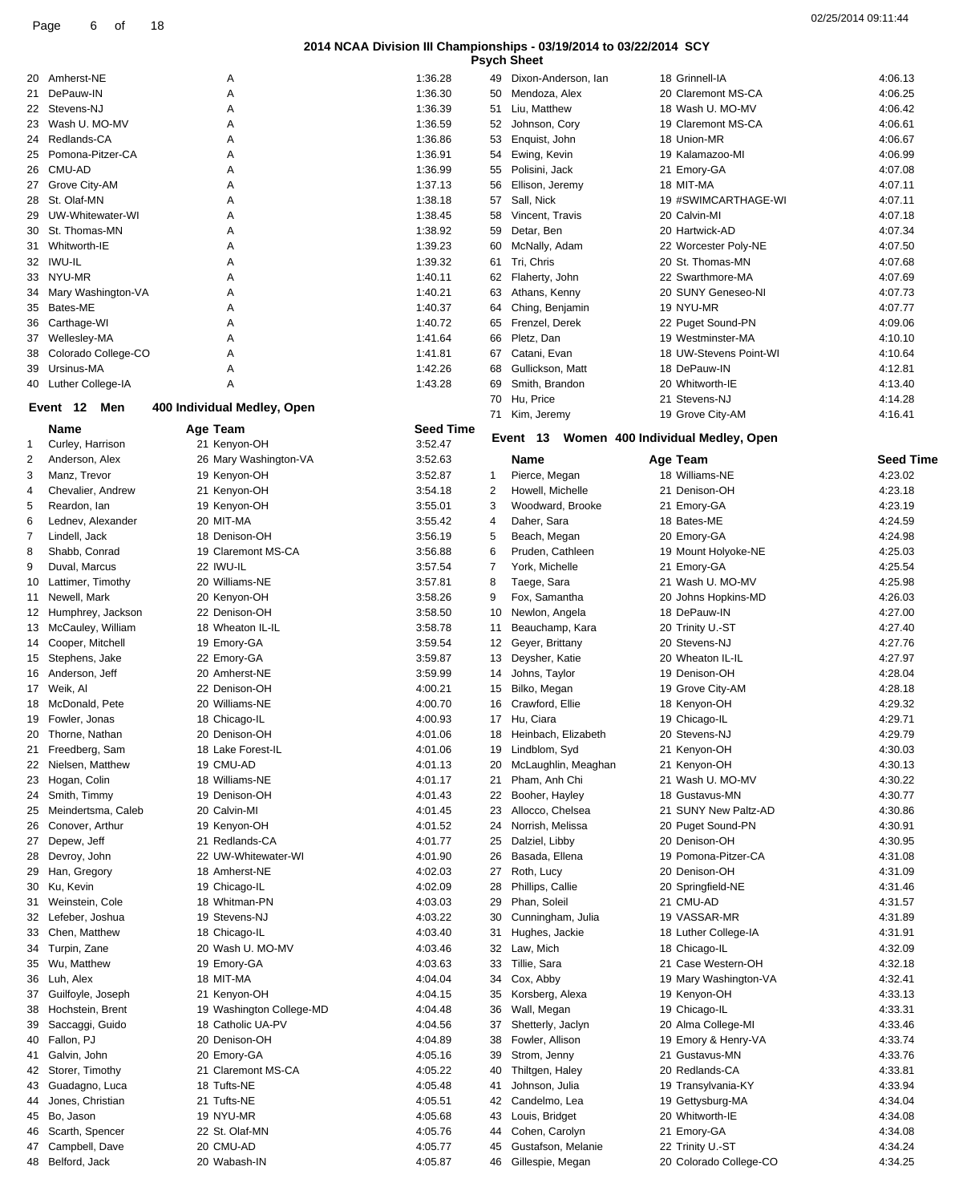|  | <b>Psych Sheet</b> |
|--|--------------------|
|--|--------------------|

|    |                      |                             |                  | гэучн        | oncer                  |                                   |                  |
|----|----------------------|-----------------------------|------------------|--------------|------------------------|-----------------------------------|------------------|
| 20 | Amherst-NE           | Α                           | 1:36.28          | 49           | Dixon-Anderson, Ian    | 18 Grinnell-IA                    | 4:06.13          |
| 21 | DePauw-IN            | Α                           | 1:36.30          | 50           | Mendoza, Alex          | 20 Claremont MS-CA                | 4:06.25          |
| 22 | Stevens-NJ           | Α                           | 1:36.39          | 51           | Liu, Matthew           | 18 Wash U. MO-MV                  | 4:06.42          |
| 23 | Wash U. MO-MV        | A                           | 1:36.59          | 52           | Johnson, Cory          | 19 Claremont MS-CA                | 4:06.61          |
|    | 24 Redlands-CA       | A                           | 1:36.86          | 53           | Enquist, John          | 18 Union-MR                       | 4:06.67          |
| 25 | Pomona-Pitzer-CA     | Α                           | 1:36.91          | 54           | Ewing, Kevin           | 19 Kalamazoo-MI                   | 4:06.99          |
| 26 | CMU-AD               | A                           | 1:36.99          | 55           | Polisini, Jack         | 21 Emory-GA                       | 4:07.08          |
| 27 | Grove City-AM        | A                           | 1:37.13          | 56           | Ellison, Jeremy        | 18 MIT-MA                         | 4:07.11          |
|    |                      |                             |                  |              |                        |                                   |                  |
| 28 | St. Olaf-MN          | Α                           | 1:38.18          | 57           | Sall, Nick             | 19 #SWIMCARTHAGE-WI               | 4:07.11          |
| 29 | UW-Whitewater-WI     | Α                           | 1:38.45          | 58           | Vincent, Travis        | 20 Calvin-MI                      | 4:07.18          |
| 30 | St. Thomas-MN        | A                           | 1:38.92          | 59           | Detar, Ben             | 20 Hartwick-AD                    | 4:07.34          |
| 31 | Whitworth-IE         | A                           | 1:39.23          | 60           | McNally, Adam          | 22 Worcester Poly-NE              | 4:07.50          |
| 32 | <b>IWU-IL</b>        | A                           | 1:39.32          | 61           | Tri, Chris             | 20 St. Thomas-MN                  | 4:07.68          |
| 33 | NYU-MR               | A                           | 1:40.11          | 62           | Flaherty, John         | 22 Swarthmore-MA                  | 4:07.69          |
| 34 | Mary Washington-VA   | Α                           | 1:40.21          | 63           | Athans, Kenny          | 20 SUNY Geneseo-NI                | 4:07.73          |
| 35 | Bates-ME             | Α                           | 1:40.37          | 64           | Ching, Benjamin        | 19 NYU-MR                         | 4:07.77          |
| 36 | Carthage-WI          | A                           | 1:40.72          | 65           | Frenzel, Derek         | 22 Puget Sound-PN                 | 4:09.06          |
| 37 | Wellesley-MA         | Α                           | 1:41.64          | 66           | Pletz, Dan             | 19 Westminster-MA                 | 4:10.10          |
| 38 | Colorado College-CO  | Α                           | 1:41.81          | 67           | Catani, Evan           | 18 UW-Stevens Point-WI            | 4:10.64          |
| 39 | Ursinus-MA           | Α                           | 1:42.26          | 68           | Gullickson, Matt       | 18 DePauw-IN                      | 4:12.81          |
|    | 40 Luther College-IA | A                           |                  |              |                        | 20 Whitworth-IE                   | 4:13.40          |
|    |                      |                             | 1:43.28          | 69           | Smith, Brandon         |                                   |                  |
|    | Event 12<br>Men      | 400 Individual Medley, Open |                  | 70           | Hu, Price              | 21 Stevens-NJ                     | 4:14.28          |
|    |                      |                             |                  |              | 71 Kim, Jeremy         | 19 Grove City-AM                  | 4:16.41          |
|    | Name                 | Age Team                    | <b>Seed Time</b> |              | Event 13               | Women 400 Individual Medley, Open |                  |
| 1  | Curley, Harrison     | 21 Kenyon-OH                | 3:52.47          |              |                        |                                   |                  |
| 2  | Anderson, Alex       | 26 Mary Washington-VA       | 3:52.63          |              | <b>Name</b>            | Age Team                          | <b>Seed Time</b> |
| 3  | Manz, Trevor         | 19 Kenyon-OH                | 3:52.87          | $\mathbf{1}$ | Pierce, Megan          | 18 Williams-NE                    | 4:23.02          |
| 4  | Chevalier, Andrew    | 21 Kenyon-OH                | 3:54.18          | 2            | Howell, Michelle       | 21 Denison-OH                     | 4:23.18          |
| 5  | Reardon, Ian         | 19 Kenyon-OH                | 3:55.01          | 3            | Woodward, Brooke       | 21 Emory-GA                       | 4:23.19          |
| 6  | Lednev, Alexander    | 20 MIT-MA                   | 3:55.42          | 4            | Daher, Sara            | 18 Bates-ME                       | 4:24.59          |
| 7  | Lindell, Jack        | 18 Denison-OH               | 3:56.19          | 5            | Beach, Megan           | 20 Emory-GA                       | 4:24.98          |
| 8  | Shabb, Conrad        | 19 Claremont MS-CA          | 3:56.88          | 6            | Pruden, Cathleen       | 19 Mount Holyoke-NE               | 4:25.03          |
| 9  | Duval, Marcus        | 22 IWU-IL                   | 3:57.54          | 7            | York, Michelle         |                                   | 4:25.54          |
|    |                      |                             |                  |              |                        | 21 Emory-GA                       |                  |
| 10 | Lattimer, Timothy    | 20 Williams-NE              | 3:57.81          | 8            | Taege, Sara            | 21 Wash U. MO-MV                  | 4:25.98          |
| 11 | Newell, Mark         | 20 Kenyon-OH                | 3:58.26          | 9            | Fox, Samantha          | 20 Johns Hopkins-MD               | 4:26.03          |
| 12 | Humphrey, Jackson    | 22 Denison-OH               | 3:58.50          | 10           | Newlon, Angela         | 18 DePauw-IN                      | 4:27.00          |
| 13 | McCauley, William    | 18 Wheaton IL-IL            | 3:58.78          | 11           | Beauchamp, Kara        | 20 Trinity U.-ST                  | 4:27.40          |
| 14 | Cooper, Mitchell     | 19 Emory-GA                 | 3:59.54          | 12           | Geyer, Brittany        | 20 Stevens-NJ                     | 4:27.76          |
| 15 | Stephens, Jake       | 22 Emory-GA                 | 3:59.87          | 13           | Deysher, Katie         | 20 Wheaton IL-IL                  | 4:27.97          |
| 16 | Anderson, Jeff       | 20 Amherst-NE               | 3:59.99          | 14           | Johns, Taylor          | 19 Denison-OH                     | 4:28.04          |
| 17 | Weik, Al             | 22 Denison-OH               | 4:00.21          | 15           | Bilko, Megan           | 19 Grove City-AM                  | 4:28.18          |
| 18 | McDonald, Pete       | 20 Williams-NE              | 4:00.70          | 16           | Crawford, Ellie        | 18 Kenyon-OH                      | 4:29.32          |
| 19 | Fowler, Jonas        | 18 Chicago-IL               | 4:00.93          | 17           | Hu, Ciara              | 19 Chicago-IL                     | 4:29.71          |
|    | 20 Thorne, Nathan    | 20 Denison-OH               | 4:01.06          |              | 18 Heinbach, Elizabeth | 20 Stevens-NJ                     | 4:29.79          |
|    |                      |                             |                  |              |                        |                                   |                  |
| 21 | Freedberg, Sam       | 18 Lake Forest-IL           | 4:01.06          | 19           | Lindblom, Syd          | 21 Kenyon-OH                      | 4:30.03          |
| 22 | Nielsen, Matthew     | 19 CMU-AD                   | 4:01.13          | 20           | McLaughlin, Meaghan    | 21 Kenyon-OH                      | 4:30.13          |
| 23 | Hogan, Colin         | 18 Williams-NE              | 4:01.17          | 21           | Pham, Anh Chi          | 21 Wash U. MO-MV                  | 4:30.22          |
| 24 | Smith, Timmy         | 19 Denison-OH               | 4:01.43          | 22           | Booher, Hayley         | 18 Gustavus-MN                    | 4:30.77          |
| 25 | Meindertsma, Caleb   | 20 Calvin-MI                | 4:01.45          | 23           | Allocco, Chelsea       | 21 SUNY New Paltz-AD              | 4:30.86          |
| 26 | Conover, Arthur      | 19 Kenyon-OH                | 4:01.52          | 24           | Norrish, Melissa       | 20 Puget Sound-PN                 | 4:30.91          |
| 27 | Depew, Jeff          | 21 Redlands-CA              | 4:01.77          | 25           | Dalziel, Libby         | 20 Denison-OH                     | 4:30.95          |
| 28 | Devroy, John         | 22 UW-Whitewater-WI         | 4:01.90          | 26           | Basada, Ellena         | 19 Pomona-Pitzer-CA               | 4:31.08          |
| 29 | Han, Gregory         | 18 Amherst-NE               | 4:02.03          | 27           | Roth, Lucy             | 20 Denison-OH                     | 4:31.09          |
| 30 | Ku, Kevin            | 19 Chicago-IL               | 4:02.09          | 28           | Phillips, Callie       | 20 Springfield-NE                 | 4:31.46          |
| 31 | Weinstein, Cole      | 18 Whitman-PN               | 4:03.03          | 29           | Phan, Soleil           | 21 CMU-AD                         | 4:31.57          |
|    |                      |                             |                  |              |                        |                                   |                  |
| 32 | Lefeber, Joshua      | 19 Stevens-NJ               | 4:03.22          | 30           | Cunningham, Julia      | 19 VASSAR-MR                      | 4:31.89          |
| 33 | Chen, Matthew        | 18 Chicago-IL               | 4:03.40          | 31           | Hughes, Jackie         | 18 Luther College-IA              | 4:31.91          |
| 34 | Turpin, Zane         | 20 Wash U. MO-MV            | 4:03.46          | 32           | Law, Mich              | 18 Chicago-IL                     | 4:32.09          |
| 35 | Wu, Matthew          | 19 Emory-GA                 | 4:03.63          | 33           | Tillie, Sara           | 21 Case Western-OH                | 4:32.18          |
| 36 | Luh, Alex            | 18 MIT-MA                   | 4:04.04          | 34           | Cox, Abby              | 19 Mary Washington-VA             | 4:32.41          |
| 37 | Guilfoyle, Joseph    | 21 Kenyon-OH                | 4:04.15          | 35           | Korsberg, Alexa        | 19 Kenyon-OH                      | 4:33.13          |
| 38 | Hochstein, Brent     | 19 Washington College-MD    | 4:04.48          | 36           | Wall, Megan            | 19 Chicago-IL                     | 4:33.31          |
| 39 | Saccaggi, Guido      | 18 Catholic UA-PV           | 4:04.56          | 37           | Shetterly, Jaclyn      | 20 Alma College-MI                | 4:33.46          |
| 40 | Fallon, PJ           | 20 Denison-OH               | 4:04.89          | 38           | Fowler, Allison        | 19 Emory & Henry-VA               | 4:33.74          |
| 41 | Galvin, John         | 20 Emory-GA                 | 4:05.16          | 39           | Strom, Jenny           | 21 Gustavus-MN                    | 4:33.76          |
|    | Storer, Timothy      |                             |                  |              |                        |                                   |                  |
|    |                      | 21 Claremont MS-CA          | 4:05.22          | 40           | Thiltgen, Haley        | 20 Redlands-CA                    | 4:33.81          |
| 42 |                      |                             | 4:05.48          | 41           | Johnson, Julia         | 19 Transylvania-KY                | 4:33.94          |
| 43 | Guadagno, Luca       | 18 Tufts-NE                 |                  |              |                        |                                   |                  |
| 44 | Jones, Christian     | 21 Tufts-NE                 | 4:05.51          | 42           | Candelmo, Lea          | 19 Gettysburg-MA                  | 4:34.04          |
| 45 | Bo, Jason            | 19 NYU-MR                   | 4:05.68          | 43           | Louis, Bridget         | 20 Whitworth-IE                   | 4:34.08          |
| 46 | Scarth, Spencer      | 22 St. Olaf-MN              | 4:05.76          | 44           | Cohen, Carolyn         | 21 Emory-GA                       | 4:34.08          |
| 47 | Campbell, Dave       | 20 CMU-AD                   | 4:05.77          | 45           | Gustafson, Melanie     | 22 Trinity U.-ST                  | 4:34.24          |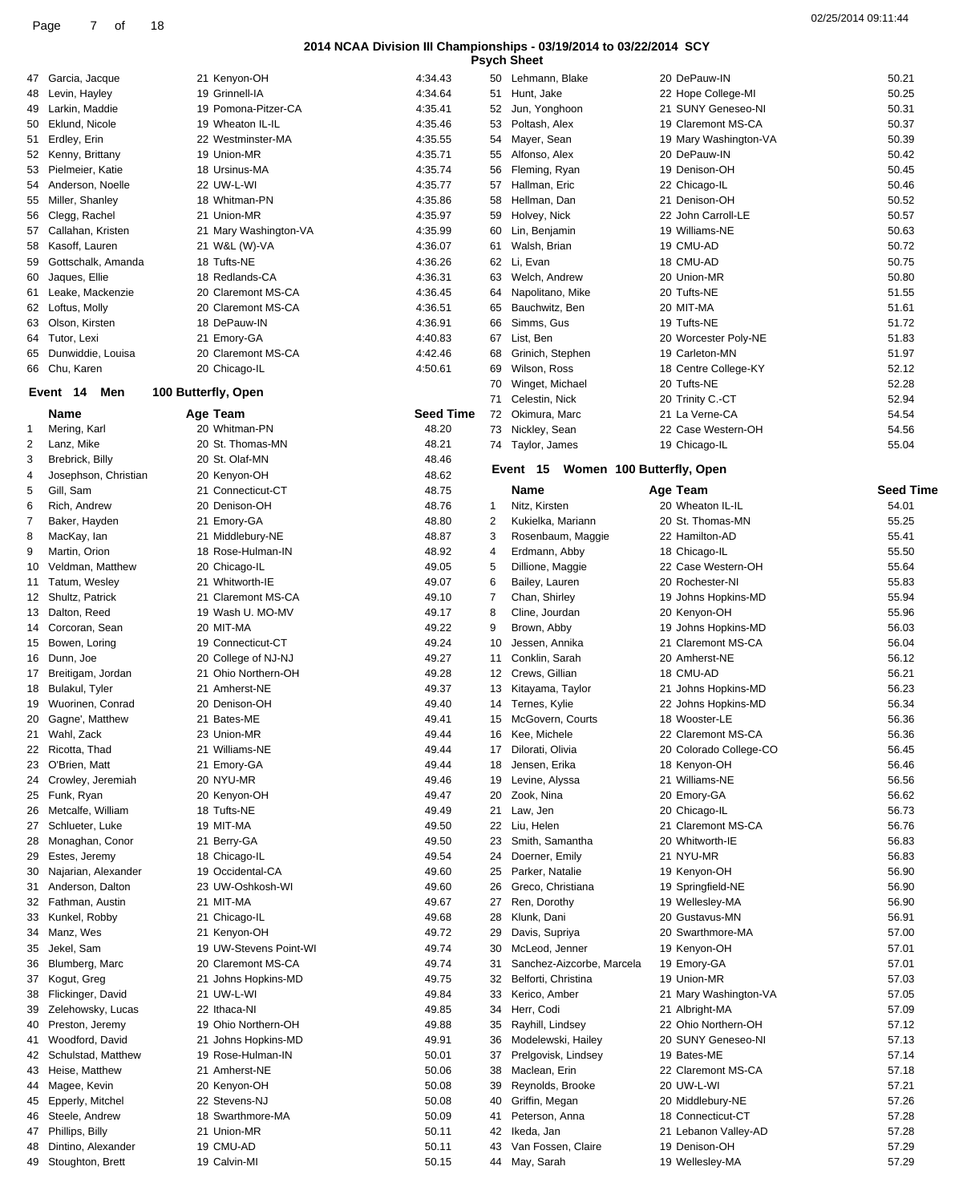| <b>Psych Sheet</b> |  |
|--------------------|--|

|    |                      |                        |                  |    | <b>Psych Sheet</b>                 |                        |                  |
|----|----------------------|------------------------|------------------|----|------------------------------------|------------------------|------------------|
|    | 47 Garcia, Jacque    | 21 Kenyon-OH           | 4:34.43          |    | 50 Lehmann, Blake                  | 20 DePauw-IN           | 50.21            |
| 48 | Levin, Hayley        | 19 Grinnell-IA         | 4:34.64          | 51 | Hunt, Jake                         | 22 Hope College-MI     | 50.25            |
| 49 | Larkin, Maddie       | 19 Pomona-Pitzer-CA    | 4:35.41          | 52 | Jun, Yonghoon                      | 21 SUNY Geneseo-NI     | 50.31            |
| 50 | Eklund, Nicole       | 19 Wheaton IL-IL       | 4:35.46          | 53 | Poltash, Alex                      | 19 Claremont MS-CA     | 50.37            |
|    | 51 Erdley, Erin      | 22 Westminster-MA      | 4:35.55          | 54 | Mayer, Sean                        | 19 Mary Washington-VA  | 50.39            |
| 52 | Kenny, Brittany      | 19 Union-MR            | 4:35.71          | 55 | Alfonso, Alex                      | 20 DePauw-IN           | 50.42            |
| 53 | Pielmeier, Katie     | 18 Ursinus-MA          | 4:35.74          | 56 | Fleming, Ryan                      | 19 Denison-OH          | 50.45            |
| 54 | Anderson, Noelle     | 22 UW-L-WI             | 4:35.77          | 57 | Hallman, Eric                      | 22 Chicago-IL          | 50.46            |
| 55 | Miller, Shanley      | 18 Whitman-PN          | 4:35.86          | 58 | Hellman, Dan                       | 21 Denison-OH          | 50.52            |
| 56 | Clegg, Rachel        | 21 Union-MR            | 4:35.97          | 59 | Holvey, Nick                       | 22 John Carroll-LE     | 50.57            |
| 57 | Callahan, Kristen    | 21 Mary Washington-VA  | 4:35.99          | 60 | Lin, Benjamin                      | 19 Williams-NE         | 50.63            |
| 58 | Kasoff, Lauren       | 21 W&L (W)-VA          | 4:36.07          | 61 | Walsh, Brian                       | 19 CMU-AD              | 50.72            |
| 59 | Gottschalk, Amanda   | 18 Tufts-NE            | 4:36.26          | 62 | Li, Evan                           | 18 CMU-AD              | 50.75            |
| 60 | Jaques, Ellie        | 18 Redlands-CA         | 4:36.31          | 63 | Welch, Andrew                      | 20 Union-MR            | 50.80            |
| 61 | Leake, Mackenzie     | 20 Claremont MS-CA     | 4:36.45          | 64 | Napolitano, Mike                   | 20 Tufts-NE            | 51.55            |
| 62 | Loftus, Molly        | 20 Claremont MS-CA     | 4:36.51          | 65 | Bauchwitz, Ben                     | 20 MIT-MA              | 51.61            |
| 63 | Olson, Kirsten       | 18 DePauw-IN           | 4:36.91          | 66 | Simms, Gus                         | 19 Tufts-NE            | 51.72            |
| 64 | Tutor, Lexi          | 21 Emory-GA            | 4:40.83          | 67 | List, Ben                          | 20 Worcester Poly-NE   | 51.83            |
| 65 | Dunwiddie, Louisa    | 20 Claremont MS-CA     | 4:42.46          | 68 | Grinich, Stephen                   | 19 Carleton-MN         | 51.97            |
| 66 | Chu, Karen           | 20 Chicago-IL          | 4:50.61          | 69 | Wilson, Ross                       | 18 Centre College-KY   | 52.12            |
|    |                      |                        |                  | 70 | Winget, Michael                    | 20 Tufts-NE            | 52.28            |
|    | Men<br>Event 14      | 100 Butterfly, Open    |                  | 71 | Celestin, Nick                     | 20 Trinity C.-CT       | 52.94            |
|    | <b>Name</b>          | Age Team               | <b>Seed Time</b> |    | 72 Okimura, Marc                   | 21 La Verne-CA         | 54.54            |
| -1 | Mering, Karl         | 20 Whitman-PN          | 48.20            | 73 | Nickley, Sean                      | 22 Case Western-OH     | 54.56            |
| 2  | Lanz, Mike           | 20 St. Thomas-MN       | 48.21            |    | 74 Taylor, James                   | 19 Chicago-IL          | 55.04            |
| 3  | Brebrick, Billy      | 20 St. Olaf-MN         | 48.46            |    |                                    |                        |                  |
| 4  | Josephson, Christian | 20 Kenyon-OH           | 48.62            |    | Event 15 Women 100 Butterfly, Open |                        |                  |
| 5  | Gill, Sam            | 21 Connecticut-CT      | 48.75            |    | Name                               | Age Team               | <b>Seed Time</b> |
| 6  | Rich, Andrew         | 20 Denison-OH          | 48.76            | 1  | Nitz, Kirsten                      | 20 Wheaton IL-IL       | 54.01            |
| 7  | Baker, Hayden        | 21 Emory-GA            | 48.80            | 2  | Kukielka, Mariann                  | 20 St. Thomas-MN       | 55.25            |
| 8  | MacKay, lan          | 21 Middlebury-NE       | 48.87            | 3  | Rosenbaum, Maggie                  | 22 Hamilton-AD         | 55.41            |
| 9  | Martin, Orion        | 18 Rose-Hulman-IN      | 48.92            | 4  | Erdmann, Abby                      | 18 Chicago-IL          | 55.50            |
| 10 | Veldman, Matthew     | 20 Chicago-IL          | 49.05            | 5  | Dillione, Maggie                   | 22 Case Western-OH     | 55.64            |
| 11 | Tatum, Wesley        | 21 Whitworth-IE        | 49.07            | 6  | Bailey, Lauren                     | 20 Rochester-NI        | 55.83            |
| 12 | Shultz, Patrick      | 21 Claremont MS-CA     | 49.10            | 7  | Chan, Shirley                      | 19 Johns Hopkins-MD    | 55.94            |
| 13 | Dalton, Reed         | 19 Wash U. MO-MV       | 49.17            | 8  | Cline, Jourdan                     | 20 Kenyon-OH           | 55.96            |
| 14 | Corcoran, Sean       | 20 MIT-MA              | 49.22            | 9  | Brown, Abby                        | 19 Johns Hopkins-MD    | 56.03            |
| 15 | Bowen, Loring        | 19 Connecticut-CT      | 49.24            | 10 | Jessen, Annika                     | 21 Claremont MS-CA     | 56.04            |
| 16 | Dunn, Joe            | 20 College of NJ-NJ    | 49.27            | 11 | Conklin, Sarah                     | 20 Amherst-NE          | 56.12            |
| 17 | Breitigam, Jordan    | 21 Ohio Northern-OH    | 49.28            | 12 | Crews, Gillian                     | 18 CMU-AD              | 56.21            |
| 18 | Bulakul, Tyler       | 21 Amherst-NE          | 49.37            | 13 | Kitayama, Taylor                   | 21 Johns Hopkins-MD    | 56.23            |
| 19 | Wuorinen, Conrad     | 20 Denison-OH          | 49.40            | 14 | Ternes, Kylie                      | 22 Johns Hopkins-MD    | 56.34            |
| 20 | Gagne', Matthew      | 21 Bates-ME            | 49.41            | 15 | McGovern, Courts                   | 18 Wooster-LE          | 56.36            |
|    | 21 Wahl, Zack        | 23 Union-MR            | 49.44            |    | 16 Kee. Michele                    | 22 Claremont MS-CA     | 56.36            |
| 22 | Ricotta, Thad        | 21 Williams-NE         | 49.44            |    | 17 Dilorati, Olivia                | 20 Colorado College-CO | 56.45            |
| 23 | O'Brien, Matt        | 21 Emory-GA            | 49.44            | 18 | Jensen, Erika                      | 18 Kenyon-OH           | 56.46            |
| 24 | Crowley, Jeremiah    | 20 NYU-MR              | 49.46            | 19 | Levine, Alyssa                     | 21 Williams-NE         | 56.56            |
| 25 | Funk, Ryan           | 20 Kenyon-OH           | 49.47            | 20 | Zook, Nina                         | 20 Emory-GA            | 56.62            |
| 26 | Metcalfe, William    | 18 Tufts-NE            | 49.49            | 21 | Law, Jen                           | 20 Chicago-IL          | 56.73            |
| 27 | Schlueter, Luke      | 19 MIT-MA              | 49.50            | 22 | Liu, Helen                         | 21 Claremont MS-CA     | 56.76            |
| 28 | Monaghan, Conor      | 21 Berry-GA            | 49.50            | 23 | Smith, Samantha                    | 20 Whitworth-IE        | 56.83            |
| 29 | Estes, Jeremy        | 18 Chicago-IL          | 49.54            | 24 | Doerner, Emily                     | 21 NYU-MR              | 56.83            |
| 30 | Najarian, Alexander  | 19 Occidental-CA       | 49.60            | 25 | Parker, Natalie                    | 19 Kenyon-OH           | 56.90            |
| 31 | Anderson, Dalton     | 23 UW-Oshkosh-WI       | 49.60            | 26 | Greco, Christiana                  | 19 Springfield-NE      | 56.90            |
| 32 | Fathman, Austin      | 21 MIT-MA              | 49.67            | 27 | Ren, Dorothy                       | 19 Wellesley-MA        | 56.90            |
| 33 | Kunkel, Robby        | 21 Chicago-IL          | 49.68            | 28 | Klunk, Dani                        | 20 Gustavus-MN         | 56.91            |
| 34 | Manz, Wes            | 21 Kenyon-OH           | 49.72            | 29 | Davis, Supriya                     | 20 Swarthmore-MA       | 57.00            |
| 35 | Jekel, Sam           | 19 UW-Stevens Point-WI | 49.74            | 30 | McLeod, Jenner                     | 19 Kenyon-OH           | 57.01            |
| 36 | Blumberg, Marc       | 20 Claremont MS-CA     | 49.74            | 31 | Sanchez-Aizcorbe, Marcela          | 19 Emory-GA            | 57.01            |
| 37 | Kogut, Greg          | 21 Johns Hopkins-MD    | 49.75            | 32 | Belforti, Christina                | 19 Union-MR            | 57.03            |
| 38 | Flickinger, David    | 21 UW-L-WI             | 49.84            | 33 | Kerico, Amber                      | 21 Mary Washington-VA  | 57.05            |
| 39 | Zelehowsky, Lucas    | 22 Ithaca-NI           | 49.85            | 34 | Herr, Codi                         | 21 Albright-MA         | 57.09            |
| 40 | Preston, Jeremy      | 19 Ohio Northern-OH    | 49.88            | 35 | Rayhill, Lindsey                   | 22 Ohio Northern-OH    | 57.12            |
| 41 | Woodford, David      | 21 Johns Hopkins-MD    | 49.91            | 36 | Modelewski, Hailey                 | 20 SUNY Geneseo-NI     | 57.13            |
| 42 | Schulstad, Matthew   | 19 Rose-Hulman-IN      | 50.01            | 37 | Prelgovisk, Lindsey                | 19 Bates-ME            | 57.14            |
| 43 | Heise, Matthew       | 21 Amherst-NE          | 50.06            | 38 | Maclean, Erin                      | 22 Claremont MS-CA     | 57.18            |
| 44 | Magee, Kevin         | 20 Kenyon-OH           | 50.08            | 39 | Reynolds, Brooke                   | 20 UW-L-WI             | 57.21            |
| 45 | Epperly, Mitchel     | 22 Stevens-NJ          | 50.08            | 40 | Griffin, Megan                     | 20 Middlebury-NE       | 57.26            |
| 46 | Steele, Andrew       | 18 Swarthmore-MA       | 50.09            | 41 | Peterson, Anna                     | 18 Connecticut-CT      | 57.28            |
| 47 | Phillips, Billy      | 21 Union-MR            | 50.11            | 42 | Ikeda, Jan                         | 21 Lebanon Valley-AD   | 57.28            |
| 48 | Dintino, Alexander   | 19 CMU-AD              | 50.11            | 43 | Van Fossen, Claire                 | 19 Denison-OH          | 57.29            |
|    |                      |                        |                  |    |                                    |                        |                  |
|    | 49 Stoughton, Brett  | 19 Calvin-MI           | 50.15            |    | 44 May, Sarah                      | 19 Wellesley-MA        | 57.29            |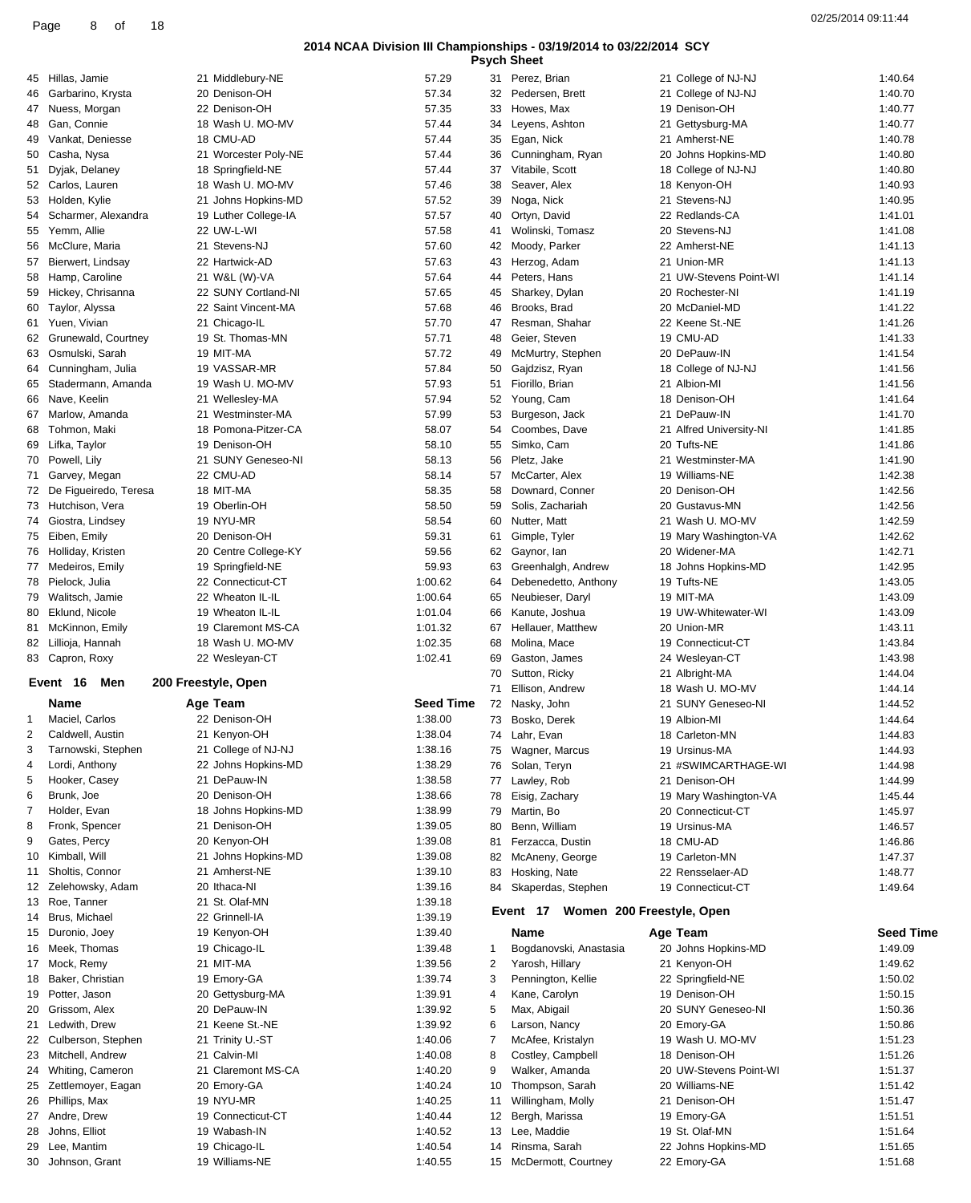| <b>Psych Sheet</b> |  |
|--------------------|--|

|    |                                  |                                      |                    |    | <b>Psych Sheet</b>                         |                                    |                    |
|----|----------------------------------|--------------------------------------|--------------------|----|--------------------------------------------|------------------------------------|--------------------|
|    | 45 Hillas, Jamie                 | 21 Middlebury-NE                     | 57.29              |    | 31 Perez, Brian                            | 21 College of NJ-NJ                | 1:40.64            |
| 46 | Garbarino, Krysta                | 20 Denison-OH                        | 57.34              |    | 32 Pedersen, Brett                         | 21 College of NJ-NJ                | 1:40.70            |
|    | 47 Nuess, Morgan                 | 22 Denison-OH                        | 57.35              | 33 | Howes, Max                                 | 19 Denison-OH                      | 1:40.77            |
| 48 | Gan, Connie                      | 18 Wash U. MO-MV                     | 57.44              | 34 | Leyens, Ashton                             | 21 Gettysburg-MA                   | 1:40.77            |
| 49 | Vankat, Deniesse                 | 18 CMU-AD                            | 57.44              | 35 | Egan, Nick                                 | 21 Amherst-NE                      | 1:40.78            |
| 50 | Casha, Nysa                      | 21 Worcester Poly-NE                 | 57.44              | 36 | Cunningham, Ryan                           | 20 Johns Hopkins-MD                | 1:40.80            |
|    | 51 Dyjak, Delaney                | 18 Springfield-NE                    | 57.44              | 37 | Vitabile, Scott                            | 18 College of NJ-NJ                | 1:40.80            |
|    | 52 Carlos, Lauren                | 18 Wash U. MO-MV                     | 57.46              | 38 | Seaver, Alex                               | 18 Kenyon-OH                       | 1:40.93            |
| 53 | Holden, Kylie                    | 21 Johns Hopkins-MD                  | 57.52              | 39 | Noga, Nick                                 | 21 Stevens-NJ                      | 1:40.95            |
| 54 | Scharmer, Alexandra              | 19 Luther College-IA                 | 57.57              | 40 | Ortyn, David                               | 22 Redlands-CA                     | 1:41.01            |
|    | 55 Yemm, Allie                   | 22 UW-L-WI                           | 57.58              | 41 | Wolinski, Tomasz                           | 20 Stevens-NJ                      | 1:41.08            |
| 56 | McClure, Maria                   | 21 Stevens-NJ                        | 57.60              | 42 | Moody, Parker                              | 22 Amherst-NE                      | 1:41.13            |
|    | 57 Bierwert, Lindsay             | 22 Hartwick-AD                       | 57.63              | 43 | Herzog, Adam                               | 21 Union-MR                        | 1:41.13            |
|    | 58 Hamp, Caroline                | 21 W&L (W)-VA                        | 57.64              | 44 | Peters, Hans                               | 21 UW-Stevens Point-WI             | 1:41.14            |
| 59 | Hickey, Chrisanna                | 22 SUNY Cortland-NI                  | 57.65              | 45 | Sharkey, Dylan                             | 20 Rochester-NI                    | 1:41.19            |
| 60 | Taylor, Alyssa                   | 22 Saint Vincent-MA                  | 57.68              | 46 | Brooks, Brad                               | 20 McDaniel-MD                     | 1:41.22            |
|    | 61 Yuen, Vivian                  | 21 Chicago-IL                        | 57.70              | 47 | Resman, Shahar                             | 22 Keene St.-NE                    | 1:41.26            |
| 62 | Grunewald, Courtney              | 19 St. Thomas-MN                     | 57.71              | 48 | Geier, Steven                              | 19 CMU-AD                          | 1:41.33            |
| 63 | Osmulski, Sarah                  | 19 MIT-MA                            | 57.72              | 49 | McMurtry, Stephen                          | 20 DePauw-IN                       | 1:41.54            |
|    | 64 Cunningham, Julia             | 19 VASSAR-MR                         | 57.84              | 50 | Gajdzisz, Ryan                             | 18 College of NJ-NJ                | 1:41.56            |
| 65 | Stadermann, Amanda               | 19 Wash U. MO-MV                     | 57.93              | 51 | Fiorillo, Brian                            | 21 Albion-MI                       | 1:41.56            |
| 66 | Nave, Keelin                     | 21 Wellesley-MA                      | 57.94              | 52 | Young, Cam                                 | 18 Denison-OH                      | 1:41.64            |
|    | 67 Marlow, Amanda                | 21 Westminster-MA                    | 57.99              | 53 | Burgeson, Jack                             | 21 DePauw-IN                       | 1:41.70            |
| 68 | Tohmon, Maki                     | 18 Pomona-Pitzer-CA                  | 58.07              | 54 | Coombes, Dave                              | 21 Alfred University-NI            | 1:41.85            |
| 69 | Lifka, Taylor                    | 19 Denison-OH                        | 58.10              | 55 | Simko, Cam                                 | 20 Tufts-NE                        | 1:41.86            |
|    | 70 Powell, Lily                  | 21 SUNY Geneseo-NI                   | 58.13              |    | 56 Pletz, Jake                             | 21 Westminster-MA                  | 1:41.90            |
| 71 | Garvey, Megan                    | 22 CMU-AD                            | 58.14              | 57 | McCarter, Alex                             | 19 Williams-NE                     | 1:42.38            |
|    | 72 De Figueiredo, Teresa         | 18 MIT-MA                            | 58.35              | 58 | Downard, Conner                            | 20 Denison-OH                      | 1:42.56            |
|    | 73 Hutchison, Vera               | 19 Oberlin-OH                        | 58.50              | 59 | Solis, Zachariah                           | 20 Gustavus-MN                     | 1:42.56            |
|    | Giostra, Lindsey                 | 19 NYU-MR                            | 58.54              | 60 | Nutter, Matt                               | 21 Wash U. MO-MV                   | 1:42.59            |
| 74 | 75 Eiben, Emily                  | 20 Denison-OH                        | 59.31              | 61 | Gimple, Tyler                              | 19 Mary Washington-VA              | 1:42.62            |
|    | 76 Holliday, Kristen             | 20 Centre College-KY                 | 59.56              | 62 | Gaynor, lan                                | 20 Widener-MA                      | 1:42.71            |
|    |                                  | 19 Springfield-NE                    | 59.93              |    |                                            |                                    | 1:42.95            |
|    | 77 Medeiros, Emily               | 22 Connecticut-CT                    |                    | 63 | Greenhalgh, Andrew                         | 18 Johns Hopkins-MD<br>19 Tufts-NE | 1:43.05            |
| 78 | Pielock, Julia                   |                                      | 1:00.62            | 64 | Debenedetto, Anthony                       |                                    |                    |
|    | 79 Walitsch, Jamie               | 22 Wheaton IL-IL<br>19 Wheaton IL-IL | 1:00.64<br>1:01.04 | 65 | Neubieser, Daryl                           | 19 MIT-MA<br>19 UW-Whitewater-WI   | 1:43.09            |
| 80 | Eklund, Nicole                   |                                      |                    | 66 | Kanute, Joshua                             |                                    | 1:43.09            |
|    | 81 McKinnon, Emily               | 19 Claremont MS-CA                   | 1:01.32            | 67 | Hellauer, Matthew                          | 20 Union-MR                        | 1:43.11            |
|    | 82 Lillioja, Hannah              | 18 Wash U. MO-MV                     | 1:02.35            | 68 | Molina, Mace                               | 19 Connecticut-CT                  | 1:43.84            |
|    | 83 Capron, Roxy                  | 22 Wesleyan-CT                       | 1:02.41            | 69 | Gaston, James                              | 24 Wesleyan-CT                     | 1:43.98            |
|    | Men<br>Event 16                  | 200 Freestyle, Open                  |                    | 70 | Sutton, Ricky                              | 21 Albright-MA                     | 1:44.04            |
|    |                                  |                                      | <b>Seed Time</b>   | 71 | Ellison, Andrew                            | 18 Wash U. MO-MV                   | 1:44.14            |
|    | Name                             | Age Team<br>22 Denison-OH            |                    |    | 72 Nasky, John                             | 21 SUNY Geneseo-NI                 | 1:44.52            |
| 1  | Maciel, Carlos                   |                                      | 1:38.00            |    | 73 Bosko, Derek                            | 19 Albion-MI                       | 1:44.64            |
|    | Caldwell, Austin                 | 21 Kenvon-OH                         | 1:38.04            |    | 74 Lahr, Evan                              | 18 Carleton-MN                     | 1:44.83            |
| 3  | Tarnowski, Stephen               | 21 College of NJ-NJ                  | 1:38.16            |    | 75 Wagner, Marcus                          | 19 Ursinus-MA                      | 1:44.93            |
| 4  | Lordi, Anthony                   | 22 Johns Hopkins-MD                  | 1:38.29            |    | 76 Solan, Teryn                            | 21 #SWIMCARTHAGE-WI                | 1:44.98            |
| 5  | Hooker, Casey                    | 21 DePauw-IN                         | 1:38.58            |    | 77 Lawley, Rob                             | 21 Denison-OH                      | 1:44.99            |
| 6  | Brunk, Joe                       | 20 Denison-OH                        | 1:38.66            | 78 | Eisig, Zachary                             | 19 Mary Washington-VA              | 1:45.44            |
| 7  | Holder, Evan                     | 18 Johns Hopkins-MD                  | 1:38.99            | 79 | Martin, Bo                                 | 20 Connecticut-CT                  | 1:45.97            |
| 8  | Fronk, Spencer                   | 21 Denison-OH                        | 1:39.05            | 80 | Benn, William                              | 19 Ursinus-MA                      | 1:46.57            |
| 9  | Gates, Percy                     | 20 Kenyon-OH                         | 1:39.08            |    | 81 Ferzacca, Dustin                        | 18 CMU-AD                          | 1:46.86            |
| 10 | Kimball, Will                    | 21 Johns Hopkins-MD                  | 1:39.08            | 82 | McAneny, George                            | 19 Carleton-MN                     | 1:47.37            |
| 11 | Sholtis, Connor                  | 21 Amherst-NE                        | 1:39.10            |    | 83 Hosking, Nate                           | 22 Rensselaer-AD                   | 1:48.77            |
| 12 | Zelehowsky, Adam                 | 20 Ithaca-NI                         | 1:39.16            |    | 84 Skaperdas, Stephen                      | 19 Connecticut-CT                  | 1:49.64            |
| 13 | Roe, Tanner                      | 21 St. Olaf-MN                       | 1:39.18            |    | Event 17 Women 200 Freestyle, Open         |                                    |                    |
| 14 | Brus, Michael                    | 22 Grinnell-IA                       | 1:39.19            |    |                                            |                                    |                    |
| 15 | Duronio, Joey                    | 19 Kenyon-OH                         | 1:39.40            |    | Name                                       | Age Team                           | <b>Seed Time</b>   |
| 16 | Meek, Thomas                     | 19 Chicago-IL                        | 1:39.48            | 1  | Bogdanovski, Anastasia                     | 20 Johns Hopkins-MD                | 1:49.09            |
|    | 17 Mock, Remy                    | 21 MIT-MA                            | 1:39.56            | 2  | Yarosh, Hillary                            | 21 Kenyon-OH                       | 1:49.62            |
| 18 | Baker, Christian                 | 19 Emory-GA                          | 1:39.74            | 3  | Pennington, Kellie                         | 22 Springfield-NE                  | 1:50.02            |
| 19 | Potter, Jason                    | 20 Gettysburg-MA                     | 1:39.91            | 4  | Kane, Carolyn                              | 19 Denison-OH                      | 1:50.15            |
| 20 | Grissom, Alex                    | 20 DePauw-IN                         | 1:39.92            | 5  | Max, Abigail                               | 20 SUNY Geneseo-NI                 | 1:50.36            |
|    | 21 Ledwith, Drew                 | 21 Keene St.-NE                      | 1:39.92            | 6  | Larson, Nancy                              | 20 Emory-GA                        | 1:50.86            |
|    | 22 Culberson, Stephen            | 21 Trinity U.-ST                     | 1:40.06            | 7  | McAfee, Kristalyn                          | 19 Wash U. MO-MV                   | 1:51.23            |
|    | 23 Mitchell, Andrew              | 21 Calvin-MI                         | 1:40.08            | 8  | Costley, Campbell                          | 18 Denison-OH                      | 1:51.26            |
|    |                                  |                                      | 1:40.20            | 9  | Walker, Amanda                             | 20 UW-Stevens Point-WI             | 1:51.37            |
|    | 24 Whiting, Cameron              | 21 Claremont MS-CA                   |                    |    |                                            |                                    |                    |
| 25 | Zettlemoyer, Eagan               | 20 Emory-GA                          | 1:40.24            | 10 | Thompson, Sarah                            | 20 Williams-NE                     | 1:51.42            |
|    | 26 Phillips, Max                 | 19 NYU-MR                            | 1:40.25            | 11 | Willingham, Molly                          | 21 Denison-OH                      | 1:51.47            |
|    | 27 Andre, Drew                   | 19 Connecticut-CT                    | 1:40.44            |    | 12 Bergh, Marissa                          | 19 Emory-GA                        | 1:51.51            |
| 28 | Johns, Elliot                    | 19 Wabash-IN                         | 1:40.52            | 13 | Lee, Maddie                                | 19 St. Olaf-MN                     | 1:51.64            |
| 29 | Lee, Mantim<br>30 Johnson, Grant | 19 Chicago-IL<br>19 Williams-NE      | 1:40.54<br>1:40.55 |    | 14 Rinsma, Sarah<br>15 McDermott, Courtney | 22 Johns Hopkins-MD<br>22 Emory-GA | 1:51.65<br>1:51.68 |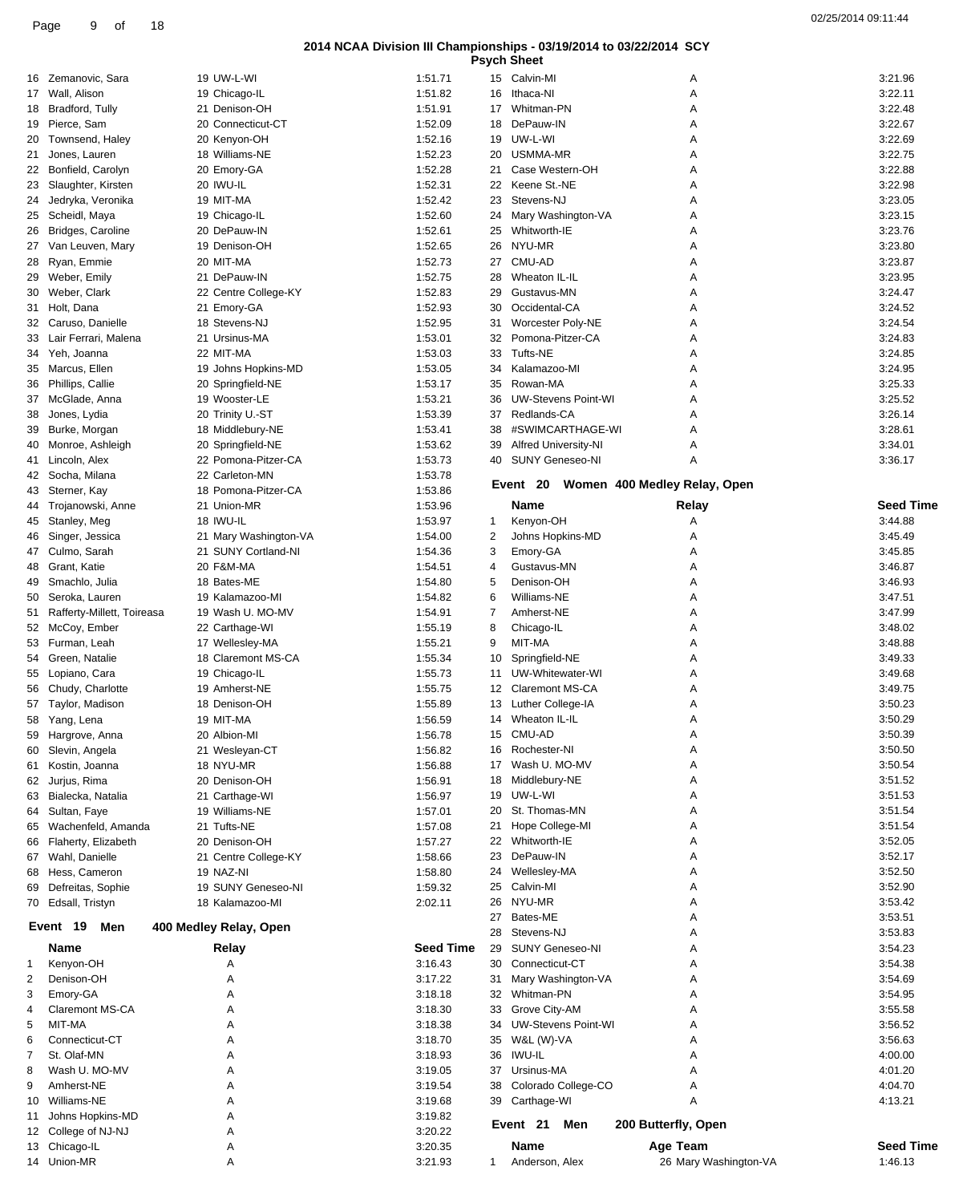|    |                            |                        |                  |    | <b>Psych Sheet</b>              |                              |                  |
|----|----------------------------|------------------------|------------------|----|---------------------------------|------------------------------|------------------|
|    | 16 Zemanovic, Sara         | 19 UW-L-WI             | 1:51.71          |    | 15 Calvin-MI                    | Α                            | 3:21.96          |
|    | 17 Wall, Alison            | 19 Chicago-IL          | 1:51.82          | 16 | Ithaca-NI                       | Α                            | 3:22.11          |
| 18 | Bradford, Tully            | 21 Denison-OH          | 1:51.91          | 17 | Whitman-PN                      | Α                            | 3:22.48          |
| 19 | Pierce, Sam                | 20 Connecticut-CT      | 1:52.09          | 18 | DePauw-IN                       | Α                            | 3:22.67          |
| 20 | Townsend, Haley            | 20 Kenyon-OH           | 1:52.16          | 19 | UW-L-WI                         | Α                            | 3:22.69          |
| 21 | Jones, Lauren              | 18 Williams-NE         | 1:52.23          | 20 | USMMA-MR                        | Α                            | 3:22.75          |
|    | 22 Bonfield, Carolyn       | 20 Emory-GA            | 1:52.28          | 21 | Case Western-OH                 | Α                            | 3:22.88          |
| 23 | Slaughter, Kirsten         | 20 IWU-IL              | 1:52.31          | 22 | Keene St.-NE                    | Α                            | 3:22.98          |
| 24 | Jedryka, Veronika          | 19 MIT-MA              | 1:52.42          | 23 | Stevens-NJ                      | Α                            | 3:23.05          |
| 25 | Scheidl, Maya              | 19 Chicago-IL          | 1:52.60          | 24 | Mary Washington-VA              | Α                            | 3:23.15          |
| 26 | Bridges, Caroline          | 20 DePauw-IN           | 1:52.61          | 25 | Whitworth-IE                    | Α                            | 3:23.76          |
| 27 | Van Leuven, Mary           | 19 Denison-OH          | 1:52.65          | 26 | NYU-MR                          | Α                            | 3:23.80          |
| 28 | Ryan, Emmie                | 20 MIT-MA              | 1:52.73          | 27 | CMU-AD                          | Α                            | 3:23.87          |
| 29 | Weber, Emily               | 21 DePauw-IN           | 1:52.75          | 28 | Wheaton IL-IL                   | Α                            | 3:23.95          |
| 30 | Weber, Clark               | 22 Centre College-KY   | 1:52.83          | 29 | Gustavus-MN                     | Α                            | 3:24.47          |
| 31 | Holt, Dana                 | 21 Emory-GA            | 1:52.93          | 30 | Occidental-CA                   | Α                            | 3:24.52          |
| 32 | Caruso, Danielle           | 18 Stevens-NJ          | 1:52.95          | 31 | Worcester Poly-NE               | Α                            | 3:24.54          |
| 33 | Lair Ferrari, Malena       | 21 Ursinus-MA          | 1:53.01          | 32 | Pomona-Pitzer-CA                | Α                            | 3:24.83          |
| 34 | Yeh, Joanna                | 22 MIT-MA              | 1:53.03          | 33 | Tufts-NE                        | Α                            | 3:24.85          |
| 35 | Marcus, Ellen              | 19 Johns Hopkins-MD    | 1:53.05          | 34 | Kalamazoo-MI                    | Α                            | 3:24.95          |
| 36 | Phillips, Callie           | 20 Springfield-NE      | 1:53.17          | 35 | Rowan-MA                        | Α                            | 3:25.33          |
|    | McGlade, Anna              |                        | 1:53.21          | 36 | <b>UW-Stevens Point-WI</b>      | Α                            | 3:25.52          |
| 37 |                            | 19 Wooster-LE          | 1:53.39          |    |                                 |                              | 3:26.14          |
| 38 | Jones, Lydia               | 20 Trinity U.-ST       |                  | 37 | Redlands-CA<br>#SWIMCARTHAGE-WI | A                            |                  |
| 39 | Burke, Morgan              | 18 Middlebury-NE       | 1:53.41          | 38 |                                 | Α                            | 3:28.61          |
| 40 | Monroe, Ashleigh           | 20 Springfield-NE      | 1:53.62          | 39 | Alfred University-NI            | Α                            | 3:34.01          |
|    | 41 Lincoln, Alex           | 22 Pomona-Pitzer-CA    | 1:53.73          | 40 | <b>SUNY Geneseo-NI</b>          | Α                            | 3:36.17          |
| 42 | Socha, Milana              | 22 Carleton-MN         | 1:53.78          |    | Event 20                        | Women 400 Medley Relay, Open |                  |
| 43 | Sterner, Kay               | 18 Pomona-Pitzer-CA    | 1:53.86          |    |                                 |                              |                  |
| 44 | Trojanowski, Anne          | 21 Union-MR            | 1:53.96          |    | Name                            | Relay                        | <b>Seed Time</b> |
| 45 | Stanley, Meg               | 18 IWU-IL              | 1:53.97          | 1  | Kenyon-OH                       | Α                            | 3:44.88          |
| 46 | Singer, Jessica            | 21 Mary Washington-VA  | 1:54.00          | 2  | Johns Hopkins-MD                | Α                            | 3:45.49          |
|    | 47 Culmo, Sarah            | 21 SUNY Cortland-NI    | 1:54.36          | 3  | Emory-GA                        | Α                            | 3:45.85          |
| 48 | Grant, Katie               | 20 F&M-MA              | 1:54.51          | 4  | Gustavus-MN                     | Α                            | 3:46.87          |
| 49 | Smachlo, Julia             | 18 Bates-ME            | 1:54.80          | 5  | Denison-OH                      | Α                            | 3:46.93          |
| 50 | Seroka, Lauren             | 19 Kalamazoo-MI        | 1:54.82          | 6  | Williams-NE                     | Α                            | 3:47.51          |
| 51 | Rafferty-Millett, Toireasa | 19 Wash U. MO-MV       | 1:54.91          | 7  | Amherst-NE                      | Α                            | 3:47.99          |
|    | 52 McCoy, Ember            | 22 Carthage-WI         | 1:55.19          | 8  | Chicago-IL                      | Α                            | 3:48.02          |
| 53 | Furman, Leah               | 17 Wellesley-MA        | 1:55.21          | 9  | MIT-MA                          | Α                            | 3:48.88          |
| 54 | Green, Natalie             | 18 Claremont MS-CA     | 1:55.34          | 10 | Springfield-NE                  | Α                            | 3:49.33          |
| 55 | Lopiano, Cara              | 19 Chicago-IL          | 1:55.73          | 11 | UW-Whitewater-WI                | Α                            | 3:49.68          |
| 56 | Chudy, Charlotte           | 19 Amherst-NE          | 1:55.75          | 12 | <b>Claremont MS-CA</b>          | Α                            | 3:49.75          |
|    | 57 Taylor, Madison         | 18 Denison-OH          | 1:55.89          | 13 | Luther College-IA               | Α                            | 3:50.23          |
|    | 58 Yang, Lena              | 19 MIT-MA              | 1:56.59          | 14 | Wheaton IL-IL                   | Α                            | 3:50.29          |
|    | 59 Hargrove, Anna          | 20 Albion-MI           | 1:56.78          |    | 15 CMU-AD                       | А                            | 3:50.39          |
| 60 | Slevin, Angela             | 21 Wesleyan-CT         | 1:56.82          |    | 16 Rochester-NI                 | Α                            | 3:50.50          |
| 61 | Kostin, Joanna             | 18 NYU-MR              | 1:56.88          | 17 | Wash U. MO-MV                   | Α                            | 3:50.54          |
| 62 | Jurjus, Rima               | 20 Denison-OH          | 1:56.91          | 18 | Middlebury-NE                   | Α                            | 3:51.52          |
| 63 | Bialecka, Natalia          | 21 Carthage-WI         | 1:56.97          | 19 | UW-L-WI                         | Α                            | 3:51.53          |
| 64 | Sultan, Faye               | 19 Williams-NE         | 1:57.01          | 20 | St. Thomas-MN                   | Α                            | 3:51.54          |
| 65 | Wachenfeld, Amanda         | 21 Tufts-NE            | 1:57.08          | 21 | Hope College-MI                 | Α                            | 3:51.54          |
| 66 | Flaherty, Elizabeth        | 20 Denison-OH          | 1:57.27          |    | 22 Whitworth-IE                 | Α                            | 3:52.05          |
| 67 | Wahl, Danielle             | 21 Centre College-KY   | 1:58.66          | 23 | DePauw-IN                       | Α                            | 3:52.17          |
| 68 | Hess, Cameron              | 19 NAZ-NI              | 1:58.80          |    | 24 Wellesley-MA                 | Α                            | 3:52.50          |
| 69 | Defreitas, Sophie          | 19 SUNY Geneseo-NI     | 1:59.32          |    | 25 Calvin-MI                    | Α                            | 3:52.90          |
|    | 70 Edsall, Tristyn         | 18 Kalamazoo-MI        | 2:02.11          | 26 | NYU-MR                          | Α                            | 3:53.42          |
|    |                            |                        |                  | 27 | Bates-ME                        | Α                            | 3:53.51          |
|    | Event 19<br>Men            | 400 Medley Relay, Open |                  | 28 | Stevens-NJ                      |                              | 3:53.83          |
|    |                            |                        | <b>Seed Time</b> |    | <b>SUNY Geneseo-NI</b>          | A                            | 3:54.23          |
|    | Name                       | Relay                  |                  | 29 | 30 Connecticut-CT               | Α                            |                  |
| 1  | Kenyon-OH                  | Α                      | 3:16.43          |    |                                 | Α                            | 3:54.38          |
| 2  | Denison-OH                 | Α                      | 3:17.22          |    | 31 Mary Washington-VA           | A                            | 3:54.69          |
| 3  | Emory-GA                   | Α                      | 3:18.18          |    | 32 Whitman-PN                   | Α                            | 3:54.95          |
| 4  | <b>Claremont MS-CA</b>     | Α                      | 3:18.30          | 33 | Grove City-AM                   | Α                            | 3:55.58          |
| 5  | MIT-MA                     | Α                      | 3:18.38          | 34 | <b>UW-Stevens Point-WI</b>      | Α                            | 3:56.52          |
| 6  | Connecticut-CT             | Α                      | 3:18.70          | 35 | W&L (W)-VA                      | Α                            | 3:56.63          |
| 7  | St. Olaf-MN                | Α                      | 3:18.93          |    | 36 IWU-IL                       | Α                            | 4:00.00          |
| 8  | Wash U. MO-MV              | Α                      | 3:19.05          |    | 37 Ursinus-MA                   | A                            | 4:01.20          |
| 9  | Amherst-NE                 | Α                      | 3:19.54          | 38 | Colorado College-CO             | Α                            | 4:04.70          |
| 10 | Williams-NE                | Α                      | 3:19.68          |    | 39 Carthage-WI                  | Α                            | 4:13.21          |
|    | 11 Johns Hopkins-MD        | Α                      | 3:19.82          |    | Event 21<br>Men                 | 200 Butterfly, Open          |                  |
|    | 12 College of NJ-NJ        | Α                      | 3:20.22          |    |                                 |                              |                  |
|    | 13 Chicago-IL              | Α                      | 3:20.35          |    | Name                            | Age Team                     | <b>Seed Time</b> |
|    | 14 Union-MR                | Α                      | 3:21.93          | 1. | Anderson, Alex                  | 26 Mary Washington-VA        | 1:46.13          |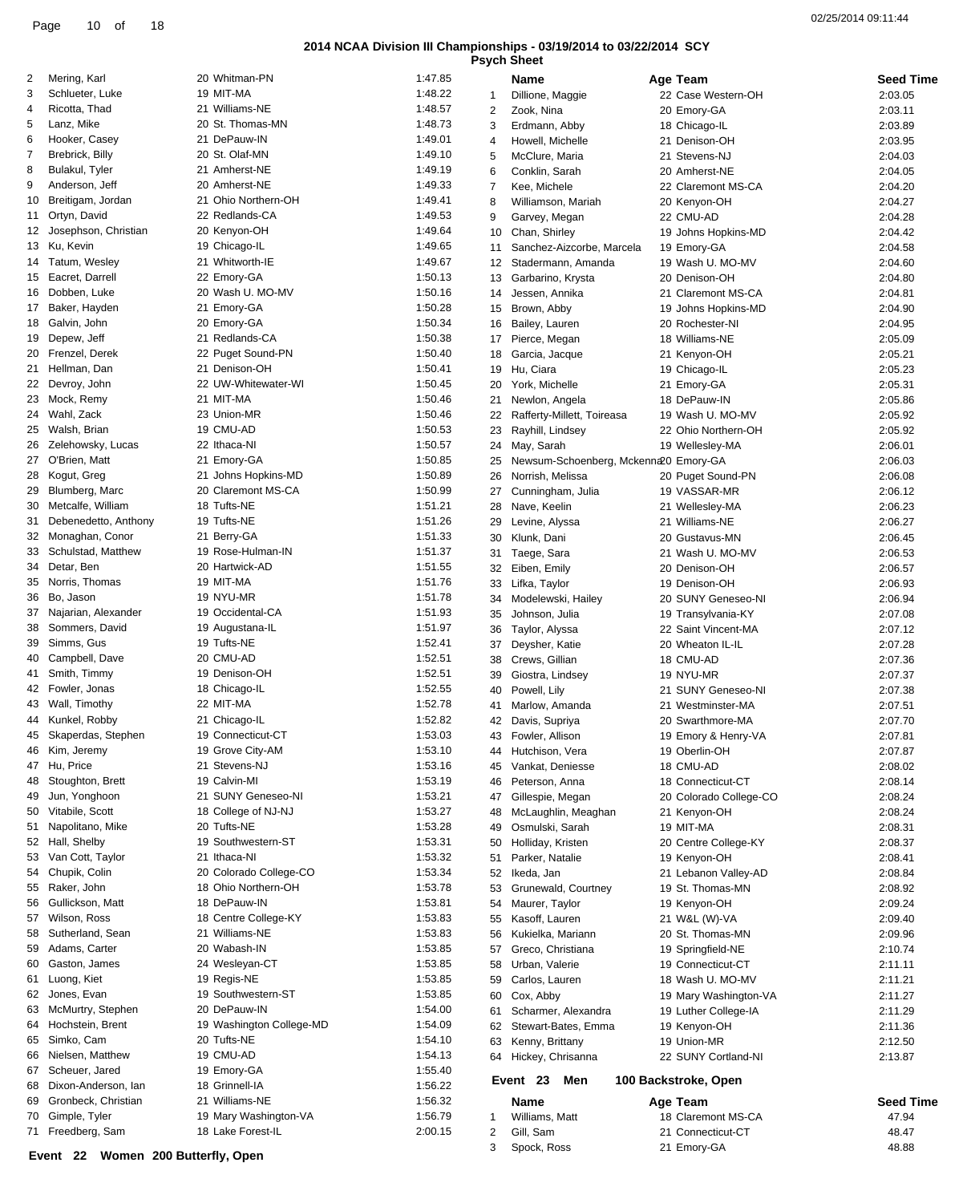|    | 10<br>18<br>Page<br>of |                     |         |                 |                                                                                           |                     | 02/25/2014 09:11:44 |
|----|------------------------|---------------------|---------|-----------------|-------------------------------------------------------------------------------------------|---------------------|---------------------|
|    |                        |                     |         |                 | 2014 NCAA Division III Championships - 03/19/2014 to 03/22/2014 SCY<br><b>Psych Sheet</b> |                     |                     |
| 2  | Mering, Karl           | 20 Whitman-PN       | 1:47.85 |                 | Name                                                                                      | Age Team            | <b>Seed Time</b>    |
| 3  | Schlueter, Luke        | 19 MIT-MA           | 1:48.22 |                 | Dillione, Maggie                                                                          | 22 Case Western-OH  | 2:03.05             |
| 4  | Ricotta, Thad          | 21 Williams-NE      | 1:48.57 |                 | Zook, Nina                                                                                | 20 Emory-GA         | 2:03.11             |
| 5  | Lanz, Mike             | 20 St. Thomas-MN    | 1:48.73 | 3               | Erdmann, Abby                                                                             | 18 Chicago-IL       | 2:03.89             |
| 6  | Hooker, Casey          | 21 DePauw-IN        | 1:49.01 | $\overline{4}$  | Howell. Michelle                                                                          | 21 Denison-OH       | 2:03.95             |
|    | Brebrick, Billy        | 20 St. Olaf-MN      | 1:49.10 | 5               | McClure, Maria                                                                            | 21 Stevens-NJ       | 2:04.03             |
| 8  | Bulakul, Tyler         | 21 Amherst-NE       | 1:49.19 | 6               | Conklin, Sarah                                                                            | 20 Amherst-NE       | 2:04.05             |
| 9  | Anderson, Jeff         | 20 Amherst-NE       | 1:49.33 |                 | Kee. Michele                                                                              | 22 Claremont MS-CA  | 2:04.20             |
| 10 | Breitigam, Jordan      | 21 Ohio Northern-OH | 1:49.41 |                 | Williamson, Mariah                                                                        | 20 Kenyon-OH        | 2:04.27             |
|    | 11 Ortyn, David        | 22 Redlands-CA      | 1:49.53 | 9               | Garvey, Megan                                                                             | 22 CMU-AD           | 2:04.28             |
|    | Josephson, Christian   | 20 Kenyon-OH        | 1:49.64 | 10              | Chan, Shirley                                                                             | 19 Johns Hopkins-MD | 2:04.42             |
|    | 13 Ku. Kevin           | 19 Chicago-IL       | 1:49.65 |                 | Sanchez-Aizcorbe, Marcela                                                                 | 19 Emory-GA         | 2:04.58             |
|    | 14 Tatum, Wesley       | 21 Whitworth-IE     | 1:49.67 | 12 <sup>2</sup> | Stadermann, Amanda                                                                        | 19 Wash U. MO-MV    | 2:04.60             |
|    | 15 Eacret. Darrell     | 22 Emory-GA         | 1:50.13 | 13              | Garbarino, Krysta                                                                         | 20 Denison-OH       | 2:04.80             |
|    | 16 Dobben, Luke        | 20 Wash U. MO-MV    | 1:50.16 | 14              | Jessen, Annika                                                                            | 21 Claremont MS-CA  | 2:04.81             |
|    | 17 Baker, Hayden       | 21 Emory-GA         | 1:50.28 | 15              | Brown, Abby                                                                               | 19 Johns Hopkins-MD | 2:04.90             |
| 18 | Galvin, John           | 20 Emory-GA         | 1:50.34 | 16              | Bailey, Lauren                                                                            | 20 Rochester-NI     | 2:04.95             |
|    | 19 Depew, Jeff         | 21 Redlands-CA      | 1:50.38 | 17              | Pierce, Megan                                                                             | 18 Williams-NE      | 2:05.09             |
|    | 20 Frenzel, Derek      | 22 Puget Sound-PN   | 1:50.40 | 18              | Garcia, Jacque                                                                            | 21 Kenyon-OH        | 2:05.21             |
|    | 21 Hellman, Dan        | 21 Denison-OH       | 1:50.41 | 19              | Hu, Ciara                                                                                 | 19 Chicago-IL       | 2:05.23             |
|    | 22 Devroy, John        | 22 UW-Whitewater-WI | 1:50.45 | 20              | York, Michelle                                                                            | 21 Emory-GA         | 2:05.31             |
| 23 | Mock, Remy             | 21 MIT-MA           | 1:50.46 |                 | Newlon, Angela                                                                            | 18 DePauw-IN        | 2:05.86             |
|    | 24 Wahl, Zack          | 23 Union-MR         | 1:50.46 |                 | Rafferty-Millett, Toireasa                                                                | 19 Wash U. MO-MV    | 2:05.92             |
| 25 | Walsh, Brian           | 19 CMU-AD           | 1:50.53 | 23              | Rayhill Lindsey                                                                           | 22 Ohio Northern-OH | 2.0592              |

|    | 13 Ku, Kevin           | 19 Chicago-IL            | 1:49.65 | 11           | Sanchez-Aizcorbe, Marcela             | 19 Emory-GA            | 2:04.58            |
|----|------------------------|--------------------------|---------|--------------|---------------------------------------|------------------------|--------------------|
|    | 14 Tatum, Wesley       | 21 Whitworth-IE          | 1:49.67 | 12           | Stadermann, Amanda                    | 19 Wash U. MO-MV       | 2:04.60            |
|    | 15 Eacret, Darrell     | 22 Emory-GA              | 1:50.13 | 13           | Garbarino, Krysta                     | 20 Denison-OH          | 2:04.80            |
|    | 16 Dobben, Luke        | 20 Wash U. MO-MV         | 1:50.16 | 14           | Jessen, Annika                        | 21 Claremont MS-CA     | 2:04.81            |
|    | 17 Baker, Hayden       | 21 Emory-GA              | 1:50.28 | 15           | Brown, Abby                           | 19 Johns Hopkins-MD    | 2:04.90            |
|    | 18 Galvin, John        | 20 Emory-GA              | 1:50.34 | 16           | Bailey, Lauren                        | 20 Rochester-NI        | 2:04.95            |
|    | 19 Depew, Jeff         | 21 Redlands-CA           | 1:50.38 | 17           | Pierce, Megan                         | 18 Williams-NE         | 2:05.09            |
| 20 | Frenzel, Derek         | 22 Puget Sound-PN        | 1:50.40 | 18           | Garcia, Jacque                        | 21 Kenyon-OH           | 2:05.21            |
|    | 21 Hellman, Dan        | 21 Denison-OH            | 1:50.41 | 19           | Hu, Ciara                             | 19 Chicago-IL          | 2:05.23            |
| 22 | Devroy, John           | 22 UW-Whitewater-WI      | 1:50.45 | 20           | York, Michelle                        | 21 Emory-GA            | 2:05.31            |
|    | 23 Mock, Remy          | 21 MIT-MA                | 1:50.46 | 21           | Newlon, Angela                        | 18 DePauw-IN           | 2:05.86            |
|    | 24 Wahl, Zack          | 23 Union-MR              | 1:50.46 | 22           | Rafferty-Millett, Toireasa            | 19 Wash U. MO-MV       | 2:05.92            |
| 25 | Walsh, Brian           | 19 CMU-AD                | 1:50.53 | 23           | Rayhill, Lindsey                      | 22 Ohio Northern-OH    | 2:05.92            |
|    | 26 Zelehowsky, Lucas   | 22 Ithaca-NI             | 1:50.57 | 24           | May, Sarah                            | 19 Wellesley-MA        | 2:06.01            |
|    | 27 O'Brien, Matt       | 21 Emory-GA              | 1:50.85 | 25           | Newsum-Schoenberg, Mckenna20 Emory-GA |                        | 2:06.03            |
|    | 28 Kogut, Greg         | 21 Johns Hopkins-MD      | 1:50.89 | 26           | Norrish, Melissa                      | 20 Puget Sound-PN      | 2:06.08            |
|    | 29 Blumberg, Marc      | 20 Claremont MS-CA       | 1:50.99 | 27           | Cunningham, Julia                     | 19 VASSAR-MR           | 2:06.12            |
| 30 | Metcalfe, William      | 18 Tufts-NE              | 1:51.21 | 28           | Nave, Keelin                          | 21 Wellesley-MA        | 2:06.23            |
| 31 | Debenedetto, Anthony   | 19 Tufts-NE              | 1:51.26 | 29           |                                       | 21 Williams-NE         |                    |
|    | 32 Monaghan, Conor     | 21 Berry-GA              | 1:51.33 | 30           | Levine, Alyssa<br>Klunk, Dani         | 20 Gustavus-MN         | 2:06.27<br>2:06.45 |
| 33 | Schulstad, Matthew     | 19 Rose-Hulman-IN        | 1:51.37 |              |                                       | 21 Wash U. MO-MV       |                    |
| 34 | Detar, Ben             | 20 Hartwick-AD           | 1:51.55 | 31           | Taege, Sara                           | 20 Denison-OH          | 2:06.53            |
|    |                        | 19 MIT-MA                | 1:51.76 | 32           | Eiben, Emily                          |                        | 2:06.57            |
| 35 | Norris, Thomas         |                          |         | 33           | Lifka, Taylor                         | 19 Denison-OH          | 2:06.93            |
|    | 36 Bo, Jason           | 19 NYU-MR                | 1:51.78 | 34           | Modelewski, Hailey                    | 20 SUNY Geneseo-NI     | 2:06.94            |
| 37 | Najarian, Alexander    | 19 Occidental-CA         | 1:51.93 | 35           | Johnson, Julia                        | 19 Transylvania-KY     | 2:07.08            |
| 38 | Sommers, David         | 19 Augustana-IL          | 1:51.97 | 36           | Taylor, Alyssa                        | 22 Saint Vincent-MA    | 2:07.12            |
|    | 39 Simms, Gus          | 19 Tufts-NE              | 1:52.41 | 37           | Deysher, Katie                        | 20 Wheaton IL-IL       | 2:07.28            |
| 40 | Campbell, Dave         | 20 CMU-AD                | 1:52.51 | 38           | Crews, Gillian                        | 18 CMU-AD              | 2:07.36            |
| 41 | Smith, Timmy           | 19 Denison-OH            | 1:52.51 | 39           | Giostra, Lindsey                      | 19 NYU-MR              | 2:07.37            |
|    | 42 Fowler, Jonas       | 18 Chicago-IL            | 1:52.55 | 40           | Powell, Lily                          | 21 SUNY Geneseo-NI     | 2:07.38            |
| 43 | Wall, Timothy          | 22 MIT-MA                | 1:52.78 | 41           | Marlow, Amanda                        | 21 Westminster-MA      | 2:07.51            |
| 44 | Kunkel, Robby          | 21 Chicago-IL            | 1:52.82 | 42           | Davis, Supriya                        | 20 Swarthmore-MA       | 2:07.70            |
|    | 45 Skaperdas, Stephen  | 19 Connecticut-CT        | 1:53.03 | 43           | Fowler, Allison                       | 19 Emory & Henry-VA    | 2:07.81            |
| 46 | Kim, Jeremy            | 19 Grove City-AM         | 1:53.10 | 44           | Hutchison, Vera                       | 19 Oberlin-OH          | 2:07.87            |
|    | 47 Hu, Price           | 21 Stevens-NJ            | 1:53.16 | 45           | Vankat, Deniesse                      | 18 CMU-AD              | 2:08.02            |
|    | 48 Stoughton, Brett    | 19 Calvin-MI             | 1:53.19 | 46           | Peterson, Anna                        | 18 Connecticut-CT      | 2:08.14            |
| 49 | Jun, Yonghoon          | 21 SUNY Geneseo-NI       | 1:53.21 | 47           | Gillespie, Megan                      | 20 Colorado College-CO | 2:08.24            |
| 50 | Vitabile, Scott        | 18 College of NJ-NJ      | 1:53.27 | 48           | McLaughlin, Meaghan                   | 21 Kenyon-OH           | 2:08.24            |
|    | 51 Napolitano, Mike    | 20 Tufts-NE              | 1:53.28 | 49           | Osmulski, Sarah                       | 19 MIT-MA              | 2:08.31            |
|    | 52 Hall, Shelby        | 19 Southwestern-ST       | 1:53.31 | 50           | Holliday, Kristen                     | 20 Centre College-KY   | 2:08.37            |
|    | 53 Van Cott, Taylor    | 21 Ithaca-NI             | 1:53.32 | 51           | Parker, Natalie                       | 19 Kenyon-OH           | 2:08.41            |
|    | 54 Chupik, Colin       | 20 Colorado College-CO   | 1:53.34 | 52           | Ikeda, Jan                            | 21 Lebanon Valley-AD   | 2:08.84            |
|    | 55 Raker, John         | 18 Ohio Northern-OH      | 1:53.78 | 53           | Grunewald, Courtney                   | 19 St. Thomas-MN       | 2:08.92            |
|    | 56 Gullickson, Matt    | 18 DePauw-IN             | 1:53.81 | 54           | Maurer, Taylor                        | 19 Kenyon-OH           | 2:09.24            |
|    | 57 Wilson, Ross        | 18 Centre College-KY     | 1:53.83 |              | 55 Kasoff, Lauren                     | 21 W&L (W)-VA          | 2:09.40            |
|    | 58 Sutherland, Sean    | 21 Williams-NE           | 1:53.83 |              | 56 Kukielka, Mariann                  | 20 St. Thomas-MN       | 2:09.96            |
|    | 59 Adams, Carter       | 20 Wabash-IN             | 1:53.85 | 57           | Greco, Christiana                     | 19 Springfield-NE      | 2:10.74            |
|    | 60 Gaston, James       | 24 Wesleyan-CT           | 1:53.85 | 58           | Urban, Valerie                        | 19 Connecticut-CT      | 2:11.11            |
|    | 61 Luong, Kiet         | 19 Regis-NE              | 1:53.85 | 59           | Carlos, Lauren                        | 18 Wash U. MO-MV       | 2:11.21            |
|    | 62 Jones, Evan         | 19 Southwestern-ST       | 1:53.85 | 60           | Cox, Abby                             | 19 Mary Washington-VA  | 2:11.27            |
|    | 63 McMurtry, Stephen   | 20 DePauw-IN             | 1:54.00 | 61           | Scharmer, Alexandra                   | 19 Luther College-IA   | 2:11.29            |
|    | 64 Hochstein, Brent    | 19 Washington College-MD | 1:54.09 | 62           | Stewart-Bates, Emma                   | 19 Kenyon-OH           | 2:11.36            |
|    | 65 Simko, Cam          | 20 Tufts-NE              | 1:54.10 | 63           | Kenny, Brittany                       | 19 Union-MR            | 2:12.50            |
|    | 66 Nielsen, Matthew    | 19 CMU-AD                | 1:54.13 |              | 64 Hickey, Chrisanna                  | 22 SUNY Cortland-NI    | 2:13.87            |
|    | 67 Scheuer, Jared      | 19 Emory-GA              | 1:55.40 |              |                                       |                        |                    |
| 68 | Dixon-Anderson, Ian    | 18 Grinnell-IA           | 1:56.22 |              | Men<br>Event 23                       | 100 Backstroke, Open   |                    |
|    | 69 Gronbeck, Christian | 21 Williams-NE           | 1:56.32 |              | Name                                  | Age Team               | Seed T             |
|    | 70 Gimple, Tyler       | 19 Mary Washington-VA    | 1:56.79 | 1            | Williams, Matt                        | 18 Claremont MS-CA     | 47.94              |
|    | 71 Freedberg, Sam      | 18 Lake Forest-IL        | 2:00.15 | $\mathbf{2}$ | Gill, Sam                             | 21 Connecticut-CT      | 48.47              |
|    |                        |                          |         |              |                                       |                        |                    |

**Name Age Team Seed Time 100 Backstroke, Open** 18 Claremont MS-CA 47.94 21 Connecticut-CT 48.47 Spock, Ross 21 Emory-GA 48.88

**Event 22 Women 200 Butterfly, Open**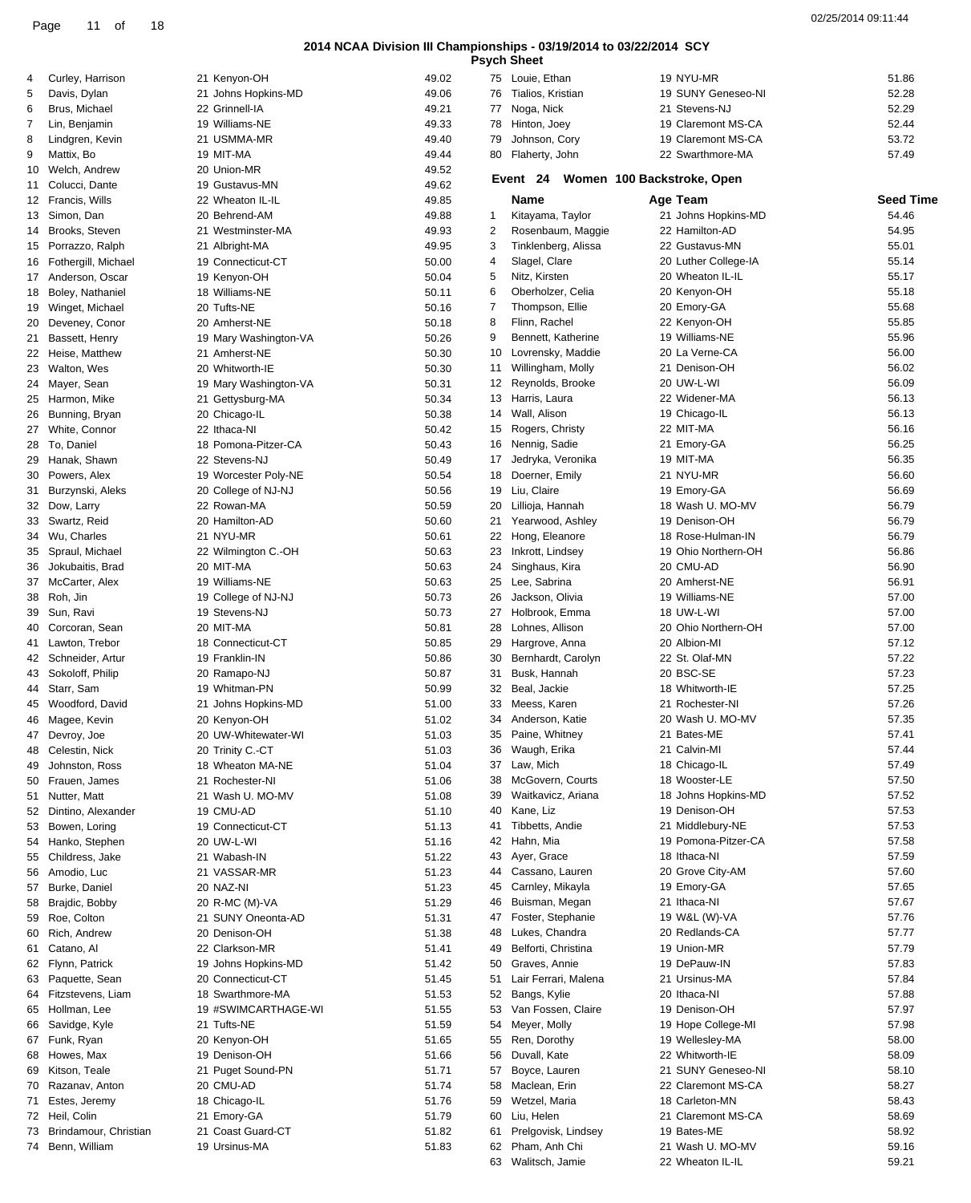|                                        |                                          |                |          | <b>Psych Sheet</b>                    |                                 |                           |
|----------------------------------------|------------------------------------------|----------------|----------|---------------------------------------|---------------------------------|---------------------------|
| Curley, Harrison<br>4                  | 21 Kenyon-OH                             | 49.02          |          | 75 Louie, Ethan                       | 19 NYU-MR                       | 51.86                     |
| Davis, Dylan<br>5                      | 21 Johns Hopkins-MD                      | 49.06          |          | 76 Tialios, Kristian                  | 19 SUNY Geneseo-NI              | 52.28                     |
| 6<br>Brus, Michael                     | 22 Grinnell-IA                           | 49.21          |          | 77 Noga, Nick                         | 21 Stevens-NJ                   | 52.29                     |
| Lin, Benjamin                          | 19 Williams-NE                           | 49.33          |          | 78 Hinton, Joey                       | 19 Claremont MS-CA              | 52.44                     |
| 8<br>Lindgren, Kevin                   | 21 USMMA-MR                              | 49.40          | 79       | Johnson, Cory                         | 19 Claremont MS-CA              | 53.72                     |
| 9<br>Mattix, Bo                        | 19 MIT-MA                                | 49.44          |          | 80 Flaherty, John                     | 22 Swarthmore-MA                | 57.49                     |
| 10 Welch, Andrew                       | 20 Union-MR                              | 49.52          |          | Event 24                              | Women 100 Backstroke, Open      |                           |
| 11 Colucci, Dante                      | 19 Gustavus-MN                           | 49.62          |          |                                       |                                 |                           |
| 12 Francis, Wills<br>13 Simon, Dan     | 22 Wheaton IL-IL<br>20 Behrend-AM        | 49.85<br>49.88 | 1        | Name<br>Kitayama, Taylor              | Age Team<br>21 Johns Hopkins-MD | <b>Seed Time</b><br>54.46 |
| 14 Brooks, Steven                      | 21 Westminster-MA                        | 49.93          | 2        | Rosenbaum, Maggie                     | 22 Hamilton-AD                  | 54.95                     |
| 15 Porrazzo, Ralph                     | 21 Albright-MA                           | 49.95          | 3        | Tinklenberg, Alissa                   | 22 Gustavus-MN                  | 55.01                     |
| 16 Fothergill, Michael                 | 19 Connecticut-CT                        | 50.00          | 4        | Slagel, Clare                         | 20 Luther College-IA            | 55.14                     |
| 17 Anderson, Oscar                     | 19 Kenyon-OH                             | 50.04          | 5        | Nitz, Kirsten                         | 20 Wheaton IL-IL                | 55.17                     |
| 18 Boley, Nathaniel                    | 18 Williams-NE                           | 50.11          | 6        | Oberholzer, Celia                     | 20 Kenyon-OH                    | 55.18                     |
| 19 Winget, Michael                     | 20 Tufts-NE                              | 50.16          | 7        | Thompson, Ellie                       | 20 Emory-GA                     | 55.68                     |
| 20 Deveney, Conor                      | 20 Amherst-NE                            | 50.18          | 8        | Flinn, Rachel                         | 22 Kenyon-OH                    | 55.85                     |
| 21 Bassett, Henry                      | 19 Mary Washington-VA                    | 50.26          | 9        | Bennett, Katherine                    | 19 Williams-NE                  | 55.96                     |
| 22 Heise, Matthew                      | 21 Amherst-NE                            | 50.30          | 10       | Lovrensky, Maddie                     | 20 La Verne-CA                  | 56.00                     |
| 23 Walton, Wes                         | 20 Whitworth-IE                          | 50.30          | 11       | Willingham, Molly                     | 21 Denison-OH                   | 56.02                     |
| 24 Mayer, Sean                         | 19 Mary Washington-VA                    | 50.31          |          | 12 Reynolds, Brooke                   | 20 UW-L-WI                      | 56.09                     |
| 25 Harmon, Mike                        | 21 Gettysburg-MA                         | 50.34          |          | 13 Harris, Laura                      | 22 Widener-MA                   | 56.13                     |
| 26 Bunning, Bryan                      | 20 Chicago-IL                            | 50.38          | 14       | Wall, Alison                          | 19 Chicago-IL                   | 56.13                     |
| 27 White, Connor                       | 22 Ithaca-NI                             | 50.42          |          | 15 Rogers, Christy                    | 22 MIT-MA                       | 56.16                     |
| 28 To, Daniel                          | 18 Pomona-Pitzer-CA                      | 50.43          |          | 16 Nennig, Sadie                      | 21 Emory-GA                     | 56.25                     |
| 29 Hanak, Shawn                        | 22 Stevens-NJ                            | 50.49          | 17       | Jedryka, Veronika                     | 19 MIT-MA                       | 56.35                     |
| 30 Powers, Alex                        | 19 Worcester Poly-NE                     | 50.54          | 18       | Doerner, Emily                        | 21 NYU-MR                       | 56.60                     |
| 31 Burzynski, Aleks                    | 20 College of NJ-NJ                      | 50.56          | 19       | Liu, Claire                           | 19 Emory-GA                     | 56.69                     |
| 32 Dow, Larry                          | 22 Rowan-MA                              | 50.59          | 20       | Lillioja, Hannah                      | 18 Wash U. MO-MV                | 56.79                     |
| 33 Swartz, Reid                        | 20 Hamilton-AD                           | 50.60          | 21       | Yearwood, Ashley                      | 19 Denison-OH                   | 56.79                     |
| 34 Wu, Charles                         | 21 NYU-MR                                | 50.61          | 22       | Hong, Eleanore                        | 18 Rose-Hulman-IN               | 56.79                     |
| 35 Spraul, Michael                     | 22 Wilmington C.-OH                      | 50.63          | 23       | Inkrott, Lindsey                      | 19 Ohio Northern-OH             | 56.86                     |
| 36 Jokubaitis, Brad                    | 20 MIT-MA                                | 50.63          | 24       | Singhaus, Kira<br>Lee, Sabrina        | 20 CMU-AD<br>20 Amherst-NE      | 56.90<br>56.91            |
| 37 McCarter, Alex                      | 19 Williams-NE                           | 50.63          | 25<br>26 | Jackson, Olivia                       | 19 Williams-NE                  | 57.00                     |
| 38 Roh, Jin<br>39 Sun, Ravi            | 19 College of NJ-NJ<br>19 Stevens-NJ     | 50.73<br>50.73 | 27       | Holbrook, Emma                        | 18 UW-L-WI                      | 57.00                     |
| 40 Corcoran, Sean                      | 20 MIT-MA                                | 50.81          | 28       | Lohnes, Allison                       | 20 Ohio Northern-OH             | 57.00                     |
| 41 Lawton, Trebor                      | 18 Connecticut-CT                        | 50.85          | 29       | Hargrove, Anna                        | 20 Albion-MI                    | 57.12                     |
| 42 Schneider, Artur                    | 19 Franklin-IN                           | 50.86          | 30       | Bernhardt, Carolyn                    | 22 St. Olaf-MN                  | 57.22                     |
| 43 Sokoloff, Philip                    | 20 Ramapo-NJ                             | 50.87          | 31       | Busk, Hannah                          | 20 BSC-SE                       | 57.23                     |
| 44 Starr, Sam                          | 19 Whitman-PN                            | 50.99          | 32       | Beal, Jackie                          | 18 Whitworth-IE                 | 57.25                     |
| 45 Woodford, David                     | 21 Johns Hopkins-MD                      | 51.00          | 33       | Meess, Karen                          | 21 Rochester-NI                 | 57.26                     |
| 46 Magee, Kevin                        | 20 Kenyon-OH                             | 51.02          | 34       | Anderson, Katie                       | 20 Wash U. MO-MV                | 57.35                     |
| 47 Devroy, Joe                         | 20 UW-Whitewater-WI                      | 51.03          |          | 35 Paine, Whitney                     | 21 Bates-ME                     | 57.41                     |
| 48 Celestin, Nick                      | 20 Trinity C.-CT                         | 51.03          | 36       | Waugh, Erika                          | 21 Calvin-MI                    | 57.44                     |
| 49 Johnston, Ross                      | 18 Wheaton MA-NE                         | 51.04          |          | 37 Law, Mich                          | 18 Chicago-IL                   | 57.49                     |
| 50 Frauen, James                       | 21 Rochester-NI                          | 51.06          | 38       | McGovern, Courts                      | 18 Wooster-LE                   | 57.50                     |
| 51 Nutter, Matt                        | 21 Wash U. MO-MV                         | 51.08          | 39       | Waitkavicz, Ariana                    | 18 Johns Hopkins-MD             | 57.52                     |
| 52 Dintino, Alexander                  | 19 CMU-AD                                | 51.10          | 40       | Kane, Liz                             | 19 Denison-OH                   | 57.53                     |
| 53 Bowen, Loring                       | 19 Connecticut-CT                        | 51.13          | 41       | Tibbetts, Andie                       | 21 Middlebury-NE                | 57.53                     |
| 54 Hanko, Stephen                      | 20 UW-L-WI                               | 51.16          | 42       | Hahn, Mia                             | 19 Pomona-Pitzer-CA             | 57.58                     |
| 55 Childress, Jake                     | 21 Wabash-IN                             | 51.22          |          | 43 Ayer, Grace                        | 18 Ithaca-NI                    | 57.59                     |
| 56 Amodio, Luc                         | 21 VASSAR-MR                             | 51.23          | 44       | Cassano, Lauren                       | 20 Grove City-AM                | 57.60                     |
| 57 Burke, Daniel                       | 20 NAZ-NI                                | 51.23          | 45       | Carnley, Mikayla                      | 19 Emory-GA                     | 57.65                     |
| 58 Brajdic, Bobby                      | 20 R-MC (M)-VA                           | 51.29          | 46       | Buisman, Megan                        | 21 Ithaca-NI                    | 57.67                     |
| 59 Roe, Colton                         | 21 SUNY Oneonta-AD                       | 51.31          | 47       | Foster, Stephanie                     | 19 W&L (W)-VA                   | 57.76                     |
| 60 Rich, Andrew                        | 20 Denison-OH                            | 51.38          | 48       | Lukes, Chandra                        | 20 Redlands-CA                  | 57.77                     |
| 61 Catano, Al                          | 22 Clarkson-MR                           | 51.41          | 49       | Belforti, Christina                   | 19 Union-MR<br>19 DePauw-IN     | 57.79<br>57.83            |
| 62 Flynn, Patrick<br>63 Paquette, Sean | 19 Johns Hopkins-MD<br>20 Connecticut-CT | 51.42          | 50<br>51 | Graves, Annie<br>Lair Ferrari, Malena | 21 Ursinus-MA                   | 57.84                     |
| 64 Fitzstevens, Liam                   | 18 Swarthmore-MA                         | 51.45<br>51.53 | 52       | Bangs, Kylie                          | 20 Ithaca-NI                    | 57.88                     |
| 65 Hollman, Lee                        | 19 #SWIMCARTHAGE-WI                      | 51.55          | 53       | Van Fossen, Claire                    | 19 Denison-OH                   | 57.97                     |
| 66 Savidge, Kyle                       | 21 Tufts-NE                              | 51.59          | 54       | Meyer, Molly                          | 19 Hope College-MI              | 57.98                     |
| 67 Funk, Ryan                          | 20 Kenyon-OH                             | 51.65          | 55       | Ren, Dorothy                          | 19 Wellesley-MA                 | 58.00                     |
| 68 Howes, Max                          | 19 Denison-OH                            | 51.66          | 56       | Duvall, Kate                          | 22 Whitworth-IE                 | 58.09                     |
| 69 Kitson, Teale                       | 21 Puget Sound-PN                        | 51.71          | 57       | Boyce, Lauren                         | 21 SUNY Geneseo-NI              | 58.10                     |
| 70 Razanav, Anton                      | 20 CMU-AD                                | 51.74          | 58       | Maclean, Erin                         | 22 Claremont MS-CA              | 58.27                     |
| 71 Estes, Jeremy                       | 18 Chicago-IL                            | 51.76          | 59       | Wetzel, Maria                         | 18 Carleton-MN                  | 58.43                     |
| 72 Heil, Colin                         | 21 Emory-GA                              | 51.79          | 60       | Liu, Helen                            | 21 Claremont MS-CA              | 58.69                     |
| 73 Brindamour, Christian               | 21 Coast Guard-CT                        | 51.82          | 61       | Prelgovisk, Lindsey                   | 19 Bates-ME                     | 58.92                     |
| 74 Benn, William                       | 19 Ursinus-MA                            | 51.83          |          | 62 Pham, Anh Chi                      | 21 Wash U. MO-MV                | 59.16                     |
|                                        |                                          |                |          | 63 Walitsch, Jamie                    | 22 Wheaton IL-IL                | 59.21                     |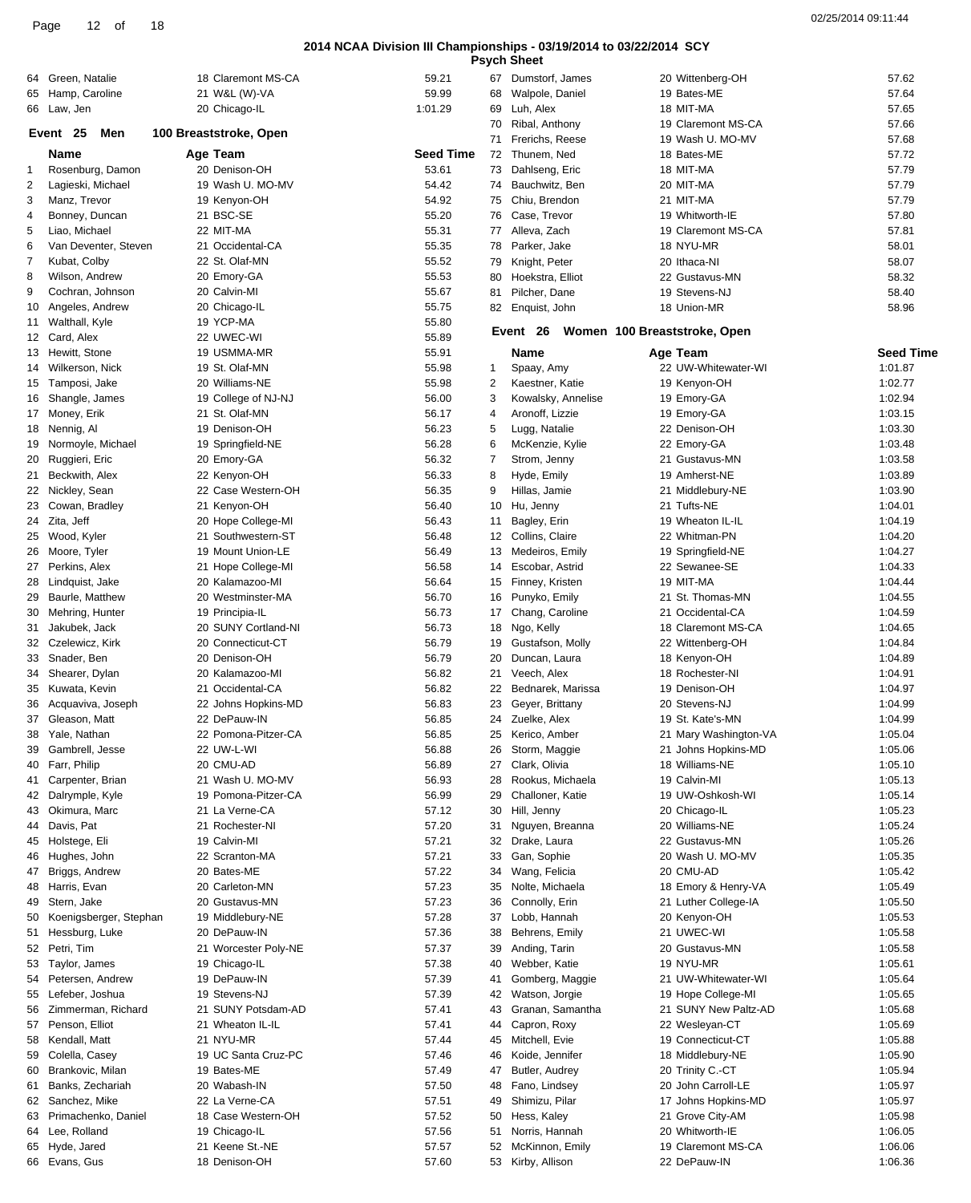|    | 64 Green, Natalie         | 18 Claremont MS-CA     | 59.21     |              | Dumstorf, James    | 20 Wittenberg-OH             | 57.62            |
|----|---------------------------|------------------------|-----------|--------------|--------------------|------------------------------|------------------|
|    |                           |                        |           | 67           |                    |                              |                  |
|    | 65 Hamp, Caroline         | 21 W&L (W)-VA          | 59.99     | 68           | Walpole, Daniel    | 19 Bates-ME                  | 57.64            |
|    | 66 Law, Jen               | 20 Chicago-IL          | 1:01.29   | 69           | Luh, Alex          | 18 MIT-MA                    | 57.65            |
|    |                           |                        |           | 70           | Ribal, Anthony     | 19 Claremont MS-CA           | 57.66            |
|    | Event 25<br>Men           | 100 Breaststroke, Open |           | 71           | Frerichs, Reese    | 19 Wash U. MO-MV             | 57.68            |
|    | Name                      | Age Team               | Seed Time |              | 72 Thunem, Ned     | 18 Bates-ME                  | 57.72            |
| 1  | Rosenburg, Damon          | 20 Denison-OH          | 53.61     |              | 73 Dahlseng, Eric  | 18 MIT-MA                    | 57.79            |
|    |                           |                        |           |              |                    |                              |                  |
| 2  | Lagieski, Michael         | 19 Wash U. MO-MV       | 54.42     | 74           | Bauchwitz, Ben     | 20 MIT-MA                    | 57.79            |
| 3  | Manz, Trevor              | 19 Kenyon-OH           | 54.92     | 75           | Chiu, Brendon      | 21 MIT-MA                    | 57.79            |
| 4  | Bonney, Duncan            | 21 BSC-SE              | 55.20     | 76           | Case, Trevor       | 19 Whitworth-IE              | 57.80            |
| 5  | Liao, Michael             | 22 MIT-MA              | 55.31     |              | 77 Alleva, Zach    | 19 Claremont MS-CA           | 57.81            |
| 6  | Van Deventer, Steven      | 21 Occidental-CA       | 55.35     |              | 78 Parker, Jake    | 18 NYU-MR                    | 58.01            |
|    | Kubat, Colby              | 22 St. Olaf-MN         | 55.52     | 79           | Knight, Peter      | 20 Ithaca-NI                 | 58.07            |
|    |                           |                        |           |              |                    |                              |                  |
| 8  | Wilson, Andrew            | 20 Emory-GA            | 55.53     | 80           | Hoekstra, Elliot   | 22 Gustavus-MN               | 58.32            |
| 9  | Cochran, Johnson          | 20 Calvin-MI           | 55.67     | 81           | Pilcher, Dane      | 19 Stevens-NJ                | 58.40            |
|    | 10 Angeles, Andrew        | 20 Chicago-IL          | 55.75     |              | 82 Enquist, John   | 18 Union-MR                  | 58.96            |
|    | 11 Walthall, Kyle         | 19 YCP-MA              | 55.80     |              |                    |                              |                  |
|    | 12 Card, Alex             | 22 UWEC-WI             | 55.89     |              | Event 26           | Women 100 Breaststroke, Open |                  |
|    | 13 Hewitt, Stone          | 19 USMMA-MR            | 55.91     |              | Name               | Age Team                     | <b>Seed Time</b> |
|    |                           |                        |           |              |                    |                              |                  |
|    | 14 Wilkerson, Nick        | 19 St. Olaf-MN         | 55.98     | $\mathbf{1}$ | Spaay, Amy         | 22 UW-Whitewater-WI          | 1:01.87          |
|    | 15 Tamposi, Jake          | 20 Williams-NE         | 55.98     | 2            | Kaestner, Katie    | 19 Kenyon-OH                 | 1:02.77          |
|    | 16 Shangle, James         | 19 College of NJ-NJ    | 56.00     | 3            | Kowalsky, Annelise | 19 Emory-GA                  | 1:02.94          |
|    | 17 Money, Erik            | 21 St. Olaf-MN         | 56.17     | 4            | Aronoff, Lizzie    | 19 Emory-GA                  | 1:03.15          |
|    | 18 Nennig, Al             | 19 Denison-OH          | 56.23     | 5            | Lugg, Natalie      | 22 Denison-OH                | 1:03.30          |
|    |                           |                        | 56.28     | 6            |                    | 22 Emory-GA                  | 1:03.48          |
|    | 19 Normoyle, Michael      | 19 Springfield-NE      |           |              | McKenzie, Kylie    |                              |                  |
|    | 20 Ruggieri, Eric         | 20 Emory-GA            | 56.32     | 7            | Strom, Jenny       | 21 Gustavus-MN               | 1:03.58          |
|    | 21 Beckwith, Alex         | 22 Kenyon-OH           | 56.33     | 8            | Hyde, Emily        | 19 Amherst-NE                | 1:03.89          |
|    | 22 Nickley, Sean          | 22 Case Western-OH     | 56.35     | 9            | Hillas, Jamie      | 21 Middlebury-NE             | 1:03.90          |
|    | 23 Cowan, Bradley         | 21 Kenyon-OH           | 56.40     | 10           | Hu, Jenny          | 21 Tufts-NE                  | 1:04.01          |
|    | 24 Zita, Jeff             | 20 Hope College-MI     | 56.43     | 11           | Bagley, Erin       | 19 Wheaton IL-IL             | 1:04.19          |
|    |                           |                        |           |              |                    |                              |                  |
|    | 25 Wood, Kyler            | 21 Southwestern-ST     | 56.48     |              | 12 Collins, Claire | 22 Whitman-PN                | 1:04.20          |
|    | 26 Moore, Tyler           | 19 Mount Union-LE      | 56.49     | 13           | Medeiros, Emily    | 19 Springfield-NE            | 1:04.27          |
|    | 27 Perkins, Alex          | 21 Hope College-MI     | 56.58     | 14           | Escobar, Astrid    | 22 Sewanee-SE                | 1:04.33          |
|    | 28 Lindquist, Jake        | 20 Kalamazoo-MI        | 56.64     |              | 15 Finney, Kristen | 19 MIT-MA                    | 1:04.44          |
| 29 | Baurle, Matthew           | 20 Westminster-MA      | 56.70     | 16           | Punyko, Emily      | 21 St. Thomas-MN             | 1:04.55          |
|    | 30 Mehring, Hunter        | 19 Principia-IL        | 56.73     | 17           | Chang, Caroline    | 21 Occidental-CA             | 1:04.59          |
|    |                           |                        |           |              |                    |                              |                  |
| 31 | Jakubek, Jack             | 20 SUNY Cortland-NI    | 56.73     | 18           | Ngo, Kelly         | 18 Claremont MS-CA           | 1:04.65          |
|    | 32 Czelewicz, Kirk        | 20 Connecticut-CT      | 56.79     | 19           | Gustafson, Molly   | 22 Wittenberg-OH             | 1:04.84          |
|    | 33 Snader, Ben            | 20 Denison-OH          | 56.79     | 20           | Duncan, Laura      | 18 Kenyon-OH                 | 1:04.89          |
|    | 34 Shearer, Dylan         | 20 Kalamazoo-MI        | 56.82     |              | 21 Veech, Alex     | 18 Rochester-NI              | 1:04.91          |
|    | 35 Kuwata, Kevin          | 21 Occidental-CA       | 56.82     | 22           | Bednarek, Marissa  | 19 Denison-OH                | 1:04.97          |
|    | 36 Acquaviva, Joseph      | 22 Johns Hopkins-MD    | 56.83     | 23           | Geyer, Brittany    | 20 Stevens-NJ                | 1:04.99          |
|    |                           |                        |           |              |                    |                              |                  |
|    | 37 Gleason, Matt          | 22 DePauw-IN           | 56.85     |              | 24 Zuelke, Alex    | 19 St. Kate's-MN             | 1:04.99          |
|    | 38 Yale, Nathan           | 22 Pomona-Pitzer-CA    | 56.85     |              | 25 Kerico, Amber   | 21 Mary Washington-VA        | 1:05.04          |
|    | 39 Gambrell, Jesse        | 22 UW-L-WI             | 56.88     |              | 26 Storm, Maggie   | 21 Johns Hopkins-MD          | 1:05.06          |
|    | 40 Farr, Philip           | 20 CMU-AD              | 56.89     |              | 27 Clark, Olivia   | 18 Williams-NE               | 1:05.10          |
|    | 41 Carpenter, Brian       | 21 Wash U. MO-MV       | 56.93     | 28           | Rookus, Michaela   | 19 Calvin-MI                 | 1:05.13          |
|    | 42 Dalrymple, Kyle        |                        |           |              | Challoner, Katie   |                              |                  |
|    |                           | 19 Pomona-Pitzer-CA    | 56.99     | 29           |                    | 19 UW-Oshkosh-WI             | 1:05.14          |
|    | 43 Okimura, Marc          | 21 La Verne-CA         | 57.12     |              | 30 Hill, Jenny     | 20 Chicago-IL                | 1:05.23          |
|    | 44 Davis, Pat             | 21 Rochester-NI        | 57.20     |              | 31 Nguyen, Breanna | 20 Williams-NE               | 1:05.24          |
|    | 45 Holstege, Eli          | 19 Calvin-MI           | 57.21     | 32           | Drake, Laura       | 22 Gustavus-MN               | 1:05.26          |
|    | 46 Hughes, John           | 22 Scranton-MA         | 57.21     | 33           | Gan, Sophie        | 20 Wash U. MO-MV             | 1:05.35          |
|    | 47 Briggs, Andrew         | 20 Bates-ME            | 57.22     |              | 34 Wang, Felicia   | 20 CMU-AD                    | 1:05.42          |
|    |                           |                        |           |              | Nolte, Michaela    |                              |                  |
|    | 48 Harris, Evan           | 20 Carleton-MN         | 57.23     | 35           |                    | 18 Emory & Henry-VA          | 1:05.49          |
|    | 49 Stern, Jake            | 20 Gustavus-MN         | 57.23     | 36           | Connolly, Erin     | 21 Luther College-IA         | 1:05.50          |
|    | 50 Koenigsberger, Stephan | 19 Middlebury-NE       | 57.28     |              | 37 Lobb, Hannah    | 20 Kenyon-OH                 | 1:05.53          |
|    | 51 Hessburg, Luke         | 20 DePauw-IN           | 57.36     | 38           | Behrens, Emily     | 21 UWEC-WI                   | 1:05.58          |
|    | 52 Petri, Tim             | 21 Worcester Poly-NE   | 57.37     | 39           | Anding, Tarin      | 20 Gustavus-MN               | 1:05.58          |
|    | 53 Taylor, James          |                        | 57.38     | 40           | Webber, Katie      | 19 NYU-MR                    | 1:05.61          |
|    |                           | 19 Chicago-IL          |           |              |                    |                              |                  |
|    | 54 Petersen, Andrew       | 19 DePauw-IN           | 57.39     | 41           | Gomberg, Maggie    | 21 UW-Whitewater-WI          | 1:05.64          |
|    | 55 Lefeber, Joshua        | 19 Stevens-NJ          | 57.39     | 42           | Watson, Jorgie     | 19 Hope College-MI           | 1:05.65          |
|    | 56 Zimmerman, Richard     | 21 SUNY Potsdam-AD     | 57.41     | 43           | Granan, Samantha   | 21 SUNY New Paltz-AD         | 1:05.68          |
|    | 57 Penson, Elliot         | 21 Wheaton IL-IL       | 57.41     | 44           | Capron, Roxy       | 22 Wesleyan-CT               | 1:05.69          |
|    | 58 Kendall, Matt          | 21 NYU-MR              | 57.44     | 45           | Mitchell, Evie     | 19 Connecticut-CT            | 1:05.88          |
|    |                           |                        |           |              |                    |                              |                  |
|    | 59 Colella, Casey         | 19 UC Santa Cruz-PC    | 57.46     | 46           | Koide, Jennifer    | 18 Middlebury-NE             | 1:05.90          |
| 60 | Brankovic, Milan          | 19 Bates-ME            | 57.49     | 47           | Butler, Audrey     | 20 Trinity C.-CT             | 1:05.94          |
| 61 | Banks, Zechariah          | 20 Wabash-IN           | 57.50     | 48           | Fano, Lindsey      | 20 John Carroll-LE           | 1:05.97          |
|    | 62 Sanchez, Mike          | 22 La Verne-CA         | 57.51     | 49           | Shimizu, Pilar     | 17 Johns Hopkins-MD          | 1:05.97          |
|    | 63 Primachenko, Daniel    | 18 Case Western-OH     | 57.52     | 50           | Hess, Kaley        | 21 Grove City-AM             | 1:05.98          |
|    |                           |                        |           |              |                    |                              |                  |
|    | 64 Lee, Rolland           | 19 Chicago-IL          | 57.56     |              | 51 Norris, Hannah  | 20 Whitworth-IE              | 1:06.05          |
|    | 65 Hyde, Jared            | 21 Keene St.-NE        | 57.57     |              | 52 McKinnon, Emily | 19 Claremont MS-CA           | 1:06.06          |
|    | 66 Evans, Gus             | 18 Denison-OH          | 57.60     |              | 53 Kirby, Allison  | 22 DePauw-IN                 | 1:06.36          |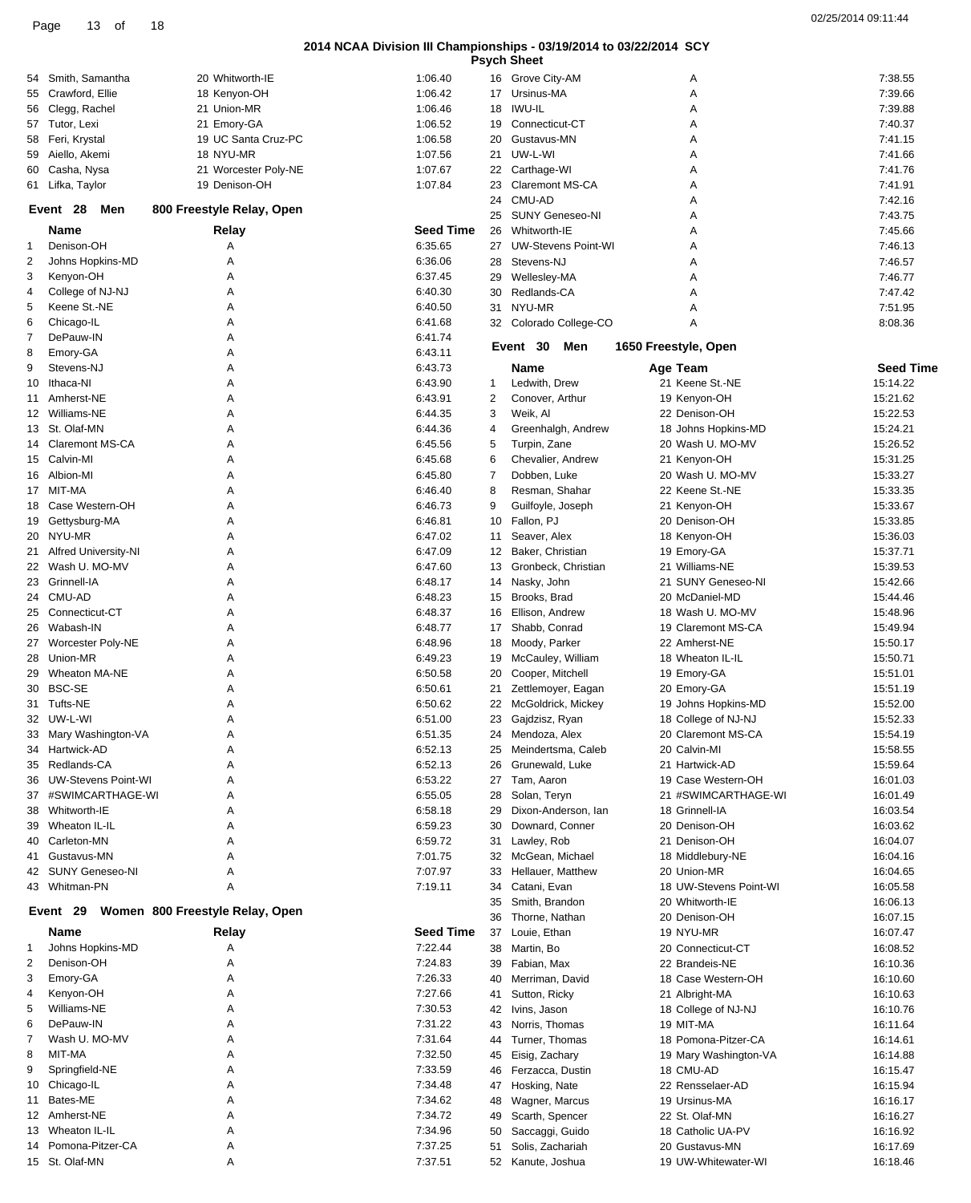| 02/25/2014 09:11:44 |  |
|---------------------|--|
|                     |  |

|    |                             |                                 |                  |              | <b>Psych Sheet</b>         |                        |                  |
|----|-----------------------------|---------------------------------|------------------|--------------|----------------------------|------------------------|------------------|
| 54 | Smith, Samantha             | 20 Whitworth-IE                 | 1:06.40          |              | 16 Grove City-AM           | Α                      | 7:38.55          |
|    | 55 Crawford, Ellie          | 18 Kenyon-OH                    | 1:06.42          |              | 17 Ursinus-MA              | Α                      | 7:39.66          |
| 56 | Clegg, Rachel               | 21 Union-MR                     | 1:06.46          | 18           | <b>IWU-IL</b>              | Α                      | 7:39.88          |
| 57 | Tutor, Lexi                 | 21 Emory-GA                     | 1:06.52          | 19           | Connecticut-CT             | Α                      | 7:40.37          |
|    |                             | 19 UC Santa Cruz-PC             | 1:06.58          |              |                            |                        | 7:41.15          |
|    | 58 Feri, Krystal            |                                 |                  | 20           | Gustavus-MN                | Α                      |                  |
| 59 | Aiello, Akemi               | 18 NYU-MR                       | 1:07.56          | 21           | UW-L-WI                    | Α                      | 7:41.66          |
|    | 60 Casha, Nysa              | 21 Worcester Poly-NE            | 1:07.67          |              | 22 Carthage-WI             | Α                      | 7:41.76          |
|    | 61 Lifka, Taylor            | 19 Denison-OH                   | 1:07.84          | 23           | <b>Claremont MS-CA</b>     | Α                      | 7:41.91          |
|    | Event 28<br>Men             | 800 Freestyle Relay, Open       |                  | 24           | CMU-AD                     | Α                      | 7:42.16          |
|    |                             |                                 |                  | 25           | <b>SUNY Geneseo-NI</b>     | Α                      | 7:43.75          |
|    | <b>Name</b>                 | Relay                           | Seed Time        | 26           | Whitworth-IE               | A                      | 7:45.66          |
| 1  | Denison-OH                  | Α                               | 6:35.65          | 27           | <b>UW-Stevens Point-WI</b> | Α                      | 7:46.13          |
| 2  | Johns Hopkins-MD            | Α                               | 6:36.06          | 28           | Stevens-NJ                 | Α                      | 7:46.57          |
| 3  | Kenyon-OH                   | Α                               | 6:37.45          | 29           | Wellesley-MA               | Α                      | 7:46.77          |
| 4  | College of NJ-NJ            | Α                               | 6:40.30          | 30           | Redlands-CA                | A                      | 7:47.42          |
|    |                             |                                 |                  |              |                            |                        |                  |
| 5  | Keene St.-NE                | Α                               | 6:40.50          | 31           | NYU-MR                     | Α                      | 7:51.95          |
| 6  | Chicago-IL                  | Α                               | 6:41.68          |              | 32 Colorado College-CO     | A                      | 8:08.36          |
| 7  | DePauw-IN                   | Α                               | 6:41.74          |              | Event 30<br>Men            | 1650 Freestyle, Open   |                  |
| 8  | Emory-GA                    | Α                               | 6:43.11          |              |                            |                        |                  |
| 9  | Stevens-NJ                  | Α                               | 6:43.73          |              | Name                       | Age Team               | <b>Seed Time</b> |
| 10 | Ithaca-NI                   | Α                               | 6:43.90          | $\mathbf{1}$ | Ledwith, Drew              | 21 Keene St.-NE        | 15:14.22         |
| 11 | Amherst-NE                  | Α                               | 6:43.91          | 2            | Conover, Arthur            | 19 Kenyon-OH           | 15:21.62         |
|    | 12 Williams-NE              | A                               | 6:44.35          | 3            | Weik, Al                   | 22 Denison-OH          | 15:22.53         |
|    | 13 St. Olaf-MN              | Α                               | 6:44.36          |              |                            |                        | 15:24.21         |
|    |                             |                                 |                  | 4            | Greenhalgh, Andrew         | 18 Johns Hopkins-MD    |                  |
|    | 14 Claremont MS-CA          | Α                               | 6:45.56          | 5            | Turpin, Zane               | 20 Wash U. MO-MV       | 15:26.52         |
|    | 15 Calvin-MI                | Α                               | 6:45.68          | 6            | Chevalier, Andrew          | 21 Kenyon-OH           | 15:31.25         |
|    | 16 Albion-MI                | Α                               | 6:45.80          | 7            | Dobben, Luke               | 20 Wash U. MO-MV       | 15:33.27         |
|    | 17 MIT-MA                   | Α                               | 6:46.40          | 8            | Resman, Shahar             | 22 Keene St.-NE        | 15:33.35         |
|    | 18 Case Western-OH          | Α                               | 6:46.73          | 9            | Guilfoyle, Joseph          | 21 Kenyon-OH           | 15:33.67         |
|    | 19 Gettysburg-MA            | Α                               | 6:46.81          | 10           | Fallon, PJ                 | 20 Denison-OH          | 15:33.85         |
|    | 20 NYU-MR                   | Α                               | 6:47.02          | 11           | Seaver, Alex               | 18 Kenyon-OH           | 15:36.03         |
| 21 | <b>Alfred University-NI</b> | Α                               | 6:47.09          | 12           | Baker, Christian           | 19 Emory-GA            | 15:37.71         |
|    |                             |                                 |                  |              |                            |                        |                  |
|    | 22 Wash U. MO-MV            | Α                               | 6:47.60          | 13           | Gronbeck, Christian        | 21 Williams-NE         | 15:39.53         |
|    | 23 Grinnell-IA              | Α                               | 6:48.17          | 14           | Nasky, John                | 21 SUNY Geneseo-NI     | 15:42.66         |
|    | 24 CMU-AD                   | Α                               | 6:48.23          | 15           | Brooks, Brad               | 20 McDaniel-MD         | 15:44.46         |
|    | 25 Connecticut-CT           | Α                               | 6:48.37          | 16           | Ellison, Andrew            | 18 Wash U. MO-MV       | 15:48.96         |
| 26 | Wabash-IN                   | Α                               | 6:48.77          | 17           | Shabb, Conrad              | 19 Claremont MS-CA     | 15:49.94         |
| 27 | Worcester Poly-NE           | Α                               | 6:48.96          | 18           | Moody, Parker              | 22 Amherst-NE          | 15:50.17         |
|    | 28 Union-MR                 | Α                               | 6:49.23          | 19           | McCauley, William          | 18 Wheaton IL-IL       | 15:50.71         |
| 29 | <b>Wheaton MA-NE</b>        | A                               | 6:50.58          | 20           | Cooper, Mitchell           | 19 Emory-GA            | 15:51.01         |
|    | 30 BSC-SE                   |                                 |                  |              |                            |                        |                  |
|    |                             | Α                               | 6:50.61          | 21           | Zettlemoyer, Eagan         | 20 Emory-GA            | 15:51.19         |
|    | 31 Tufts-NE                 | Α                               | 6:50.62          | 22           | McGoldrick, Mickey         | 19 Johns Hopkins-MD    | 15:52.00         |
|    | 32 UW-L-WI                  | Α                               | 6:51.00          |              | 23 Gajdzisz, Ryan          | 18 College of NJ-NJ    | 15:52.33         |
|    | 33 Mary Washington-VA       | А                               | 6:51.35          |              | 24 Mendoza, Alex           | 20 Claremont MS-CA     | 15:54.19         |
|    | 34 Hartwick-AD              | Α                               | 6:52.13          |              | 25 Meindertsma, Caleb      | 20 Calvin-MI           | 15:58.55         |
|    | 35 Redlands-CA              | Α                               | 6:52.13          | 26           | Grunewald, Luke            | 21 Hartwick-AD         | 15:59.64         |
|    | 36 UW-Stevens Point-WI      | Α                               | 6:53.22          | 27           | Tam, Aaron                 | 19 Case Western-OH     | 16:01.03         |
|    | 37 #SWIMCARTHAGE-WI         | A                               | 6:55.05          |              | 28 Solan, Teryn            | 21 #SWIMCARTHAGE-WI    | 16:01.49         |
| 38 | Whitworth-IE                | Α                               | 6:58.18          | 29           | Dixon-Anderson, Ian        | 18 Grinnell-IA         | 16:03.54         |
|    |                             | Α                               | 6:59.23          |              | Downard, Conner            | 20 Denison-OH          |                  |
| 39 | Wheaton IL-IL               |                                 |                  | 30           |                            |                        | 16:03.62         |
| 40 | Carleton-MN                 | A                               | 6:59.72          | 31           | Lawley, Rob                | 21 Denison-OH          | 16:04.07         |
| 41 | Gustavus-MN                 | Α                               | 7:01.75          | 32           | McGean, Michael            | 18 Middlebury-NE       | 16:04.16         |
|    | 42 SUNY Geneseo-NI          | Α                               | 7:07.97          | 33           | Hellauer, Matthew          | 20 Union-MR            | 16:04.65         |
|    | 43 Whitman-PN               | A                               | 7:19.11          |              | 34 Catani, Evan            | 18 UW-Stevens Point-WI | 16:05.58         |
|    |                             |                                 |                  | 35           | Smith, Brandon             | 20 Whitworth-IE        | 16:06.13         |
|    | Event 29                    | Women 800 Freestyle Relay, Open |                  | 36           | Thorne, Nathan             | 20 Denison-OH          | 16:07.15         |
|    | Name                        | Relay                           | <b>Seed Time</b> | 37           | Louie, Ethan               | 19 NYU-MR              | 16:07.47         |
| 1  | Johns Hopkins-MD            | Α                               | 7:22.44          | 38           | Martin, Bo                 | 20 Connecticut-CT      | 16:08.52         |
|    |                             |                                 |                  |              |                            |                        |                  |
| 2  | Denison-OH                  | Α                               | 7:24.83          | 39           | Fabian, Max                | 22 Brandeis-NE         | 16:10.36         |
| 3  | Emory-GA                    | Α                               | 7:26.33          | 40           | Merriman, David            | 18 Case Western-OH     | 16:10.60         |
| 4  | Kenyon-OH                   | Α                               | 7:27.66          | 41           | Sutton, Ricky              | 21 Albright-MA         | 16:10.63         |
| 5  | Williams-NE                 | Α                               | 7:30.53          | 42           | Ivins, Jason               | 18 College of NJ-NJ    | 16:10.76         |
| 6  | DePauw-IN                   | Α                               | 7:31.22          | 43           | Norris, Thomas             | 19 MIT-MA              | 16:11.64         |
| 7  | Wash U. MO-MV               | Α                               | 7:31.64          | 44           | Turner, Thomas             | 18 Pomona-Pitzer-CA    | 16:14.61         |
| 8  | MIT-MA                      | Α                               | 7:32.50          | 45           | Eisig, Zachary             | 19 Mary Washington-VA  | 16:14.88         |
| 9  | Springfield-NE              | Α                               | 7:33.59          | 46           | Ferzacca, Dustin           | 18 CMU-AD              | 16:15.47         |
|    |                             |                                 |                  |              |                            |                        |                  |
|    | 10 Chicago-IL               | Α                               | 7:34.48          | 47           | Hosking, Nate              | 22 Rensselaer-AD       | 16:15.94         |
| 11 | Bates-ME                    | Α                               | 7:34.62          | 48           | Wagner, Marcus             | 19 Ursinus-MA          | 16:16.17         |
|    | 12 Amherst-NE               | Α                               | 7:34.72          | 49           | Scarth, Spencer            | 22 St. Olaf-MN         | 16:16.27         |
|    | 13 Wheaton IL-IL            | Α                               | 7:34.96          | 50           | Saccaggi, Guido            | 18 Catholic UA-PV      | 16:16.92         |
|    | 14 Pomona-Pitzer-CA         | Α                               | 7:37.25          | 51           | Solis, Zachariah           | 20 Gustavus-MN         | 16:17.69         |
|    | 15 St. Olaf-MN              | Α                               | 7:37.51          |              | 52 Kanute, Joshua          | 19 UW-Whitewater-WI    | 16:18.46         |
|    |                             |                                 |                  |              |                            |                        |                  |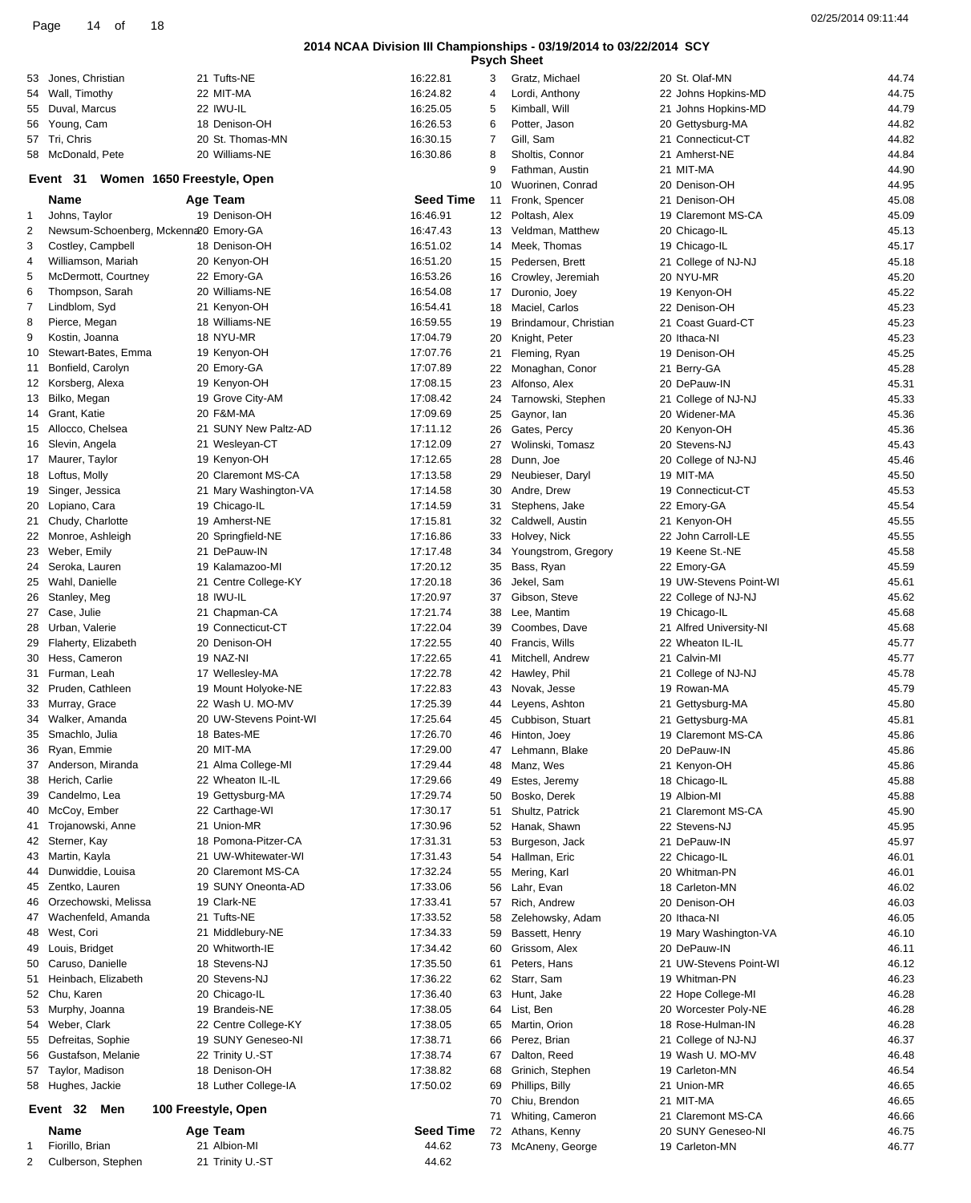|                | 18<br>Page<br>14<br>of                |                            |                  |                   |                                                                                           |                     | 02/25/2014 09:11:44 |
|----------------|---------------------------------------|----------------------------|------------------|-------------------|-------------------------------------------------------------------------------------------|---------------------|---------------------|
|                |                                       |                            |                  |                   | 2014 NCAA Division III Championships - 03/19/2014 to 03/22/2014 SCY<br><b>Psych Sheet</b> |                     |                     |
|                | 53 Jones, Christian                   | 21 Tufts-NE                | 16:22.81         | 3                 | Gratz, Michael                                                                            | 20 St. Olaf-MN      | 44.74               |
|                | 54 Wall, Timothy                      | 22 MIT-MA                  | 16:24.82         | 4                 | Lordi, Anthony                                                                            | 22 Johns Hopkins-MD | 44.75               |
| 55             | Duval. Marcus                         | 22 IWU-IL                  | 16:25.05         | 5                 | Kimball, Will                                                                             | 21 Johns Hopkins-MD | 44.79               |
| 56             | Young, Cam                            | 18 Denison-OH              | 16:26.53         | 6                 | Potter, Jason                                                                             | 20 Gettysburg-MA    | 44.82               |
| 57             | Tri, Chris                            | 20 St. Thomas-MN           | 16:30.15         | 7                 | Gill, Sam                                                                                 | 21 Connecticut-CT   | 44.82               |
| 58             | McDonald, Pete                        | 20 Williams-NE             | 16:30.86         | 8                 | Sholtis, Connor                                                                           | 21 Amherst-NE       | 44.84               |
|                |                                       |                            |                  | 9                 | Fathman, Austin                                                                           | 21 MIT-MA           | 44.90               |
|                | Event 31                              | Women 1650 Freestyle, Open |                  | 10                | Wuorinen, Conrad                                                                          | 20 Denison-OH       | 44.95               |
|                | <b>Name</b>                           | Age Team                   | <b>Seed Time</b> | 11                | Fronk, Spencer                                                                            | 21 Denison-OH       | 45.08               |
|                | Johns, Taylor                         | 19 Denison-OH              | 16:46.91         | $12 \overline{ }$ | Poltash, Alex                                                                             | 19 Claremont MS-CA  | 45.09               |
|                | Newsum-Schoenberg, Mckenna20 Emory-GA |                            | 16:47.43         | 13                | Veldman, Matthew                                                                          | 20 Chicago-IL       | 45.13               |
|                | Costley, Campbell                     | 18 Denison-OH              | 16:51.02         | 14                | Meek, Thomas                                                                              | 19 Chicago-IL       | 45.17               |
|                | Williamson, Mariah                    | 20 Kenyon-OH               | 16:51.20         | 15                | Pedersen, Brett                                                                           | 21 College of NJ-NJ | 45.18               |
|                | McDermott, Courtney                   | 22 Emory-GA                | 16:53.26         | 16                | Crowley, Jeremiah                                                                         | 20 NYU-MR           | 45.20               |
|                | Thompson, Sarah                       | 20 Williams-NE             | 16:54.08         | 17                | Duronio, Joey                                                                             | 19 Kenyon-OH        | 45.22               |
|                | Lindblom, Syd                         | 21 Kenyon-OH               | 16:54.41         | 18                | Maciel, Carlos                                                                            | 22 Denison-OH       | 45.23               |
|                | Pierce, Megan                         | 18 Williams-NE             | 16:59.55         | 19                | Brindamour, Christian                                                                     | 21 Coast Guard-CT   | 45.23               |
|                | Kostin, Joanna                        | 18 NYU-MR                  | 17:04.79         | 20                | Knight, Peter                                                                             | 20 Ithaca-NI        | 45.23               |
| 10.            | Stewart-Bates, Emma                   | 19 Kenyon-OH               | 17:07.76         | 21                | Fleming, Ryan                                                                             | 19 Denison-OH       | 45.25               |
| 11             | Bonfield, Carolyn                     | 20 Emory-GA                | 17:07.89         | 22                | Monaghan, Conor                                                                           | 21 Berry-GA         | 45.28               |
|                | 12 Korsberg, Alexa                    | 19 Kenyon-OH               | 17:08.15         | 23                | Alfonso, Alex                                                                             | 20 DePauw-IN        | 45.31               |
| 3              | Bilko, Megan                          | 19 Grove City-AM           | 17:08.42         |                   | Tarnowski, Stephen                                                                        | 21 College of NJ-NJ | 45.33               |
| $\overline{4}$ | Grant, Katie                          | 20 F&M-MA                  | 17:09.69         | 25                | Gaynor, Ian                                                                               | 20 Widener-MA       | 45.36               |
| 15.            | Allocco, Chelsea                      | 21 SUNY New Paltz-AD       | 17:11.12         | 26                | Gates, Percy                                                                              | 20 Kenyon-OH        | 45.36               |
| 16             | Slevin, Angela                        | 21 Wesleyan-CT             | 17:12.09         | 27                | Wolinski, Tomasz                                                                          | 20 Stevens-NJ       | 45.43               |
| 17             | Maurer, Taylor                        | 19 Kenyon-OH               | 17:12.65         | 28                | Dunn, Joe                                                                                 | 20 College of NJ-NJ | 45.46               |
| 81             | Loftus, Molly                         | 20 Claremont MS-CA         | 17:13.58         | 29                | Neubieser, Daryl                                                                          | 19 MIT-MA           | 45.50               |
| 19             | Singer, Jessica                       | 21 Mary Washington-VA      | 17:14.58         | 30                | Andre, Drew                                                                               | 19 Connecticut-CT   | 45.53               |

Stephens, Jake Caldwell, Austin Holvey, Nick Youngstrom, Gregory Bass, Ryan Jekel, Sam Gibson, Steve Lee, Mantim Coombes, Dave Francis, Wills Mitchell, Andrew Hawley, Phil Novak, Jesse Leyens, Ashton Cubbison, Stuart Hinton, Joey Lehmann, Blake Manz, Wes Estes, Jeremy Bosko, Derek Shultz, Patrick Hanak, Shawn Burgeson, Jack Hallman, Eric Mering, Karl Lahr, Evan Rich, Andrew Zelehowsky, Adam Bassett, Henry Grissom, Alex Peters, Hans Starr, Sam Hunt, Jake List, Ben Martin, Orion Perez, Brian Dalton, Reed Grinich, Stephen Phillips, Billy Chiu, Brendon Whiting, Cameron Athans, Kenny McAneny, George

| 1  | Johns, Taylor                         | 19 Denison-OH          | 16:46.91  | 12 |
|----|---------------------------------------|------------------------|-----------|----|
| 2  | Newsum-Schoenberg, Mckenna20 Emory-GA |                        | 16:47.43  | 13 |
| 3  | Costley, Campbell                     | 18 Denison-OH          | 16:51.02  | 14 |
| 4  | Williamson, Mariah                    | 20 Kenyon-OH           | 16:51.20  | 15 |
| 5  | McDermott, Courtney                   | 22 Emory-GA            | 16:53.26  | 16 |
| 6  | Thompson, Sarah                       | 20 Williams-NE         | 16:54.08  | 17 |
| 7  | Lindblom, Syd                         | 21 Kenyon-OH           | 16:54.41  | 18 |
| 8  | Pierce, Megan                         | 18 Williams-NE         | 16:59.55  | 19 |
| 9  | Kostin, Joanna                        | 18 NYU-MR              | 17:04.79  | 20 |
| 10 | Stewart-Bates, Emma                   | 19 Kenyon-OH           | 17:07.76  | 21 |
| 11 | Bonfield, Carolyn                     | 20 Emory-GA            | 17:07.89  | 22 |
| 12 | Korsberg, Alexa                       | 19 Kenyon-OH           | 17:08.15  | 23 |
| 13 | Bilko, Megan                          | 19 Grove City-AM       | 17:08.42  | 24 |
| 14 | Grant, Katie                          | 20 F&M-MA              | 17:09.69  | 25 |
| 15 | Allocco, Chelsea                      | 21 SUNY New Paltz-AD   | 17:11.12  | 26 |
| 16 | Slevin, Angela                        | 21 Wesleyan-CT         | 17:12.09  | 27 |
| 17 | Maurer, Taylor                        | 19 Kenyon-OH           | 17:12.65  | 28 |
| 18 | Loftus, Molly                         | 20 Claremont MS-CA     | 17:13.58  | 29 |
| 19 | Singer, Jessica                       | 21 Mary Washington-VA  | 17:14.58  | 30 |
| 20 | Lopiano, Cara                         | 19 Chicago-IL          | 17:14.59  | 31 |
| 21 | Chudy, Charlotte                      | 19 Amherst-NE          | 17:15.81  | 32 |
| 22 | Monroe, Ashleigh                      | 20 Springfield-NE      | 17:16.86  | 33 |
| 23 | Weber, Emily                          | 21 DePauw-IN           | 17:17.48  | 34 |
| 24 | Seroka, Lauren                        | 19 Kalamazoo-MI        | 17:20.12  | 35 |
| 25 | Wahl, Danielle                        | 21 Centre College-KY   | 17:20.18  | 36 |
| 26 | Stanley, Meg                          | 18 IWU-IL              | 17:20.97  | 37 |
| 27 | Case, Julie                           | 21 Chapman-CA          | 17:21.74  | 38 |
| 28 | Urban, Valerie                        | 19 Connecticut-CT      | 17:22.04  | 39 |
| 29 | Flaherty, Elizabeth                   | 20 Denison-OH          | 17:22.55  | 40 |
| 30 | Hess, Cameron                         | 19 NAZ-NI              | 17:22.65  | 41 |
| 31 | Furman, Leah                          | 17 Wellesley-MA        | 17:22.78  | 42 |
| 32 | Pruden, Cathleen                      | 19 Mount Holyoke-NE    | 17:22.83  | 43 |
| 33 | Murray, Grace                         | 22 Wash U. MO-MV       | 17:25.39  | 44 |
| 34 | Walker, Amanda                        | 20 UW-Stevens Point-WI | 17:25.64  | 45 |
| 35 | Smachlo, Julia                        | 18 Bates-ME            | 17:26.70  | 46 |
| 36 | Ryan, Emmie                           | 20 MIT-MA              | 17:29.00  | 47 |
| 37 | Anderson, Miranda                     | 21 Alma College-MI     | 17:29.44  | 48 |
| 38 | Herich, Carlie                        | 22 Wheaton IL-IL       | 17:29.66  | 49 |
| 39 | Candelmo, Lea                         | 19 Gettysburg-MA       | 17:29.74  | 50 |
| 40 | McCoy, Ember                          | 22 Carthage-WI         | 17:30.17  | 51 |
| 41 | Trojanowski, Anne                     | 21 Union-MR            | 17:30.96  | 52 |
| 42 | Sterner, Kay                          | 18 Pomona-Pitzer-CA    | 17:31.31  | 53 |
| 43 | Martin, Kayla                         | 21 UW-Whitewater-WI    | 17:31.43  | 54 |
| 44 | Dunwiddie, Louisa                     | 20 Claremont MS-CA     | 17:32.24  | 55 |
|    | 45 Zentko, Lauren                     | 19 SUNY Oneonta-AD     | 17:33.06  | 56 |
| 46 | Orzechowski, Melissa                  | 19 Clark-NE            | 17:33.41  | 57 |
| 47 | Wachenfeld, Amanda                    | 21 Tufts-NE            | 17:33.52  | 58 |
| 48 | West, Cori                            | 21 Middlebury-NE       | 17:34.33  | 59 |
| 49 | Louis, Bridget                        | 20 Whitworth-IE        | 17:34.42  | 60 |
| 50 | Caruso, Danielle                      | 18 Stevens-NJ          | 17:35.50  | 61 |
| 51 | Heinbach, Elizabeth                   | 20 Stevens-NJ          | 17:36.22  | 62 |
| 52 | Chu, Karen                            | 20 Chicago-IL          | 17:36.40  | 63 |
| 53 | Murphy, Joanna                        | 19 Brandeis-NE         | 17:38.05  | 64 |
| 54 | Weber, Clark                          | 22 Centre College-KY   | 17:38.05  | 65 |
| 55 | Defreitas, Sophie                     | 19 SUNY Geneseo-NI     | 17:38.71  | 66 |
| 56 | Gustafson, Melanie                    | 22 Trinity U.-ST       | 17:38.74  | 67 |
| 57 | Taylor, Madison                       | 18 Denison-OH          | 17:38.82  | 68 |
| 58 | Hughes, Jackie                        | 18 Luther College-IA   | 17:50.02  | 69 |
|    |                                       |                        |           | 70 |
|    | Event 32<br>Men                       | 100 Freestyle, Open    |           | 71 |
|    | Name                                  | Age Team               | Seed Time | 72 |
| 1  | Fiorillo, Brian                       | 21 Albion-MI           | 44.62     | 73 |
| 2  | Culberson, Stephen                    | 21 Trinity U.-ST       | 44.62     |    |

| IVII I'IVI A            | 44.JU |
|-------------------------|-------|
| 20 Denison-OH           | 44.95 |
| 21 Denison-OH           | 45.08 |
| 19 Claremont MS-CA      | 45.09 |
| 20 Chicago-IL           | 45.13 |
| 19 Chicago-IL           |       |
|                         | 45.17 |
| 21 College of NJ-NJ     | 45.18 |
| 20 NYU-MR               | 45.20 |
| 19 Kenyon-OH            | 45.22 |
| 22 Denison-OH           | 45.23 |
| 21 Coast Guard-CT       | 45.23 |
| 20 Ithaca-NI            | 45.23 |
| 19 Denison-OH           | 45.25 |
|                         |       |
| 21 Berry-GA             | 45.28 |
| 20 DePauw-IN            | 45.31 |
| 21 College of NJ-NJ     | 45.33 |
| 20 Widener-MA           | 45.36 |
| 20 Kenyon-OH            | 45.36 |
| 20 Stevens-NJ           | 45.43 |
|                         |       |
| 20 College of NJ-NJ     | 45.46 |
| 19 MIT-MA               | 45.50 |
| 19 Connecticut-CT       | 45.53 |
| 22 Emory-GA             | 45.54 |
| 21 Kenyon-OH            | 45.55 |
| 22 John Carroll-LE      | 45.55 |
| 19 Keene St.-NE         | 45.58 |
|                         |       |
| 22 Emory-GA             | 45.59 |
| 19 UW-Stevens Point-WI  | 45.61 |
| 22 College of NJ-NJ     | 45.62 |
| 19 Chicago-IL           | 45.68 |
| 21 Alfred University-NI | 45.68 |
| 22 Wheaton IL-IL        | 45.77 |
| 21 Calvin-MI            | 45.77 |
| 21 College of NJ-NJ     | 45.78 |
|                         |       |
| 19 Rowan-MA             | 45.79 |
| 21 Gettysburg-MA        | 45.80 |
| 21 Gettysburg-MA        | 45.81 |
| 19 Claremont MS-CA      | 45.86 |
| 20 DePauw-IN            | 45.86 |
| 21 Kenyon-OH            | 45.86 |
| 18 Chicago-IL           | 45.88 |
| 19 Albion-MI            | 45.88 |
|                         |       |
| 21 Claremont MS-CA      | 45.90 |
| 22 Stevens-NJ           | 45.95 |
| 21 DePauw-IN            | 45.97 |
| 22 Chicago-IL           | 46.01 |
| 20 Whitman-PN           | 46.01 |
| 18 Carleton-MN          | 46.02 |
| 20 Denison-OH           | 46.03 |
| 20 Ithaca-NI            |       |
|                         | 46.05 |
| 19 Mary Washington-VA   | 46.10 |
| 20 DePauw-IN            | 46.11 |
| 21 UW-Stevens Point-WI  | 46.12 |
| 19 Whitman-PN           | 46.23 |
| 22 Hope College-MI      | 46.28 |
| 20 Worcester Poly-NE    | 46.28 |
| 18 Rose-Hulman-IN       |       |
|                         | 46.28 |
| 21 College of NJ-NJ     | 46.37 |
| 19 Wash U. MO-MV        | 46.48 |
| 19 Carleton-MN          | 46.54 |
| 21 Union-MR             | 46.65 |
| 21 MIT-MA               | 46.65 |
| 21 Claremont MS-CA      | 46.66 |
| 20 SUNY Geneseo-NI      | 46.75 |
| 19 Carleton-MN          |       |
|                         | 46.77 |
|                         |       |
|                         |       |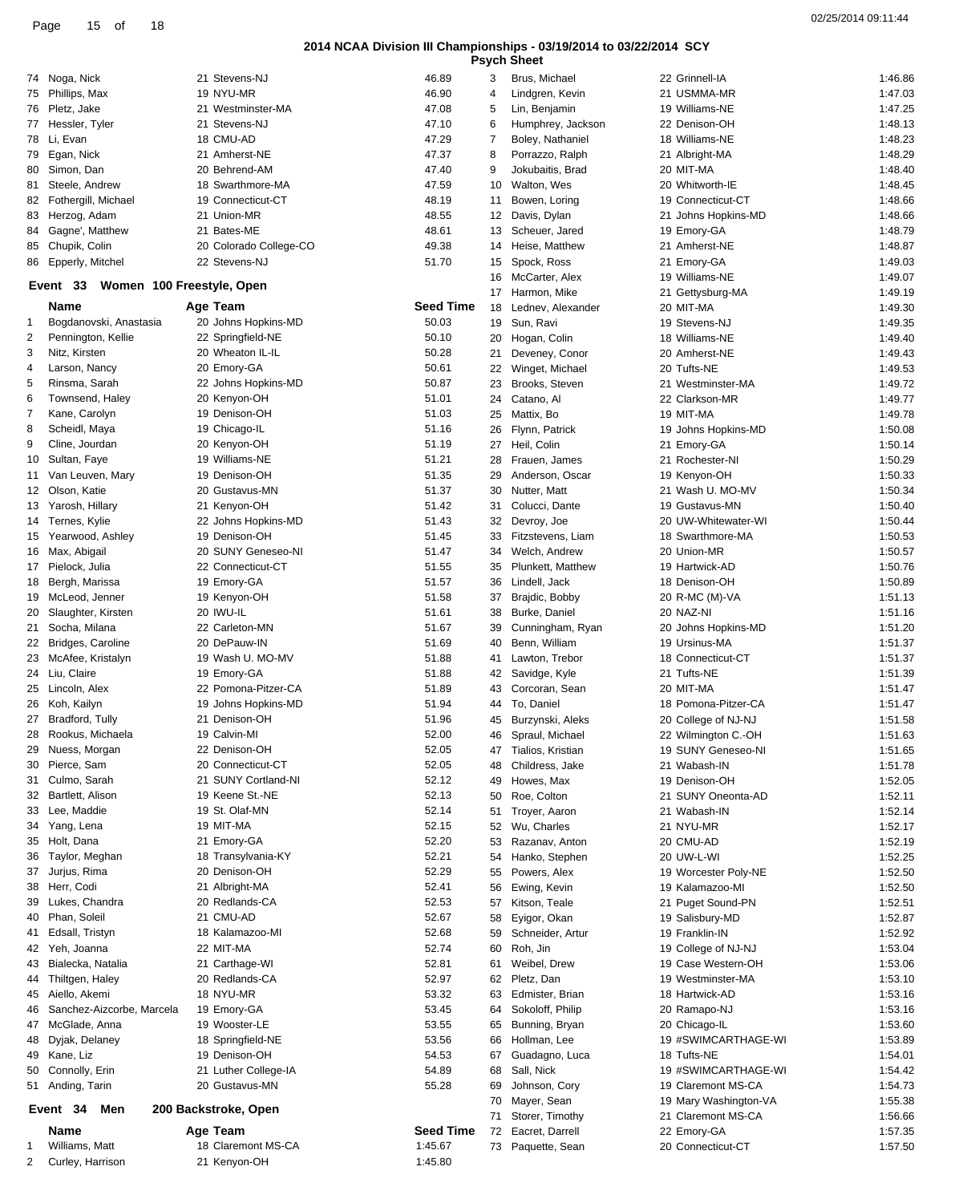02/25/2014 09:11:44 Page <sup>15</sup> of <sup>18</sup>

### **2014 NCAA Division III Championships - 03/19/2014 to 03/22/2014 SCY**

|    |                           |                           |                  |    | rsyun əneet       |                       |         |
|----|---------------------------|---------------------------|------------------|----|-------------------|-----------------------|---------|
|    | 74 Noga, Nick             | 21 Stevens-NJ             | 46.89            | 3  | Brus, Michael     | 22 Grinnell-IA        | 1:46.86 |
|    | 75 Phillips, Max          | 19 NYU-MR                 | 46.90            | 4  | Lindgren, Kevin   | 21 USMMA-MR           | 1:47.03 |
|    | 76 Pletz, Jake            | 21 Westminster-MA         | 47.08            | 5  | Lin, Benjamin     | 19 Williams-NE        | 1:47.25 |
|    | 77 Hessler, Tyler         | 21 Stevens-NJ             | 47.10            | 6  | Humphrey, Jackson | 22 Denison-OH         | 1:48.13 |
|    | 78 Li, Evan               | 18 CMU-AD                 | 47.29            | 7  | Boley, Nathaniel  | 18 Williams-NE        | 1:48.23 |
|    | 79 Egan, Nick             | 21 Amherst-NE             | 47.37            | 8  | Porrazzo, Ralph   | 21 Albright-MA        | 1:48.29 |
|    | 80 Simon, Dan             | 20 Behrend-AM             | 47.40            | 9  | Jokubaitis, Brad  | 20 MIT-MA             | 1:48.40 |
| 81 | Steele, Andrew            | 18 Swarthmore-MA          | 47.59            | 10 | Walton, Wes       | 20 Whitworth-IE       | 1:48.45 |
|    |                           | 19 Connecticut-CT         | 48.19            |    |                   | 19 Connecticut-CT     | 1:48.66 |
|    | 82 Fothergill, Michael    |                           |                  | 11 | Bowen, Loring     |                       |         |
| 83 | Herzog, Adam              | 21 Union-MR               | 48.55            | 12 | Davis, Dylan      | 21 Johns Hopkins-MD   | 1:48.66 |
| 84 | Gagne', Matthew           | 21 Bates-ME               | 48.61            | 13 | Scheuer, Jared    | 19 Emory-GA           | 1:48.79 |
|    | 85 Chupik, Colin          | 20 Colorado College-CO    | 49.38            | 14 | Heise, Matthew    | 21 Amherst-NE         | 1:48.87 |
| 86 | Epperly, Mitchel          | 22 Stevens-NJ             | 51.70            | 15 | Spock, Ross       | 21 Emory-GA           | 1:49.03 |
|    | Event 33                  | Women 100 Freestyle, Open |                  | 16 | McCarter, Alex    | 19 Williams-NE        | 1:49.07 |
|    |                           |                           |                  | 17 | Harmon, Mike      | 21 Gettysburg-MA      | 1:49.19 |
|    | Name                      | Age Team                  | <b>Seed Time</b> | 18 | Lednev, Alexander | 20 MIT-MA             | 1:49.30 |
| 1  | Bogdanovski, Anastasia    | 20 Johns Hopkins-MD       | 50.03            | 19 | Sun, Ravi         | 19 Stevens-NJ         | 1:49.35 |
| 2  | Pennington, Kellie        | 22 Springfield-NE         | 50.10            | 20 | Hogan, Colin      | 18 Williams-NE        | 1:49.40 |
| 3  | Nitz, Kirsten             | 20 Wheaton IL-IL          | 50.28            | 21 | Deveney, Conor    | 20 Amherst-NE         | 1:49.43 |
| 4  | Larson, Nancy             | 20 Emory-GA               | 50.61            | 22 | Winget, Michael   | 20 Tufts-NE           | 1:49.53 |
| 5  | Rinsma, Sarah             | 22 Johns Hopkins-MD       | 50.87            | 23 | Brooks, Steven    | 21 Westminster-MA     | 1:49.72 |
| 6  | Townsend, Haley           | 20 Kenyon-OH              | 51.01            | 24 | Catano, Al        | 22 Clarkson-MR        | 1:49.77 |
| 7  | Kane, Carolyn             | 19 Denison-OH             | 51.03            | 25 | Mattix, Bo        | 19 MIT-MA             | 1:49.78 |
| 8  | Scheidl, Maya             | 19 Chicago-IL             | 51.16            | 26 | Flynn, Patrick    | 19 Johns Hopkins-MD   | 1:50.08 |
|    |                           |                           |                  |    |                   |                       |         |
| 9  | Cline, Jourdan            | 20 Kenyon-OH              | 51.19            | 27 | Heil, Colin       | 21 Emory-GA           | 1:50.14 |
| 10 | Sultan, Faye              | 19 Williams-NE            | 51.21            | 28 | Frauen, James     | 21 Rochester-NI       | 1:50.29 |
| 11 | Van Leuven, Mary          | 19 Denison-OH             | 51.35            | 29 | Anderson, Oscar   | 19 Kenyon-OH          | 1:50.33 |
|    | 12 Olson, Katie           | 20 Gustavus-MN            | 51.37            | 30 | Nutter, Matt      | 21 Wash U. MO-MV      | 1:50.34 |
|    | 13 Yarosh, Hillary        | 21 Kenyon-OH              | 51.42            | 31 | Colucci, Dante    | 19 Gustavus-MN        | 1:50.40 |
|    | 14 Ternes, Kylie          | 22 Johns Hopkins-MD       | 51.43            | 32 | Devroy, Joe       | 20 UW-Whitewater-WI   | 1:50.44 |
| 15 | Yearwood, Ashley          | 19 Denison-OH             | 51.45            | 33 | Fitzstevens, Liam | 18 Swarthmore-MA      | 1:50.53 |
|    | 16 Max, Abigail           | 20 SUNY Geneseo-NI        | 51.47            | 34 | Welch, Andrew     | 20 Union-MR           | 1:50.57 |
|    | 17 Pielock, Julia         | 22 Connecticut-CT         | 51.55            | 35 | Plunkett, Matthew | 19 Hartwick-AD        | 1:50.76 |
| 18 | Bergh, Marissa            | 19 Emory-GA               | 51.57            | 36 | Lindell, Jack     | 18 Denison-OH         | 1:50.89 |
| 19 | McLeod, Jenner            | 19 Kenyon-OH              | 51.58            | 37 | Brajdic, Bobby    | 20 R-MC (M)-VA        | 1:51.13 |
|    | 20 Slaughter, Kirsten     | 20 IWU-IL                 | 51.61            | 38 | Burke, Daniel     | 20 NAZ-NI             | 1:51.16 |
| 21 | Socha, Milana             | 22 Carleton-MN            | 51.67            | 39 | Cunningham, Ryan  | 20 Johns Hopkins-MD   | 1:51.20 |
|    | 22 Bridges, Caroline      | 20 DePauw-IN              | 51.69            | 40 | Benn, William     | 19 Ursinus-MA         | 1:51.37 |
|    | 23 McAfee, Kristalyn      | 19 Wash U. MO-MV          | 51.88            |    |                   | 18 Connecticut-CT     | 1:51.37 |
|    |                           |                           |                  | 41 | Lawton, Trebor    |                       |         |
|    | 24 Liu, Claire            | 19 Emory-GA               | 51.88            | 42 | Savidge, Kyle     | 21 Tufts-NE           | 1:51.39 |
|    | 25 Lincoln, Alex          | 22 Pomona-Pitzer-CA       | 51.89            | 43 | Corcoran, Sean    | 20 MIT-MA             | 1:51.47 |
|    | 26 Koh, Kailyn            | 19 Johns Hopkins-MD       | 51.94            | 44 | To, Daniel        | 18 Pomona-Pitzer-CA   | 1:51.47 |
|    | 27 Bradford, Tully        | 21 Denison-OH             | 51.96            | 45 | Burzynski, Aleks  | 20 College of NJ-NJ   | 1:51.58 |
|    | 28 Rookus, Michaela       | 19 Calvin-MI              | 52.00            | 46 | Spraul, Michael   | 22 Wilmington C.-OH   | 1:51.63 |
| 29 | Nuess, Morgan             | 22 Denison-OH             | 52.05            | 47 | Tialios, Kristian | 19 SUNY Geneseo-NI    | 1:51.65 |
| 30 | Pierce, Sam               | 20 Connecticut-CT         | 52.05            | 48 | Childress, Jake   | 21 Wabash-IN          | 1:51.78 |
| 31 | Culmo, Sarah              | 21 SUNY Cortland-NI       | 52.12            | 49 | Howes, Max        | 19 Denison-OH         | 1:52.05 |
|    | 32 Bartlett, Alison       | 19 Keene St.-NE           | 52.13            | 50 | Roe, Colton       | 21 SUNY Oneonta-AD    | 1:52.11 |
|    | 33 Lee, Maddie            | 19 St. Olaf-MN            | 52.14            | 51 | Troyer, Aaron     | 21 Wabash-IN          | 1:52.14 |
| 34 | Yang, Lena                | 19 MIT-MA                 | 52.15            | 52 | Wu, Charles       | 21 NYU-MR             | 1:52.17 |
| 35 | Holt, Dana                | 21 Emory-GA               | 52.20            | 53 | Razanav, Anton    | 20 CMU-AD             | 1:52.19 |
| 36 | Taylor, Meghan            | 18 Transylvania-KY        | 52.21            | 54 | Hanko, Stephen    | 20 UW-L-WI            | 1:52.25 |
| 37 | Jurjus, Rima              | 20 Denison-OH             | 52.29            | 55 | Powers, Alex      | 19 Worcester Poly-NE  | 1:52.50 |
|    | Herr, Codi                | 21 Albright-MA            | 52.41            |    |                   |                       |         |
| 38 |                           |                           |                  | 56 | Ewing, Kevin      | 19 Kalamazoo-MI       | 1:52.50 |
| 39 | Lukes, Chandra            | 20 Redlands-CA            | 52.53            | 57 | Kitson, Teale     | 21 Puget Sound-PN     | 1:52.51 |
| 40 | Phan, Soleil              | 21 CMU-AD                 | 52.67            | 58 | Eyigor, Okan      | 19 Salisbury-MD       | 1:52.87 |
| 41 | Edsall, Tristyn           | 18 Kalamazoo-MI           | 52.68            | 59 | Schneider, Artur  | 19 Franklin-IN        | 1:52.92 |
|    | 42 Yeh, Joanna            | 22 MIT-MA                 | 52.74            | 60 | Roh, Jin          | 19 College of NJ-NJ   | 1:53.04 |
| 43 | Bialecka, Natalia         | 21 Carthage-WI            | 52.81            | 61 | Weibel, Drew      | 19 Case Western-OH    | 1:53.06 |
| 44 | Thiltgen, Haley           | 20 Redlands-CA            | 52.97            | 62 | Pletz, Dan        | 19 Westminster-MA     | 1:53.10 |
| 45 | Aiello, Akemi             | 18 NYU-MR                 | 53.32            | 63 | Edmister, Brian   | 18 Hartwick-AD        | 1:53.16 |
| 46 | Sanchez-Aizcorbe, Marcela | 19 Emory-GA               | 53.45            | 64 | Sokoloff, Philip  | 20 Ramapo-NJ          | 1:53.16 |
| 47 | McGlade, Anna             | 19 Wooster-LE             | 53.55            | 65 | Bunning, Bryan    | 20 Chicago-IL         | 1:53.60 |
| 48 | Dyjak, Delaney            | 18 Springfield-NE         | 53.56            | 66 | Hollman, Lee      | 19 #SWIMCARTHAGE-WI   | 1:53.89 |
| 49 | Kane, Liz                 | 19 Denison-OH             | 54.53            | 67 | Guadagno, Luca    | 18 Tufts-NE           | 1:54.01 |
|    | 50 Connolly, Erin         | 21 Luther College-IA      | 54.89            | 68 | Sall, Nick        | 19 #SWIMCARTHAGE-WI   | 1:54.42 |
|    |                           | 20 Gustavus-MN            | 55.28            |    | Johnson, Cory     |                       | 1:54.73 |
|    | 51 Anding, Tarin          |                           |                  | 69 |                   | 19 Claremont MS-CA    |         |
|    | Event 34<br>Men           | 200 Backstroke, Open      |                  | 70 | Mayer, Sean       | 19 Mary Washington-VA | 1:55.38 |
|    |                           |                           |                  | 71 | Storer, Timothy   | 21 Claremont MS-CA    | 1:56.66 |
|    | Name                      | Age Team                  | <b>Seed Time</b> | 72 | Eacret, Darrell   | 22 Emory-GA           | 1:57.35 |
| 1  | Williams, Matt            | 18 Claremont MS-CA        | 1:45.67          | 73 | Paquette, Sean    | 20 Connecticut-CT     | 1:57.50 |
| 2  | Curley, Harrison          | 21 Kenyon-OH              | 1:45.80          |    |                   |                       |         |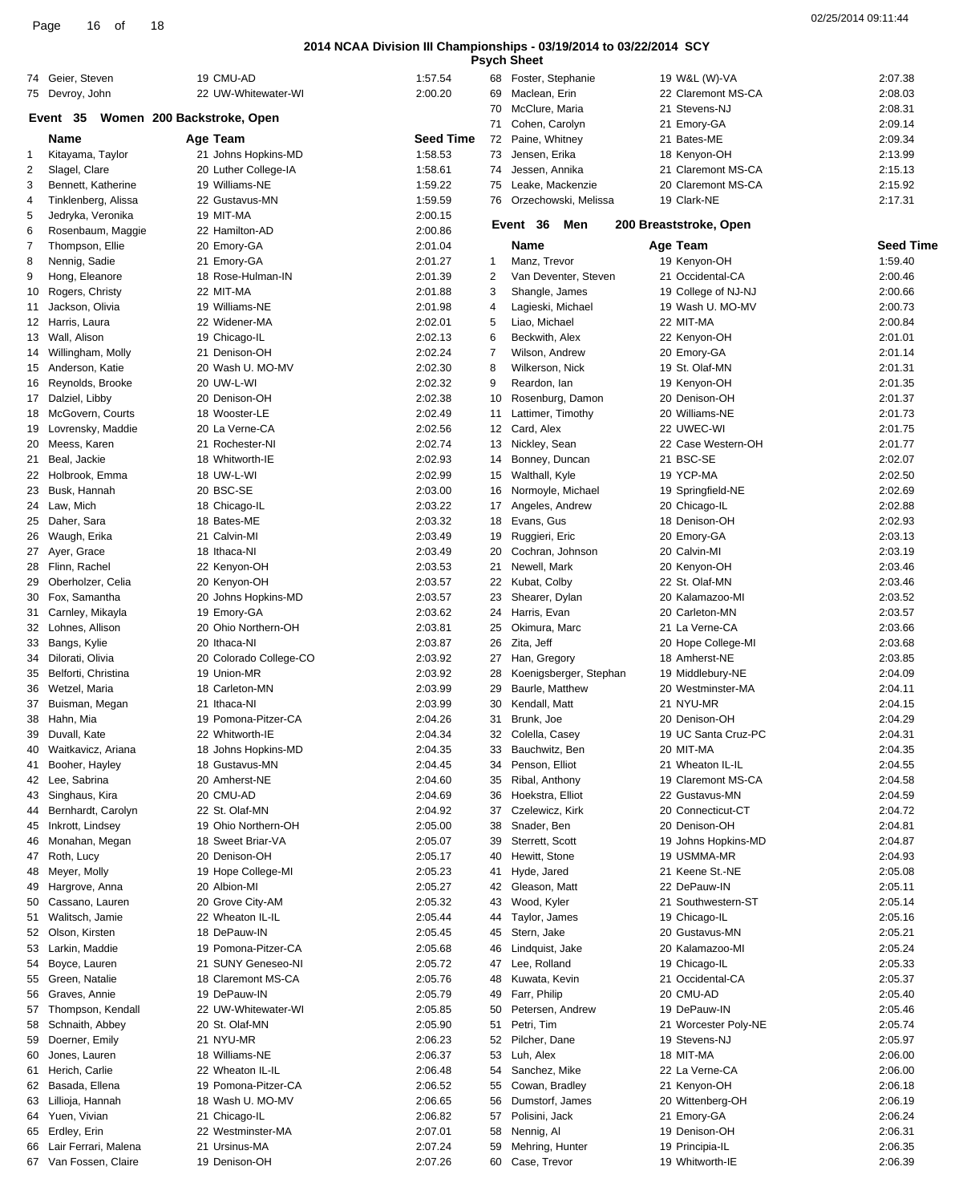|      |    |    | $\overline{A}$ | 02/25/2014 09:11:44 |
|------|----|----|----------------|---------------------|
| Page | 16 | οf | 10             |                     |

|              |                       |                            |                  |    | rsych oneer            |                        |                  |
|--------------|-----------------------|----------------------------|------------------|----|------------------------|------------------------|------------------|
|              | 74 Geier, Steven      | 19 CMU-AD                  | 1:57.54          | 68 | Foster, Stephanie      | 19 W&L (W)-VA          | 2:07.38          |
|              | 75 Devroy, John       | 22 UW-Whitewater-WI        | 2:00.20          | 69 | Maclean, Erin          | 22 Claremont MS-CA     | 2:08.03          |
|              |                       |                            |                  | 70 | McClure, Maria         | 21 Stevens-NJ          | 2:08.31          |
|              | Event 35              | Women 200 Backstroke, Open |                  | 71 | Cohen, Carolyn         | 21 Emory-GA            | 2:09.14          |
|              | Name                  | Age Team                   | <b>Seed Time</b> | 72 | Paine, Whitney         | 21 Bates-ME            | 2:09.34          |
| $\mathbf{1}$ | Kitayama, Taylor      | 21 Johns Hopkins-MD        | 1:58.53          | 73 | Jensen, Erika          | 18 Kenyon-OH           | 2:13.99          |
| 2            | Slagel, Clare         | 20 Luther College-IA       | 1:58.61          | 74 | Jessen, Annika         | 21 Claremont MS-CA     | 2:15.13          |
| 3            | Bennett, Katherine    | 19 Williams-NE             | 1:59.22          | 75 | Leake, Mackenzie       | 20 Claremont MS-CA     | 2:15.92          |
|              |                       |                            |                  |    |                        |                        |                  |
| 4            | Tinklenberg, Alissa   | 22 Gustavus-MN             | 1:59.59          | 76 | Orzechowski, Melissa   | 19 Clark-NE            | 2:17.31          |
| 5            | Jedryka, Veronika     | 19 MIT-MA                  | 2:00.15          |    | Event 36<br>Men        | 200 Breaststroke, Open |                  |
| 6            | Rosenbaum, Maggie     | 22 Hamilton-AD             | 2:00.86          |    |                        |                        |                  |
| 7            | Thompson, Ellie       | 20 Emory-GA                | 2:01.04          |    | Name                   | Age Team               | <b>Seed Time</b> |
| 8            | Nennig, Sadie         | 21 Emory-GA                | 2:01.27          | 1  | Manz, Trevor           | 19 Kenyon-OH           | 1:59.40          |
| 9            | Hong, Eleanore        | 18 Rose-Hulman-IN          | 2:01.39          | 2  | Van Deventer, Steven   | 21 Occidental-CA       | 2:00.46          |
| 10           | Rogers, Christy       | 22 MIT-MA                  | 2:01.88          | 3  | Shangle, James         | 19 College of NJ-NJ    | 2:00.66          |
| 11           | Jackson, Olivia       | 19 Williams-NE             | 2:01.98          | 4  | Lagieski, Michael      | 19 Wash U. MO-MV       | 2:00.73          |
|              | 12 Harris, Laura      | 22 Widener-MA              | 2:02.01          | 5  | Liao, Michael          | 22 MIT-MA              | 2:00.84          |
|              | 13 Wall, Alison       | 19 Chicago-IL              | 2:02.13          | 6  | Beckwith, Alex         | 22 Kenyon-OH           | 2:01.01          |
|              |                       | 21 Denison-OH              |                  | 7  |                        |                        |                  |
|              | 14 Willingham, Molly  |                            | 2:02.24          |    | Wilson, Andrew         | 20 Emory-GA            | 2:01.14          |
| 15           | Anderson, Katie       | 20 Wash U. MO-MV           | 2:02.30          | 8  | Wilkerson, Nick        | 19 St. Olaf-MN         | 2:01.31          |
|              | 16 Reynolds, Brooke   | 20 UW-L-WI                 | 2:02.32          | 9  | Reardon, Ian           | 19 Kenyon-OH           | 2:01.35          |
|              | 17 Dalziel, Libby     | 20 Denison-OH              | 2:02.38          | 10 | Rosenburg, Damon       | 20 Denison-OH          | 2:01.37          |
| 18           | McGovern, Courts      | 18 Wooster-LE              | 2:02.49          | 11 | Lattimer, Timothy      | 20 Williams-NE         | 2:01.73          |
|              | 19 Lovrensky, Maddie  | 20 La Verne-CA             | 2:02.56          |    | 12 Card, Alex          | 22 UWEC-WI             | 2:01.75          |
| 20           | Meess, Karen          | 21 Rochester-NI            | 2:02.74          | 13 | Nickley, Sean          | 22 Case Western-OH     | 2:01.77          |
| 21           | Beal, Jackie          | 18 Whitworth-IE            | 2:02.93          | 14 | Bonney, Duncan         | 21 BSC-SE              | 2:02.07          |
|              | 22 Holbrook, Emma     | 18 UW-L-WI                 | 2:02.99          |    | 15 Walthall, Kyle      | 19 YCP-MA              | 2:02.50          |
| 23           | Busk, Hannah          | 20 BSC-SE                  | 2:03.00          | 16 | Normoyle, Michael      | 19 Springfield-NE      | 2:02.69          |
|              |                       |                            |                  |    |                        |                        |                  |
| 24           | Law, Mich             | 18 Chicago-IL              | 2:03.22          | 17 | Angeles, Andrew        | 20 Chicago-IL          | 2:02.88          |
| 25           | Daher, Sara           | 18 Bates-ME                | 2:03.32          | 18 | Evans, Gus             | 18 Denison-OH          | 2:02.93          |
| 26           | Waugh, Erika          | 21 Calvin-MI               | 2:03.49          | 19 | Ruggieri, Eric         | 20 Emory-GA            | 2:03.13          |
|              | 27 Ayer, Grace        | 18 Ithaca-NI               | 2:03.49          | 20 | Cochran, Johnson       | 20 Calvin-MI           | 2:03.19          |
|              | 28 Flinn, Rachel      | 22 Kenyon-OH               | 2:03.53          | 21 | Newell, Mark           | 20 Kenyon-OH           | 2:03.46          |
| 29           | Oberholzer, Celia     | 20 Kenyon-OH               | 2:03.57          | 22 | Kubat, Colby           | 22 St. Olaf-MN         | 2:03.46          |
| 30           | Fox, Samantha         | 20 Johns Hopkins-MD        | 2:03.57          | 23 | Shearer, Dylan         | 20 Kalamazoo-MI        | 2:03.52          |
| 31           | Carnley, Mikayla      | 19 Emory-GA                | 2:03.62          | 24 | Harris, Evan           | 20 Carleton-MN         | 2:03.57          |
| 32           | Lohnes, Allison       | 20 Ohio Northern-OH        | 2:03.81          | 25 | Okimura, Marc          | 21 La Verne-CA         | 2:03.66          |
| 33           | Bangs, Kylie          | 20 Ithaca-NI               | 2:03.87          | 26 | Zita, Jeff             | 20 Hope College-MI     | 2:03.68          |
| 34           | Dilorati, Olivia      | 20 Colorado College-CO     | 2:03.92          | 27 | Han, Gregory           | 18 Amherst-NE          | 2:03.85          |
|              |                       |                            |                  |    |                        |                        |                  |
| 35           | Belforti, Christina   | 19 Union-MR                | 2:03.92          | 28 | Koenigsberger, Stephan | 19 Middlebury-NE       | 2:04.09          |
| 36           | Wetzel, Maria         | 18 Carleton-MN             | 2:03.99          | 29 | Baurle, Matthew        | 20 Westminster-MA      | 2:04.11          |
| 37           | Buisman, Megan        | 21 Ithaca-NI               | 2:03.99          | 30 | Kendall, Matt          | 21 NYU-MR              | 2:04.15          |
| 38           | Hahn, Mia             | 19 Pomona-Pitzer-CA        | 2:04.26          | 31 | Brunk, Joe             | 20 Denison-OH          | 2:04.29          |
|              | 39 Duvall, Kate       | 22 Whitworth-IE            | 2:04.34          |    | 32 Colella, Casey      | 19 UC Santa Cruz-PC    | 2:04.31          |
| 40           | Waitkavicz, Ariana    | 18 Johns Hopkins-MD        | 2:04.35          | 33 | Bauchwitz, Ben         | 20 MIT-MA              | 2:04.35          |
| 41           | Booher, Hayley        | 18 Gustavus-MN             | 2:04.45          | 34 | Penson, Elliot         | 21 Wheaton IL-IL       | 2:04.55          |
| 42           | Lee, Sabrina          | 20 Amherst-NE              | 2:04.60          | 35 | Ribal, Anthony         | 19 Claremont MS-CA     | 2:04.58          |
| 43           | Singhaus, Kira        | 20 CMU-AD                  | 2:04.69          | 36 | Hoekstra, Elliot       | 22 Gustavus-MN         | 2:04.59          |
| 44           | Bernhardt, Carolyn    | 22 St. Olaf-MN             | 2:04.92          | 37 | Czelewicz, Kirk        | 20 Connecticut-CT      | 2:04.72          |
| 45           | Inkrott, Lindsey      | 19 Ohio Northern-OH        | 2:05.00          | 38 | Snader, Ben            | 20 Denison-OH          | 2:04.81          |
| 46           | Monahan, Megan        | 18 Sweet Briar-VA          | 2:05.07          | 39 | Sterrett, Scott        | 19 Johns Hopkins-MD    | 2:04.87          |
|              |                       |                            |                  |    |                        |                        |                  |
|              | 47 Roth, Lucy         | 20 Denison-OH              | 2:05.17          | 40 | Hewitt, Stone          | 19 USMMA-MR            | 2:04.93          |
| 48           | Meyer, Molly          | 19 Hope College-MI         | 2:05.23          | 41 | Hyde, Jared            | 21 Keene St.-NE        | 2:05.08          |
| 49           | Hargrove, Anna        | 20 Albion-MI               | 2:05.27          | 42 | Gleason, Matt          | 22 DePauw-IN           | 2:05.11          |
| 50           | Cassano, Lauren       | 20 Grove City-AM           | 2:05.32          | 43 | Wood, Kyler            | 21 Southwestern-ST     | 2:05.14          |
| 51           | Walitsch, Jamie       | 22 Wheaton IL-IL           | 2:05.44          | 44 | Taylor, James          | 19 Chicago-IL          | 2:05.16          |
| 52           | Olson, Kirsten        | 18 DePauw-IN               | 2:05.45          | 45 | Stern, Jake            | 20 Gustavus-MN         | 2:05.21          |
| 53           | Larkin, Maddie        | 19 Pomona-Pitzer-CA        | 2:05.68          | 46 | Lindquist, Jake        | 20 Kalamazoo-MI        | 2:05.24          |
| 54           | Boyce, Lauren         | 21 SUNY Geneseo-NI         | 2:05.72          | 47 | Lee, Rolland           | 19 Chicago-IL          | 2:05.33          |
| 55           | Green, Natalie        | 18 Claremont MS-CA         | 2:05.76          | 48 | Kuwata, Kevin          | 21 Occidental-CA       | 2:05.37          |
| 56           | Graves, Annie         | 19 DePauw-IN               | 2:05.79          | 49 | Farr, Philip           | 20 CMU-AD              | 2:05.40          |
|              |                       |                            |                  |    |                        | 19 DePauw-IN           |                  |
| 57           | Thompson, Kendall     | 22 UW-Whitewater-WI        | 2:05.85          | 50 | Petersen, Andrew       |                        | 2:05.46          |
| 58           | Schnaith, Abbey       | 20 St. Olaf-MN             | 2:05.90          | 51 | Petri, Tim             | 21 Worcester Poly-NE   | 2:05.74          |
| 59           | Doerner, Emily        | 21 NYU-MR                  | 2:06.23          | 52 | Pilcher, Dane          | 19 Stevens-NJ          | 2:05.97          |
| 60           | Jones, Lauren         | 18 Williams-NE             | 2:06.37          | 53 | Luh, Alex              | 18 MIT-MA              | 2:06.00          |
| 61           | Herich, Carlie        | 22 Wheaton IL-IL           | 2:06.48          | 54 | Sanchez, Mike          | 22 La Verne-CA         | 2:06.00          |
| 62           | Basada, Ellena        | 19 Pomona-Pitzer-CA        | 2:06.52          | 55 | Cowan, Bradley         | 21 Kenyon-OH           | 2:06.18          |
| 63           | Lillioja, Hannah      | 18 Wash U. MO-MV           | 2:06.65          | 56 | Dumstorf, James        | 20 Wittenberg-OH       | 2:06.19          |
| 64           | Yuen, Vivian          | 21 Chicago-IL              | 2:06.82          | 57 | Polisini, Jack         | 21 Emory-GA            | 2:06.24          |
|              | 65 Erdley, Erin       | 22 Westminster-MA          | 2:07.01          | 58 | Nennig, Al             | 19 Denison-OH          | 2:06.31          |
|              | Lair Ferrari, Malena  | 21 Ursinus-MA              | 2:07.24          | 59 | Mehring, Hunter        | 19 Principia-IL        | 2:06.35          |
| 66           |                       |                            |                  |    |                        |                        |                  |
|              | 67 Van Fossen, Claire | 19 Denison-OH              | 2:07.26          |    | 60 Case, Trevor        | 19 Whitworth-IE        | 2:06.39          |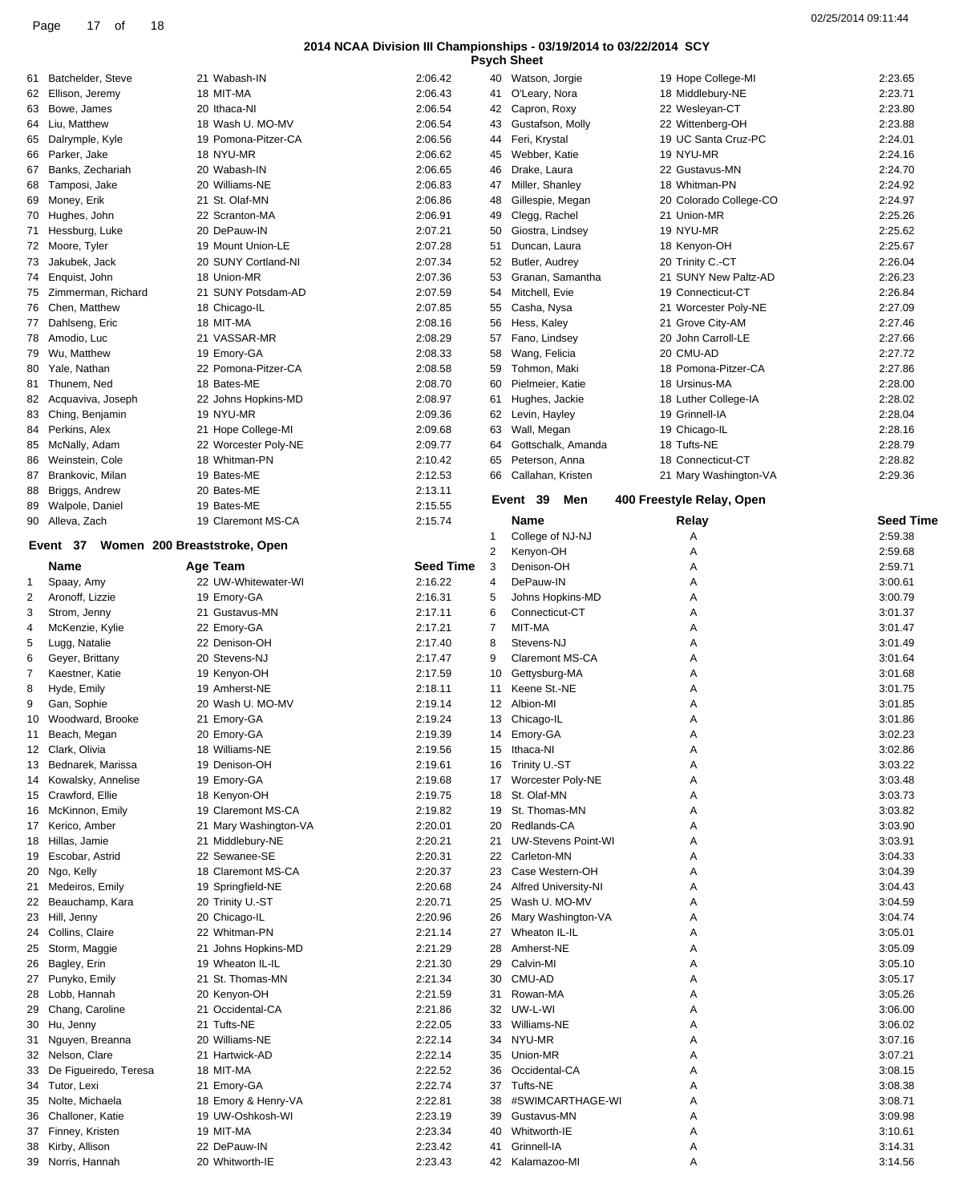|    |                                       |                       |                  |                | <b>Psych Sheet</b>          |                           |                  |
|----|---------------------------------------|-----------------------|------------------|----------------|-----------------------------|---------------------------|------------------|
| 61 | Batchelder, Steve                     | 21 Wabash-IN          | 2:06.42          |                | 40 Watson, Jorgie           | 19 Hope College-MI        | 2:23.65          |
| 62 | Ellison, Jeremy                       | 18 MIT-MA             | 2:06.43          | 41             | O'Leary, Nora               | 18 Middlebury-NE          | 2:23.71          |
| 63 | Bowe, James                           | 20 Ithaca-NI          | 2:06.54          | 42             | Capron, Roxy                | 22 Wesleyan-CT            | 2:23.80          |
|    | 64 Liu, Matthew                       | 18 Wash U. MO-MV      | 2:06.54          | 43             | Gustafson, Molly            | 22 Wittenberg-OH          | 2:23.88          |
| 65 | Dalrymple, Kyle                       | 19 Pomona-Pitzer-CA   | 2:06.56          | 44             | Feri, Krystal               | 19 UC Santa Cruz-PC       | 2:24.01          |
| 66 | Parker, Jake                          | 18 NYU-MR             | 2:06.62          | 45             | Webber, Katie               | 19 NYU-MR                 | 2:24.16          |
| 67 | Banks, Zechariah                      | 20 Wabash-IN          | 2:06.65          | 46             | Drake, Laura                | 22 Gustavus-MN            | 2:24.70          |
| 68 | Tamposi, Jake                         | 20 Williams-NE        | 2:06.83          | 47             | Miller, Shanley             | 18 Whitman-PN             | 2:24.92          |
| 69 | Money, Erik                           | 21 St. Olaf-MN        | 2:06.86          | 48             | Gillespie, Megan            | 20 Colorado College-CO    | 2:24.97          |
| 70 | Hughes, John                          | 22 Scranton-MA        | 2:06.91          | 49             | Clegg, Rachel               | 21 Union-MR               | 2:25.26          |
| 71 | Hessburg, Luke                        | 20 DePauw-IN          | 2:07.21          | 50             | Giostra, Lindsey            | 19 NYU-MR                 | 2:25.62          |
|    | 72 Moore, Tyler                       | 19 Mount Union-LE     | 2:07.28          | 51             | Duncan, Laura               | 18 Kenyon-OH              | 2:25.67          |
| 73 | Jakubek, Jack                         | 20 SUNY Cortland-NI   | 2:07.34          | 52             | Butler, Audrey              | 20 Trinity C.-CT          | 2:26.04          |
| 74 | Enquist, John                         | 18 Union-MR           | 2:07.36          | 53             | Granan, Samantha            | 21 SUNY New Paltz-AD      | 2:26.23          |
|    | 75 Zimmerman, Richard                 | 21 SUNY Potsdam-AD    | 2:07.59          | 54             | Mitchell, Evie              | 19 Connecticut-CT         | 2:26.84          |
| 76 | Chen, Matthew                         | 18 Chicago-IL         | 2:07.85          | 55             | Casha, Nysa                 | 21 Worcester Poly-NE      | 2:27.09          |
| 77 | Dahlseng, Eric                        | 18 MIT-MA             | 2:08.16          | 56             | Hess, Kaley                 | 21 Grove City-AM          | 2:27.46          |
| 78 | Amodio, Luc                           | 21 VASSAR-MR          | 2:08.29          | 57             | Fano, Lindsey               | 20 John Carroll-LE        | 2:27.66          |
| 79 | Wu, Matthew                           | 19 Emory-GA           | 2:08.33          | 58             | Wang, Felicia               | 20 CMU-AD                 | 2:27.72          |
| 80 | Yale, Nathan                          | 22 Pomona-Pitzer-CA   | 2:08.58          | 59             | Tohmon, Maki                | 18 Pomona-Pitzer-CA       | 2:27.86          |
| 81 | Thunem, Ned                           | 18 Bates-ME           | 2:08.70          | 60             | Pielmeier, Katie            | 18 Ursinus-MA             | 2:28.00          |
| 82 | Acquaviva, Joseph                     | 22 Johns Hopkins-MD   | 2:08.97          | 61             | Hughes, Jackie              | 18 Luther College-IA      | 2:28.02          |
|    | 83 Ching, Benjamin                    | 19 NYU-MR             | 2:09.36          |                | 62 Levin, Hayley            | 19 Grinnell-IA            | 2:28.04          |
| 84 | Perkins, Alex                         | 21 Hope College-MI    | 2:09.68          | 63             | Wall, Megan                 | 19 Chicago-IL             | 2:28.16          |
| 85 | McNally, Adam                         | 22 Worcester Poly-NE  | 2:09.77          | 64             | Gottschalk, Amanda          | 18 Tufts-NE               | 2:28.79          |
| 86 | Weinstein, Cole                       | 18 Whitman-PN         | 2:10.42          | 65             | Peterson, Anna              | 18 Connecticut-CT         | 2:28.82          |
| 87 | Brankovic, Milan                      | 19 Bates-ME           | 2:12.53          | 66             | Callahan, Kristen           | 21 Mary Washington-VA     | 2:29.36          |
| 88 | Briggs, Andrew                        | 20 Bates-ME           | 2:13.11          |                |                             |                           |                  |
| 89 | Walpole, Daniel                       | 19 Bates-ME           | 2:15.55          |                | Event 39<br>Men             | 400 Freestyle Relay, Open |                  |
|    | 90 Alleva, Zach                       | 19 Claremont MS-CA    | 2:15.74          |                | Name                        | Relay                     | <b>Seed Time</b> |
|    |                                       |                       |                  | 1              | College of NJ-NJ            | Α                         | 2:59.38          |
|    | Event 37 Women 200 Breaststroke, Open |                       |                  | $\overline{2}$ | Kenyon-OH                   | Α                         | 2:59.68          |
|    | Name                                  | Age Team              | <b>Seed Time</b> | 3              | Denison-OH                  | Α                         | 2:59.71          |
| 1  | Spaay, Amy                            | 22 UW-Whitewater-WI   | 2:16.22          | 4              | DePauw-IN                   | Α                         | 3:00.61          |
|    | Aronoff, Lizzie                       | 19 Emory-GA           | 2:16.31          | 5              | Johns Hopkins-MD            | Α                         | 3:00.79          |
| 2  |                                       |                       |                  |                |                             |                           | 3:01.37          |
| 3  | Strom, Jenny                          | 21 Gustavus-MN        | 2:17.11          | 6              | Connecticut-CT              | Α                         |                  |
| 4  | McKenzie, Kylie                       | 22 Emory-GA           | 2:17.21          | 7              | MIT-MA<br>Stevens-NJ        | Α                         | 3:01.47          |
| 5  | Lugg, Natalie                         | 22 Denison-OH         | 2:17.40          | 8              |                             | Α                         | 3:01.49          |
| 6  | Geyer, Brittany<br>Kaestner, Katie    | 20 Stevens-NJ         | 2:17.47          | 9              | <b>Claremont MS-CA</b>      | Α                         | 3:01.64          |
|    |                                       |                       |                  |                | Gettysburg-MA               | Α                         | 3:01.68          |
| 7  |                                       | 19 Kenyon-OH          | 2:17.59          | 10             |                             |                           |                  |
| 8  | Hyde, Emily                           | 19 Amherst-NE         | 2:18.11          | 11             | Keene St.-NE                | Α                         | 3:01.75          |
| 9  | Gan, Sophie                           | 20 Wash U. MO-MV      | 2:19.14          |                | 12 Albion-MI                | Α                         | 3:01.85          |
| 10 | Woodward, Brooke                      | 21 Emory-GA           | 2:19.24          |                | 13 Chicago-IL               | Α                         | 3:01.86          |
| 11 | Beach, Megan                          | 20 Emory-GA           | 2:19.39          |                | 14 Emory-GA                 | A                         | 3:02.23          |
|    | 12 Clark, Olivia                      | 18 Williams-NE        | 2:19.56          |                | 15 Ithaca-NI                | Α                         | 3:02.86          |
| 13 | Bednarek, Marissa                     | 19 Denison-OH         | 2:19.61          |                | 16 Trinity U.-ST            | Α                         | 3:03.22          |
|    | 14 Kowalsky, Annelise                 | 19 Emory-GA           | 2:19.68          |                | 17 Worcester Poly-NE        | Α                         | 3:03.48          |
|    | 15 Crawford, Ellie                    | 18 Kenyon-OH          | 2:19.75          |                | 18 St. Olaf-MN              | Α                         | 3:03.73          |
| 16 | McKinnon, Emily                       | 19 Claremont MS-CA    | 2:19.82          | 19             | St. Thomas-MN               | Α                         | 3:03.82          |
| 17 | Kerico, Amber                         | 21 Mary Washington-VA | 2:20.01          | 20             | Redlands-CA                 | Α                         | 3:03.90          |
|    | 18 Hillas, Jamie                      | 21 Middlebury-NE      | 2:20.21          | 21             | <b>UW-Stevens Point-WI</b>  | Α                         | 3:03.91          |
| 19 | Escobar, Astrid                       | 22 Sewanee-SE         | 2:20.31          | 22             | Carleton-MN                 | Α                         | 3:04.33          |
| 20 | Ngo, Kelly                            | 18 Claremont MS-CA    | 2:20.37          | 23             | Case Western-OH             | Α                         | 3:04.39          |
| 21 | Medeiros, Emily                       | 19 Springfield-NE     | 2:20.68          | 24             | <b>Alfred University-NI</b> | Α                         | 3:04.43          |
| 22 | Beauchamp, Kara                       | 20 Trinity U.-ST      | 2:20.71          | 25             | Wash U. MO-MV               | Α                         | 3:04.59          |
|    | 23 Hill, Jenny                        | 20 Chicago-IL         | 2:20.96          | 26             | Mary Washington-VA          | Α                         | 3:04.74          |
|    | 24 Collins, Claire                    | 22 Whitman-PN         | 2:21.14          | 27             | Wheaton IL-IL               | Α                         | 3:05.01          |
| 25 | Storm, Maggie                         | 21 Johns Hopkins-MD   | 2:21.29          | 28             | Amherst-NE                  | Α                         | 3:05.09          |
| 26 | Bagley, Erin                          | 19 Wheaton IL-IL      | 2:21.30          | 29             | Calvin-MI                   | Α                         | 3:05.10          |
| 27 | Punyko, Emily                         | 21 St. Thomas-MN      | 2:21.34          | 30             | CMU-AD                      | Α                         | 3:05.17          |
| 28 | Lobb, Hannah                          | 20 Kenyon-OH          | 2:21.59          | 31             | Rowan-MA                    | Α                         | 3:05.26          |
| 29 | Chang, Caroline                       | 21 Occidental-CA      | 2:21.86          | 32             | UW-L-WI                     | Α                         | 3:06.00          |
| 30 | Hu, Jenny                             | 21 Tufts-NE           | 2:22.05          |                | 33 Williams-NE              | Α                         | 3:06.02          |
| 31 | Nguyen, Breanna                       | 20 Williams-NE        | 2:22.14          | 34             | NYU-MR                      | Α                         | 3:07.16          |
| 32 | Nelson, Clare                         | 21 Hartwick-AD        | 2:22.14          |                | 35 Union-MR                 | Α                         | 3:07.21          |
| 33 | De Figueiredo, Teresa                 | 18 MIT-MA             | 2:22.52          | 36             | Occidental-CA               | Α                         | 3:08.15          |
| 34 | Tutor, Lexi                           | 21 Emory-GA           | 2:22.74          | 37             | Tufts-NE                    | Α                         | 3:08.38          |
| 35 | Nolte, Michaela                       | 18 Emory & Henry-VA   | 2:22.81          | 38             | #SWIMCARTHAGE-WI            | Α                         | 3:08.71          |
| 36 | Challoner, Katie                      | 19 UW-Oshkosh-WI      | 2:23.19          | 39             | Gustavus-MN                 | Α                         | 3:09.98          |
|    | 37 Finney, Kristen                    | 19 MIT-MA             | 2:23.34          | 40             | Whitworth-IE                | Α                         | 3:10.61          |
| 38 | Kirby, Allison                        | 22 DePauw-IN          | 2:23.42          | 41             | Grinnell-IA                 | Α                         | 3:14.31          |